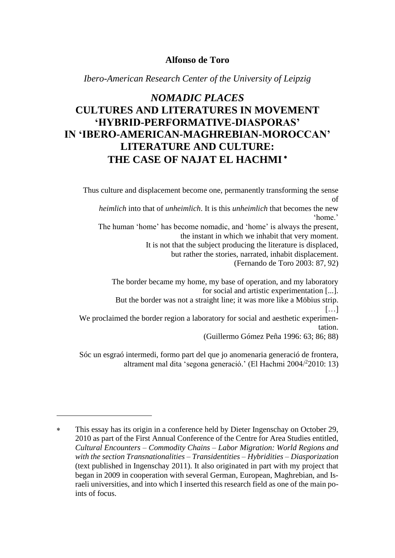### **Alfonso de Toro**

*Ibero-American Research Center of the University of Leipzig*

# *NOMADIC PLACES* **CULTURES AND LITERATURES IN MOVEMENT 'HYBRID-PERFORMATIVE-DIASPORAS' IN 'IBERO-AMERICAN-MAGHREBIAN-MOROCCAN' LITERATURE AND CULTURE: THE CASE OF NAJAT EL HACHMI**

Thus culture and displacement become one, permanently transforming the sense of

*heimlich* into that of *unheimlich*. It is this *unheimlich* that becomes the new 'home.'

The human 'home' has become nomadic, and 'home' is always the present, the instant in which we inhabit that very moment. It is not that the subject producing the literature is displaced,

but rather the stories, narrated, inhabit displacement.

(Fernando de Toro 2003: 87, 92)

The border became my home, my base of operation, and my laboratory for social and artistic experimentation [...].

But the border was not a straight line; it was more like a Möbius strip.  $[\ldots]$ 

We proclaimed the border region a laboratory for social and aesthetic experimentation.

(Guillermo Gómez Peña 1996: 63; 86; 88)

Sóc un esgraó intermedi, formo part del que jo anomenaria generació de frontera, altrament mal dita 'segona generació.' (El Hachmi 2004/<sup>2</sup> 2010: 13)

This essay has its origin in a conference held by Dieter Ingenschay on October 29, 2010 as part of the First Annual Conference of the Centre for Area Studies entitled, *Cultural Encounters – Commodity Chains – Labor Migration: World Regions and with the section Transnationalities – Transidentities – Hybridities – Diasporization* (text published in Ingenschay 2011). It also originated in part with my project that began in 2009 in cooperation with several German, European, Maghrebian, and Israeli universities, and into which I inserted this research field as one of the main points of focus.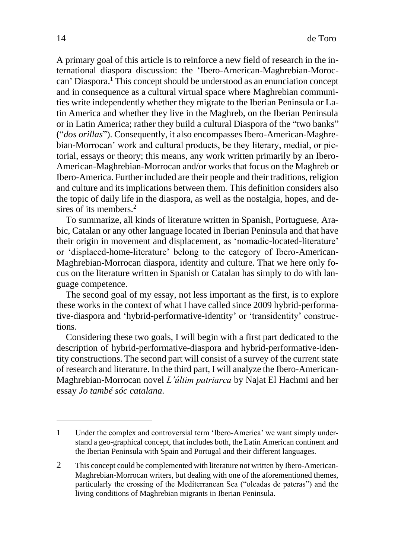A primary goal of this article is to reinforce a new field of research in the international diaspora discussion: the 'Ibero-American-Maghrebian-Moroccan' Diaspora. <sup>1</sup> This concept should be understood as an enunciation concept and in consequence as a cultural virtual space where Maghrebian communities write independently whether they migrate to the Iberian Peninsula or Latin America and whether they live in the Maghreb, on the Iberian Peninsula or in Latin America; rather they build a cultural Diaspora of the "two banks" ("*dos orillas*"). Consequently, it also encompasses Ibero-American-Maghrebian-Morrocan' work and cultural products, be they literary, medial, or pictorial, essays or theory; this means, any work written primarily by an Ibero-American-Maghrebian-Morrocan and/or works that focus on the Maghreb or Ibero-America. Further included are their people and their traditions, religion and culture and its implications between them. This definition considers also the topic of daily life in the diaspora, as well as the nostalgia, hopes, and desires of its members. $2$ 

To summarize, all kinds of literature written in Spanish, Portuguese, Arabic, Catalan or any other language located in Iberian Peninsula and that have their origin in movement and displacement, as 'nomadic-located-literature' or 'displaced-home-literature' belong to the category of Ibero-American-Maghrebian-Morrocan diaspora, identity and culture. That we here only focus on the literature written in Spanish or Catalan has simply to do with language competence.

The second goal of my essay, not less important as the first, is to explore these works in the context of what I have called since 2009 hybrid-performative-diaspora and 'hybrid-performative-identity' or 'transidentity' constructions.

Considering these two goals, I will begin with a first part dedicated to the description of hybrid-performative-diaspora and hybrid-performative-identity constructions. The second part will consist of a survey of the current state of research and literature. In the third part, I will analyze the Ibero-American-Maghrebian-Morrocan novel *L'últim patriarca* by Najat El Hachmi and her essay *Jo també sóc catalana.*

<sup>1</sup> Under the complex and controversial term 'Ibero-America' we want simply understand a geo-graphical concept, that includes both, the Latin American continent and the Iberian Peninsula with Spain and Portugal and their different languages.

<sup>2</sup> This concept could be complemented with literature not written by Ibero-American-Maghrebian-Morrocan writers, but dealing with one of the aforementioned themes, particularly the crossing of the Mediterranean Sea ("oleadas de pateras") and the living conditions of Maghrebian migrants in Iberian Peninsula.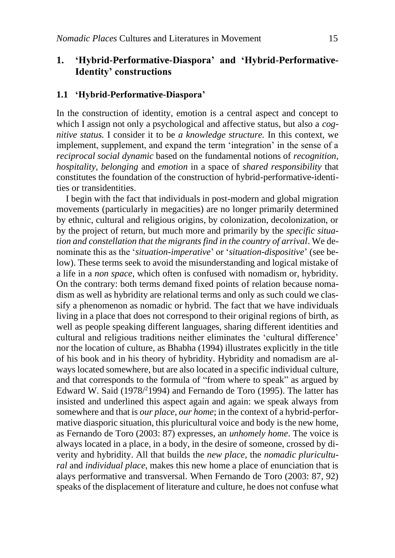# **1. 'Hybrid-Performative-Diaspora' and 'Hybrid-Performative-Identity' constructions**

## **1.1 'Hybrid-Performative-Diaspora'**

In the construction of identity, emotion is a central aspect and concept to which I assign not only a psychological and affective status, but also a *cognitive status.* I consider it to be *a knowledge structure.* In this context, we implement, supplement, and expand the term 'integration' in the sense of a *reciprocal social dynamic* based on the fundamental notions of *recognition*, *hospitality*, *belonging* and *emotion* in a space of *shared responsibility* that constitutes the foundation of the construction of hybrid-performative-identities or transidentities.

I begin with the fact that individuals in post-modern and global migration movements (particularly in megacities) are no longer primarily determined by ethnic, cultural and religious origins, by colonization, decolonization, or by the project of return, but much more and primarily by the *specific situation and constellation that the migrants find in the country of arrival*. We denominate this as the '*situation-imperative*' or '*situation-dispositive*' (see below). These terms seek to avoid the misunderstanding and logical mistake of a life in a *non space*, which often is confused with nomadism or, hybridity. On the contrary: both terms demand fixed points of relation because nomadism as well as hybridity are relational terms and only as such could we classify a phenomenon as nomadic or hybrid. The fact that we have individuals living in a place that does not correspond to their original regions of birth, as well as people speaking different languages, sharing different identities and cultural and religious traditions neither eliminates the 'cultural difference' nor the location of culture, as Bhabha (1994) illustrates explicitly in the title of his book and in his theory of hybridity. Hybridity and nomadism are always located somewhere, but are also located in a specific individual culture, and that corresponds to the formula of "from where to speak" as argued by Edward W. Said (1978/<sup>2</sup>1994) and Fernando de Toro (1995). The latter has insisted and underlined this aspect again and again: we speak always from somewhere and that is *our place*, *our home*; in the context of a hybrid-performative diasporic situation, this pluricultural voice and body is the new home, as Fernando de Toro (2003: 87) expresses, an *unhomely home*. The voice is always located in a place, in a body, in the desire of someone, crossed by diverity and hybridity. All that builds the *new place*, the *nomadic pluricultural* and *individual place*, makes this new home a place of enunciation that is alays performative and transversal. When Fernando de Toro (2003: 87, 92) speaks of the displacement of literature and culture, he does not confuse what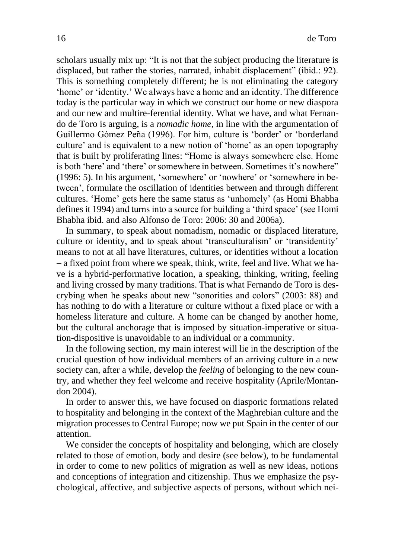scholars usually mix up: "It is not that the subject producing the literature is displaced, but rather the stories, narrated, inhabit displacement" (ibid.: 92). This is something completely different; he is not eliminating the category 'home' or 'identity.' We always have a home and an identity. The difference today is the particular way in which we construct our home or new diaspora and our new and multire-ferential identity. What we have, and what Fernando de Toro is arguing, is a *nomadic home*, in line with the argumentation of Guillermo Gómez Peña (1996). For him, culture is 'border' or 'borderland culture' and is equivalent to a new notion of 'home' as an open topography that is built by proliferating lines: "Home is always somewhere else. Home is both 'here' and 'there' or somewhere in between. Sometimes it's nowhere" (1996: 5). In his argument, 'somewhere' or 'nowhere' or 'somewhere in between', formulate the oscillation of identities between and through different cultures. 'Home' gets here the same status as 'unhomely' (as Homi Bhabha defines it 1994) and turns into a source for building a 'third space' (see Homi Bhabha ibid. and also Alfonso de Toro: 2006: 30 and 2006a).

In summary, to speak about nomadism, nomadic or displaced literature, culture or identity, and to speak about 'transculturalism' or 'transidentity' means to not at all have literatures, cultures, or identities without a location − a fixed point from where we speak, think, write, feel and live. What we have is a hybrid-performative location, a speaking, thinking, writing, feeling and living crossed by many traditions. That is what Fernando de Toro is descrybing when he speaks about new "sonorities and colors" (2003: 88) and has nothing to do with a literature or culture without a fixed place or with a homeless literature and culture. A home can be changed by another home, but the cultural anchorage that is imposed by situation-imperative or situation-dispositive is unavoidable to an individual or a community.

In the following section, my main interest will lie in the description of the crucial question of how individual members of an arriving culture in a new society can, after a while, develop the *feeling* of belonging to the new country, and whether they feel welcome and receive hospitality [\(Aprile/](http://www.amazon.fr/s/ref=ntt_athr_dp_sr_2?_encoding=UTF8&search-alias=books-fr&field-author=Sylvie%20Aprile)Montandon 2004).

In order to answer this, we have focused on diasporic formations related to hospitality and belonging in the context of the Maghrebian culture and the migration processes to Central Europe; now we put Spain in the center of our attention.

We consider the concepts of hospitality and belonging, which are closely related to those of emotion, body and desire (see below), to be fundamental in order to come to new politics of migration as well as new ideas, notions and conceptions of integration and citizenship. Thus we emphasize the psychological, affective, and subjective aspects of persons, without which nei-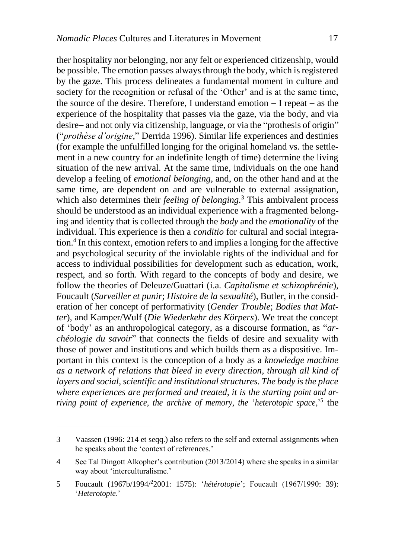ther hospitality nor belonging, nor any felt or experienced citizenship, would be possible. The emotion passes always through the body, which is registered by the gaze. This process delineates a fundamental moment in culture and society for the recognition or refusal of the 'Other' and is at the same time, the source of the desire. Therefore, I understand emotion − I repeat − as the experience of the hospitality that passes via the gaze, via the body, and via desire− and not only via citizenship, language, or via the "prothesis of origin" ("*prothèse d'origine*," Derrida 1996). Similar life experiences and destinies (for example the unfulfilled longing for the original homeland vs. the settlement in a new country for an indefinite length of time) determine the living situation of the new arrival. At the same time, individuals on the one hand develop a feeling of *emotional belonging*, and, on the other hand and at the same time, are dependent on and are vulnerable to external assignation, which also determines their *feeling of belonging.*<sup>3</sup> This ambivalent process should be understood as an individual experience with a fragmented belonging and identity that is collected through the *body* and the *emotionality* of the individual. This experience is then a *conditio* for cultural and social integration.<sup>4</sup> In this context, emotion refers to and implies a longing for the affective and psychological security of the inviolable rights of the individual and for access to individual possibilities for development such as education, work, respect, and so forth. With regard to the concepts of body and desire, we follow the theories of Deleuze/Guattari (i.a. *Capitalisme et schizophrénie*), Foucault (*Surveiller et punir*; *Histoire de la sexualité*), Butler, in the consideration of her concept of performativity (*Gender Trouble*; *Bodies that Matter*), and Kamper/Wulf (*Die Wiederkehr des Körpers*). We treat the concept of 'body' as an anthropological category, as a discourse formation, as "*archéologie du savoir*" that connects the fields of desire and sexuality with those of power and institutions and which builds them as a dispositive. Important in this context is the conception of a body as a *knowledge machine as a network of relations that bleed in every direction, through all kind of layers and social, scientific and institutional structures. The body is the place where experiences are performed and treated, it is the starting point and arriving point of experience, the archive of memory, the* '*heterotopic space*,'<sup>5</sup> the

<sup>3</sup> Vaassen (1996: 214 et seqq.) also refers to the self and external assignments when he speaks about the 'context of references.'

<sup>4</sup> See Tal Dingott Alkopher's contribution (2013/2014) where she speaks in a similar way about 'interculturalisme.'

<sup>5</sup> Foucault (1967b/1994/<sup>2</sup> 2001: 1575): '*hétérotopie*'; Foucault (1967/1990: 39): '*Heterotopie*.'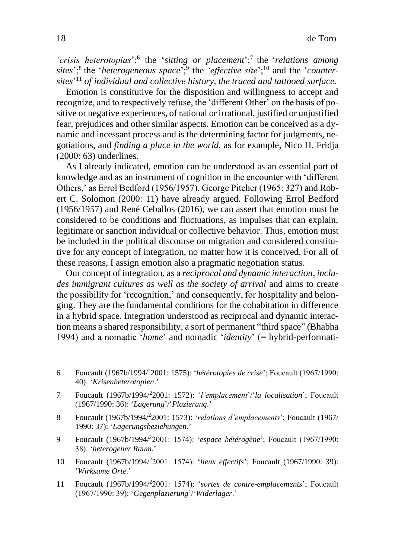*'crisis heterotopias*';<sup>6</sup> the '*sitting or placement*';<sup>7</sup> the '*relations among*  sites';<sup>8</sup> the '*heterogeneous space*';<sup>9</sup> the '*effective site*';<sup>10</sup> and the '*countersites*' <sup>11</sup> *of individual and collective history, the traced and tattooed surface.*

Emotion is constitutive for the disposition and willingness to accept and recognize, and to respectively refuse, the 'different Other' on the basis of positive or negative experiences, of rational or irrational, justified or unjustified fear, prejudices and other similar aspects. Emotion can be conceived as a dynamic and incessant process and is the determining factor for judgments, negotiations, and *finding a place in the world*, as for example, Nico H. Fridja (2000: 63) underlines.

As I already indicated, emotion can be understood as an essential part of knowledge and as an instrument of cognition in the encounter with 'different Others,' as Errol Bedford (1956/1957), George Pitcher (1965: 327) and Robert C. Solomon (2000: 11) have already argued. Following Errol Bedford (1956/1957) and René Ceballos (2016), we can assert that emotion must be considered to be conditions and fluctuations, as impulses that can explain, legitimate or sanction individual or collective behavior. Thus, emotion must be included in the political discourse on migration and considered constitutive for any concept of integration, no matter how it is conceived. For all of these reasons, I assign emotion also a pragmatic negotiation status.

Our concept of integration, as a *reciprocal and dynamic interaction*, *includes immigrant cultures as well as the society of arrival* and aims to create the possibility for 'recognition,' and consequently, for hospitality and belonging. They are the fundamental conditions for the cohabitation in difference in a hybrid space. Integration understood as reciprocal and dynamic interaction means a shared responsibility, a sort of permanent "third space" (Bhabha 1994) and a nomadic '*home*' and nomadic '*identity*' (= hybrid-performati-

- 9 Foucault (1967b/1994/<sup>2</sup> 2001: 1574): '*espace hétérogène*'; Foucault (1967/1990: 38): '*heterogener Raum*.'
- 10 Foucault (1967b/1994/<sup>2</sup> 2001: 1574): '*lieux effectifs*'; Foucault (1967/1990: 39): '*Wirksame Orte*.'
- 11 Foucault (1967b/1994/<sup>2</sup> 2001: 1574): '*sortes de contre-emplacements*'; Foucault (1967/1990: 39): '*Gegenplazierung*'/'*Widerlager*.'

<sup>6</sup> Foucault (1967b/1994/<sup>2</sup> 2001: 1575): '*hétérotopies de crise*'; Foucault (1967/1990: 40): '*Krisenheterotopien*.'

<sup>7</sup> Foucault (1967b/1994/<sup>2</sup> 2001: 1572): '*l'emplacement*'/'*la localisation*'; Foucault (1967/1990: 36): '*Lagerung*'/'*Plazierung*.'

<sup>8</sup> Foucault (1967b/1994/<sup>2</sup> 2001: 1573): '*relations d'emplacements*'; Foucault (1967/ 1990: 37): '*Lagerungsbeziehungen*.'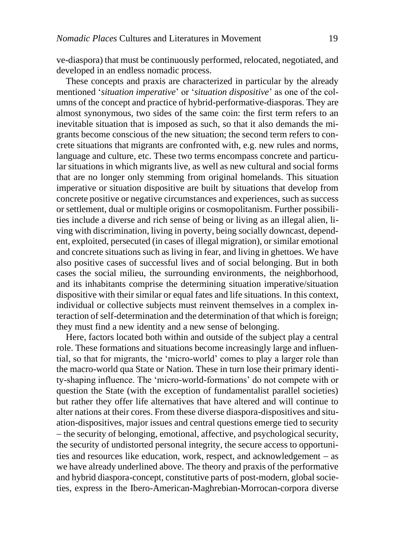ve-diaspora) that must be continuously performed, relocated, negotiated, and developed in an endless nomadic process.

These concepts and praxis are characterized in particular by the already mentioned '*situation imperative*' or '*situation dispositive*' as one of the columns of the concept and practice of hybrid-performative-diasporas. They are almost synonymous, two sides of the same coin: the first term refers to an inevitable situation that is imposed as such, so that it also demands the migrants become conscious of the new situation; the second term refers to concrete situations that migrants are confronted with, e.g. new rules and norms, language and culture, etc. These two terms encompass concrete and particular situations in which migrants live, as well as new cultural and social forms that are no longer only stemming from original homelands. This situation imperative or situation dispositive are built by situations that develop from concrete positive or negative circumstances and experiences, such as success or settlement, dual or multiple origins or cosmopolitanism. Further possibilities include a diverse and rich sense of being or living as an illegal alien, living with discrimination, living in poverty, being socially downcast, dependent, exploited, persecuted (in cases of illegal migration), or similar emotional and concrete situations such as living in fear, and living in ghettoes. We have also positive cases of successful lives and of social belonging. But in both cases the social milieu, the surrounding environments, the neighborhood, and its inhabitants comprise the determining situation imperative/situation dispositive with their similar or equal fates and life situations*.* In this context, individual or collective subjects must reinvent themselves in a complex interaction of self-determination and the determination of that which is foreign; they must find a new identity and a new sense of belonging.

Here, factors located both within and outside of the subject play a central role. These formations and situations become increasingly large and influential, so that for migrants, the 'micro-world' comes to play a larger role than the macro-world qua State or Nation. These in turn lose their primary identity-shaping influence. The 'micro-world-formations' do not compete with or question the State (with the exception of fundamentalist parallel societies) but rather they offer life alternatives that have altered and will continue to alter nations at their cores. From these diverse diaspora-dispositives and situation-dispositives, major issues and central questions emerge tied to security − the security of belonging, emotional, affective, and psychological security, the security of undistorted personal integrity, the secure access to opportunities and resources like education, work, respect, and acknowledgement − as we have already underlined above. The theory and praxis of the performative and hybrid diaspora-concept, constitutive parts of post-modern, global societies, express in the Ibero-American-Maghrebian-Morrocan-corpora diverse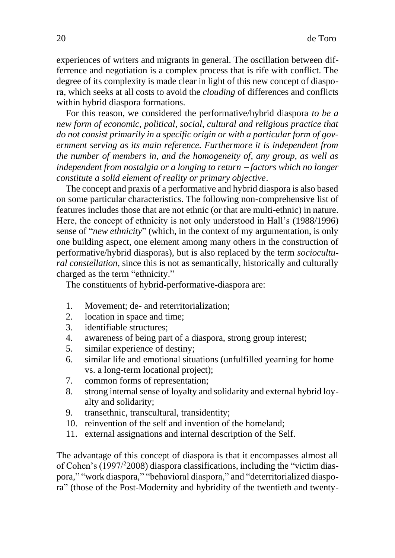experiences of writers and migrants in general. The oscillation between differrence and negotiation is a complex process that is rife with conflict. The degree of its complexity is made clear in light of this new concept of diaspora, which seeks at all costs to avoid the *clouding* of differences and conflicts within hybrid diaspora formations.

For this reason, we considered the performative/hybrid diaspora *to be a new form of economic, political, social, cultural and religious practice that do not consist primarily in a specific origin or with a particular form of government serving as its main reference. Furthermore it is independent from the number of members in, and the homogeneity of, any group, as well as independent from nostalgia or a longing to return − factors which no longer constitute a solid element of reality or primary objective*.

The concept and praxis of a performative and hybrid diaspora is also based on some particular characteristics. The following non-comprehensive list of features includes those that are not ethnic (or that are multi-ethnic) in nature. Here, the concept of ethnicity is not only understood in Hall's (1988/1996) sense of "*new ethnicity*" (which, in the context of my argumentation, is only one building aspect, one element among many others in the construction of performative/hybrid diasporas), but is also replaced by the term *sociocultural constellation*, since this is not as semantically, historically and culturally charged as the term "ethnicity."

The constituents of hybrid-performative-diaspora are:

- 1. Movement; de- and reterritorialization;
- 2. location in space and time;
- 3. identifiable structures;
- 4. awareness of being part of a diaspora, strong group interest;
- 5. similar experience of destiny;
- 6. similar life and emotional situations (unfulfilled yearning for home vs. a long-term locational project);
- 7. common forms of representation;
- 8. strong internal sense of loyalty and solidarity and external hybrid loyalty and solidarity;
- 9. transethnic, transcultural, transidentity;
- 10. reinvention of the self and invention of the homeland;
- 11. external assignations and internal description of the Self.

The advantage of this concept of diaspora is that it encompasses almost all of Cohen's (1997/22008) diaspora classifications, including the "victim diaspora," "work diaspora," "behavioral diaspora," and "deterritorialized diaspora" (those of the Post-Modernity and hybridity of the twentieth and twenty-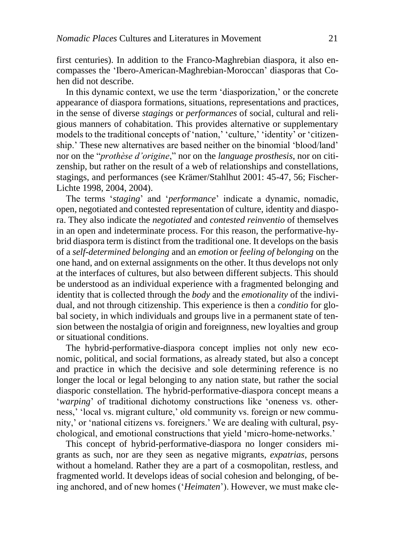first centuries). In addition to the Franco-Maghrebian diaspora, it also encompasses the 'Ibero-American-Maghrebian-Moroccan' diasporas that Cohen did not describe.

In this dynamic context, we use the term 'diasporization,' or the concrete appearance of diaspora formations, situations, representations and practices, in the sense of diverse *stagings* or *performances* of social, cultural and religious manners of cohabitation. This provides alternative or supplementary models to the traditional concepts of 'nation,' 'culture,' 'identity' or 'citizenship.' These new alternatives are based neither on the binomial 'blood/land' nor on the "*prothèse d'origine*," nor on the *language prosthesis*, nor on citizenship, but rather on the result of a web of relationships and constellations, stagings, and performances (see Krämer/Stahlhut 2001: 45-47, 56; Fischer-Lichte 1998, 2004, 2004).

The terms '*staging*' and '*performance*' indicate a dynamic, nomadic, open, negotiated and contested representation of culture, identity and diaspora. They also indicate the *negotiated* and *contested reinventio* of themselves in an open and indeterminate process. For this reason, the performative-hybrid diaspora term is distinct from the traditional one. It develops on the basis of a *self-determined belonging* and an *emotion* or *feeling of belonging* on the one hand, and on external assignments on the other. It thus develops not only at the interfaces of cultures, but also between different subjects. This should be understood as an individual experience with a fragmented belonging and identity that is collected through the *body* and the *emotionality* of the individual, and not through citizenship. This experience is then a *conditio* for global society, in which individuals and groups live in a permanent state of tension between the nostalgia of origin and foreignness, new loyalties and group or situational conditions.

The hybrid-performative-diaspora concept implies not only new economic, political, and social formations, as already stated, but also a concept and practice in which the decisive and sole determining reference is no longer the local or legal belonging to any nation state, but rather the social diasporic constellation. The hybrid-performative-diaspora concept means a '*warping*' of traditional dichotomy constructions like 'oneness vs. otherness,' 'local vs. migrant culture,' old community vs. foreign or new community,' or 'national citizens vs. foreigners.' We are dealing with cultural, psychological, and emotional constructions that yield 'micro-home-networks.'

This concept of hybrid-performative-diaspora no longer considers migrants as such, nor are they seen as negative migrants, *expatrias*, persons without a homeland. Rather they are a part of a cosmopolitan, restless, and fragmented world. It develops ideas of social cohesion and belonging, of being anchored, and of new homes ('*Heimaten*'). However, we must make cle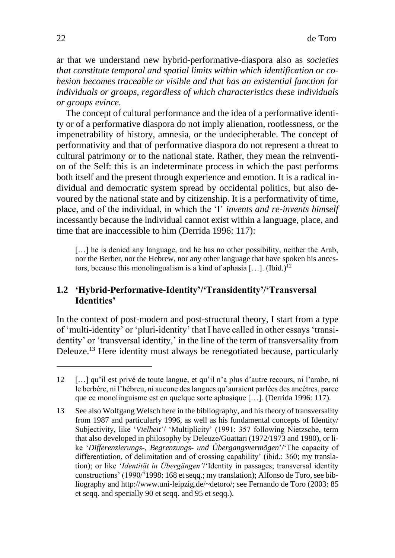ar that we understand new hybrid-performative-diaspora also as *societies that constitute temporal and spatial limits within which identification or cohesion becomes traceable or visible and that has an existential function for individuals or groups, regardless of which characteristics these individuals or groups evince.*

The concept of cultural performance and the idea of a performative identity or of a performative diaspora do not imply alienation, rootlessness, or the impenetrability of history, amnesia, or the undecipherable. The concept of performativity and that of performative diaspora do not represent a threat to cultural patrimony or to the national state. Rather, they mean the reinvention of the Self: this is an indeterminate process in which the past performs both itself and the present through experience and emotion. It is a radical individual and democratic system spread by occidental politics, but also devoured by the national state and by citizenship. It is a performativity of time, place, and of the individual, in which the 'I' *invents and re-invents himself* incessantly because the individual cannot exist within a language, place, and time that are inaccessible to him (Derrida 1996: 117):

[...] he is denied any language, and he has no other possibility, neither the Arab, nor the Berber, nor the Hebrew, nor any other language that have spoken his ancestors, because this monolingualism is a kind of aphasia  $[\dots]$ . (Ibid.)<sup>12</sup>

## **1.2 'Hybrid-Performative-Identity'/'Transidentity'/'Transversal Identities'**

In the context of post-modern and post-structural theory, I start from a type of 'multi-identity' or 'pluri-identity' that I have called in other essays 'transidentity' or 'transversal identity,' in the line of the term of transversality from Deleuze.<sup>13</sup> Here identity must always be renegotiated because, particularly

<sup>12</sup> […] qu'il est privé de toute langue, et qu'il n'a plus d'autre recours, ni l'arabe, ni le berbère, ni l'hébreu, ni aucune des langues qu'auraient parlées des ancêtres, parce que ce monolinguisme est en quelque sorte aphasique […]. (Derrida 1996: 117).

<sup>13</sup> See also Wolfgang Welsch here in the bibliography, and his theory of transversality from 1987 and particularly 1996, as well as his fundamental concepts of Identity/ Subjectivity, like '*Vielheit*'/ 'Multiplicity' (1991: 357 following Nietzsche, term that also developed in philosophy by Deleuze/Guattari (1972/1973 and 1980), or like '*Differenzierungs-, Begrenzungs- und Übergangsvermögen*'/'The capacity of differentiation, of delimitation and of crossing capability' (ibid.: 360; my translation); or like '*Identität in Übergängen'*/'Identity in passages; transversal identity constructions' (1990/<sup>5</sup>1998: 168 et seqq.; my translation); Alfonso de Toro, see bibliography and [http://www.uni-leipzig.de/~detoro/;](http://www.uni-leipzig.de/~detoro/) see Fernando de Toro (2003: 85 et seqq. and specially 90 et seqq. and 95 et seqq.).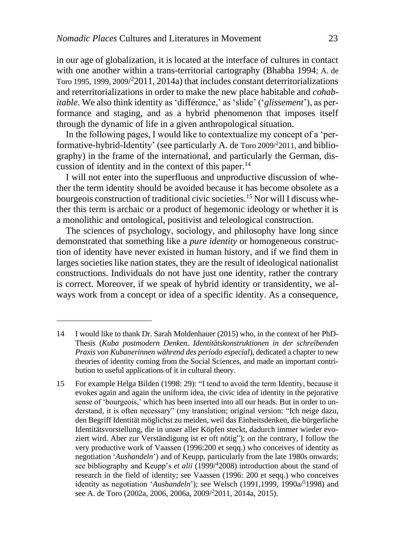in our age of globalization, it is located at the interface of cultures in contact with one another within a trans-territorial cartography (Bhabha 1994; A. de Toro 1995, 1999, 2009/ <sup>2</sup>2011, 2014a) that includes constant deterritorializations and reterritorializations in order to make the new place habitable and *cohabitable*. We also think identity as 'différ*a*nce,' as 'slide' ('*glissement*'), as performance and staging, and as a hybrid phenomenon that imposes itself through the dynamic of life in a given anthropological situation.

In the following pages, I would like to contextualize my concept of a 'performative-hybrid-Identity' (see particularly A. de Toro 2009/<sup>2</sup> 2011, and bibliography) in the frame of the international, and particularly the German, discussion of identity and in the context of this paper.<sup>14</sup>

I will not enter into the superfluous and unproductive discussion of whether the term identity should be avoided because it has become obsolete as a bourgeois construction of traditional civic societies.<sup>15</sup> Nor will I discuss whether this term is archaic or a product of hegemonic ideology or whether it is a monolithic and ontological, positivist and teleological construction.

The sciences of psychology, sociology, and philosophy have long since demonstrated that something like a *pure identity* or homogeneous construction of identity have never existed in human history, and if we find them in larges societies like nation states, they are the result of ideological nationalist constructions. Individuals do not have just one identity, rather the contrary is correct. Moreover, if we speak of hybrid identity or transidentity, we always work from a concept or idea of a specific identity. As a consequence,

<sup>14</sup> I would like to thank Dr. Sarah Moldenhauer (2015) who, in the context of her PhD-Thesis (*Kuba postmodern Denken. Identitätskonstruktionen in der schreibenden Praxis von Kubanerinnen während des período especial*), dedicated a chapter to new theories of identity coming from the Social Sciences, and made an important contribution to useful applications of it in cultural theory.

<sup>15</sup> For example Helga Bilden (1998: 29): "I tend to avoid the term Identity, because it evokes again and again the uniform idea, the civic idea of identity in the pejorative sense of 'bourgeois,' which has been inserted into all our heads. But in order to understand, it is often necessary" (my translation; original version: "Ich neige dazu, den Begriff Identität möglichst zu meiden, weil das Einheitsdenken, die bürgerliche Identitätsvorstellung, die in unser aller Köpfen steckt, dadurch immer wieder evoziert wird. Aber zur Verständigung ist er oft nötig"); on the contrary, I follow the very productive work of Vaassen (1996:200 et seqq.) who conceives of identity as negotiation '*Aushandeln*') and of Keupp, particularly from the late 1980s onwards; see bibliography and Keupp's *et alii* (1999/<sup>4</sup>2008) introduction about the stand of research in the field of identity; see Vaassen (1996: 200 et seqq.) who conceives identity as negotiation 'Aushandeln'); see Welsch (1991,1999, 1990a<sup>/5</sup>1998) and see A. de Toro (2002a, 2006, 2006a, 2009/<sup>2</sup>2011, 2014a, 2015).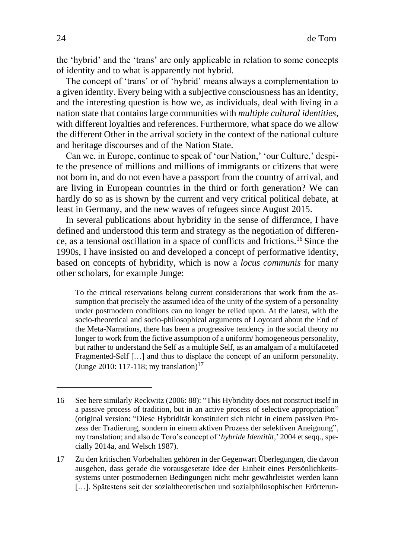the 'hybrid' and the 'trans' are only applicable in relation to some concepts of identity and to what is apparently not hybrid.

The concept of 'trans' or of 'hybrid' means always a complementation to a given identity. Every being with a subjective consciousness has an identity, and the interesting question is how we, as individuals, deal with living in a nation state that contains large communities with *multiple cultural identities*, with different loyalties and references. Furthermore, what space do we allow the different Other in the arrival society in the context of the national culture and heritage discourses and of the Nation State.

Can we, in Europe, continue to speak of 'our Nation,' 'our Culture,' despite the presence of millions and millions of immigrants or citizens that were not born in, and do not even have a passport from the country of arrival, and are living in European countries in the third or forth generation? We can hardly do so as is shown by the current and very critical political debate, at least in Germany, and the new waves of refugees since August 2015.

In several publications about hybridity in the sense of differ*a*nce, I have defined and understood this term and strategy as the negotiation of difference, as a tensional oscillation in a space of conflicts and frictions.<sup>16</sup> Since the 1990s, I have insisted on and developed a concept of performative identity, based on concepts of hybridity, which is now a *locus communis* for many other scholars, for example Junge:

To the critical reservations belong current considerations that work from the assumption that precisely the assumed idea of the unity of the system of a personality under postmodern conditions can no longer be relied upon. At the latest, with the socio-theoretical and socio-philosophical arguments of Loyotard about the End of the Meta-Narrations, there has been a progressive tendency in the social theory no longer to work from the fictive assumption of a uniform/ homogeneous personality, but rather to understand the Self as a multiple Self, as an amalgam of a multifaceted Fragmented-Self […] and thus to displace the concept of an uniform personality. (Junge 2010: 117-118; my translation)<sup>17</sup>

<sup>16</sup> See here similarly Reckwitz (2006: 88): "This Hybridity does not construct itself in a passive process of tradition, but in an active process of selective appropriation" (original version: "Diese Hybridität konstituiert sich nicht in einem passiven Prozess der Tradierung, sondern in einem aktiven Prozess der selektiven Aneignung", my translation; and also de Toro's concept of '*hybride Identität*,' 2004 et seqq., specially 2014a, and Welsch 1987).

<sup>17</sup> Zu den kritischen Vorbehalten gehören in der Gegenwart Überlegungen, die davon ausgehen, dass gerade die vorausgesetzte Idee der Einheit eines Persönlichkeitssystems unter postmodernen Bedingungen nicht mehr gewährleistet werden kann [...]. Spätestens seit der sozialtheoretischen und sozialphilosophischen Erörterun-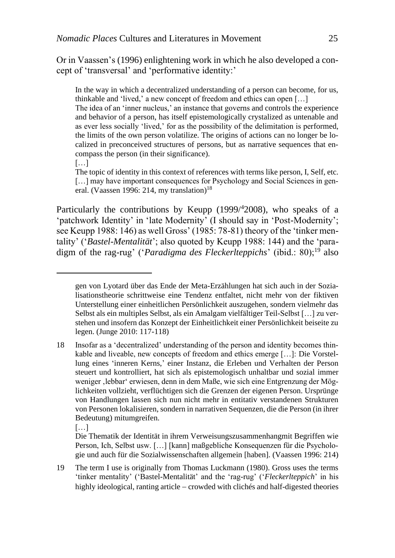Or in Vaassen's (1996) enlightening work in which he also developed a concept of 'transversal' and 'performative identity:'

In the way in which a decentralized understanding of a person can become, for us, thinkable and 'lived,' a new concept of freedom and ethics can open […]

The idea of an 'inner nucleus,' an instance that governs and controls the experience and behavior of a person, has itself epistemologically crystalized as untenable and as ever less socially 'lived,' for as the possibility of the delimitation is performed, the limits of the own person volatilize. The origins of actions can no longer be localized in preconceived structures of persons, but as narrative sequences that encompass the person (in their significance).

[…]

The topic of identity in this context of references with terms like person, I, Self, etc. [...] may have important consequences for Psychology and Social Sciences in general. (Vaassen 1996: 214, my translation)<sup>18</sup>

Particularly the contributions by Keupp  $(1999/42008)$ , who speaks of a 'patchwork Identity' in 'late Modernity' (I should say in 'Post-Modernity'; see Keupp 1988: 146) as well Gross' (1985: 78-81) theory of the 'tinker mentality' ('*Bastel-Mentalität*'; also quoted by Keupp 1988: 144) and the 'paradigm of the rag-rug' ('*Paradigma des Fleckerlteppichs*' (ibid.: 80);<sup>19</sup> also

Die Thematik der Identität in ihrem Verweisungszusammenhangmit Begriffen wie Person, Ich, Selbst usw. […] [kann] maßgebliche Konsequenzen für die Psychologie und auch für die Sozialwissenschaften allgemein [haben]. (Vaassen 1996: 214)

19 The term I use is originally from Thomas Luckmann (1980). Gross uses the terms 'tinker mentality' ('Bastel-Mentalität' and the 'rag-rug' ('*Fleckerlteppich*' in his highly ideological, ranting article − crowded with clichés and half-digested theories

gen von Lyotard über das Ende der Meta-Erzählungen hat sich auch in der Sozialisationstheorie schrittweise eine Tendenz entfaltet, nicht mehr von der fiktiven Unterstellung einer einheitlichen Persönlichkeit auszugehen, sondern vielmehr das Selbst als ein multiples Selbst, als ein Amalgam vielfältiger Teil-Selbst […] zu verstehen und insofern das Konzept der Einheitlichkeit einer Persönlichkeit beiseite zu legen. (Junge 2010: 117-118)

<sup>18</sup> Insofar as a 'decentralized' understanding of the person and identity becomes thinkable and liveable, new concepts of freedom and ethics emerge […]: Die Vorstellung eines 'inneren Kerns,' einer Instanz, die Erleben und Verhalten der Person steuert und kontrolliert, hat sich als epistemologisch unhaltbar und sozial immer weniger ,lebbar' erwiesen, denn in dem Maße, wie sich eine Entgrenzung der Möglichkeiten vollzieht, verflüchtigen sich die Grenzen der eigenen Person. Ursprünge von Handlungen lassen sich nun nicht mehr in entitativ verstandenen Strukturen von Personen lokalisieren, sondern in narrativen Sequenzen, die die Person (in ihrer Bedeutung) mitumgreifen.

<sup>[…]</sup>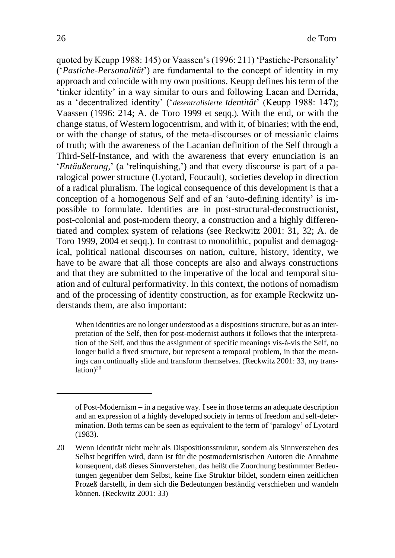quoted by Keupp 1988: 145) or Vaassen's (1996: 211) 'Pastiche-Personality' ('*Pastiche-Personalität*') are fundamental to the concept of identity in my approach and coincide with my own positions. Keupp defines his term of the 'tinker identity' in a way similar to ours and following Lacan and Derrida, as a 'decentralized identity' ('*dezentralisierte Identität*' (Keupp 1988: 147); Vaassen (1996: 214; A. de Toro 1999 et seqq.). With the end, or with the change status, of Western logocentrism, and with it, of binaries; with the end, or with the change of status, of the meta-discourses or of messianic claims of truth; with the awareness of the Lacanian definition of the Self through a Third-Self-Instance, and with the awareness that every enunciation is an '*Entäußerung*,' (a 'relinquishing,') and that every discourse is part of a paralogical power structure (Lyotard, Foucault), societies develop in direction of a radical pluralism. The logical consequence of this development is that a conception of a homogenous Self and of an 'auto-defining identity' is impossible to formulate. Identities are in post-structural-deconstructionist, post-colonial and post-modern theory, a construction and a highly differentiated and complex system of relations (see Reckwitz 2001: 31, 32; A. de Toro 1999, 2004 et seqq.). In contrast to monolithic, populist and demagogical, political national discourses on nation, culture, history, identity, we have to be aware that all those concepts are also and always constructions and that they are submitted to the imperative of the local and temporal situation and of cultural performativity. In this context, the notions of nomadism and of the processing of identity construction, as for example Reckwitz understands them, are also important:

When identities are no longer understood as a dispositions structure, but as an interpretation of the Self, then for post-modernist authors it follows that the interpretation of the Self, and thus the assignment of specific meanings vis-à-vis the Self, no longer build a fixed structure, but represent a temporal problem, in that the meanings can continually slide and transform themselves. (Reckwitz 2001: 33, my translation) $^{20}$ 

of Post-Modernism − in a negative way. I see in those terms an adequate description and an expression of a highly developed society in terms of freedom and self-determination. Both terms can be seen as equivalent to the term of 'paralogy' of Lyotard (1983).

<sup>20</sup> Wenn Identität nicht mehr als Dispositionsstruktur, sondern als Sinnverstehen des Selbst begriffen wird, dann ist für die postmodernistischen Autoren die Annahme konsequent, daß dieses Sinnverstehen, das heißt die Zuordnung bestimmter Bedeutungen gegenüber dem Selbst, keine fixe Struktur bildet, sondern einen zeitlichen Prozeß darstellt, in dem sich die Bedeutungen beständig verschieben und wandeln können. (Reckwitz 2001: 33)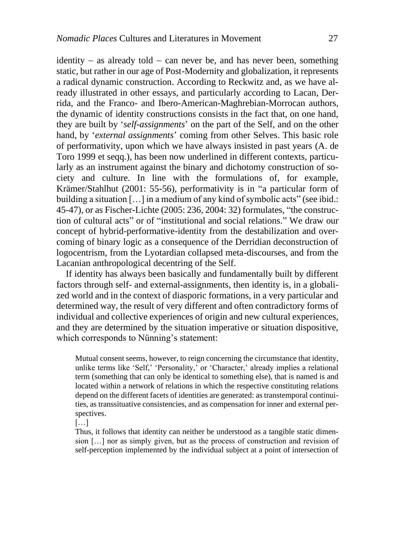identity  $-$  as already told  $-$  can never be, and has never been, something static, but rather in our age of Post-Modernity and globalization, it represents a radical dynamic construction. According to Reckwitz and, as we have already illustrated in other essays, and particularly according to Lacan, Derrida, and the Franco- and Ibero-American-Maghrebian-Morrocan authors, the dynamic of identity constructions consists in the fact that, on one hand, they are built by '*self-assignments*' on the part of the Self, and on the other hand, by '*external assignments*' coming from other Selves. This basic role of performativity, upon which we have always insisted in past years (A. de Toro 1999 et seqq.), has been now underlined in different contexts, particularly as an instrument against the binary and dichotomy construction of society and culture. In line with the formulations of, for example, Krämer/Stahlhut (2001: 55-56), performativity is in "a particular form of building a situation [...] in a medium of any kind of symbolic acts" (see ibid.: 45-47), or as Fischer-Lichte (2005: 236, 2004: 32) formulates, "the construction of cultural acts" or of "institutional and social relations." We draw our concept of hybrid-performative-identity from the destabilization and overcoming of binary logic as a consequence of the Derridian deconstruction of logocentrism, from the Lyotardian collapsed meta-discourses, and from the Lacanian anthropological decentring of the Self.

If identity has always been basically and fundamentally built by different factors through self- and external-assignments, then identity is, in a globalized world and in the context of diasporic formations, in a very particular and determined way, the result of very different and often contradictory forms of individual and collective experiences of origin and new cultural experiences, and they are determined by the situation imperative or situation dispositive, which corresponds to Nünning's statement:

Mutual consent seems, however, to reign concerning the circumstance that identity, unlike terms like 'Self,' 'Personality,' or 'Character,' already implies a relational term (something that can only be identical to something else), that is named is and located within a network of relations in which the respective constituting relations depend on the different facets of identities are generated: as transtemporal continuities, as transsituative consistencies, and as compensation for inner and external perspectives.

[…]

Thus, it follows that identity can neither be understood as a tangible static dimension […] nor as simply given, but as the process of construction and revision of self-perception implemented by the individual subject at a point of intersection of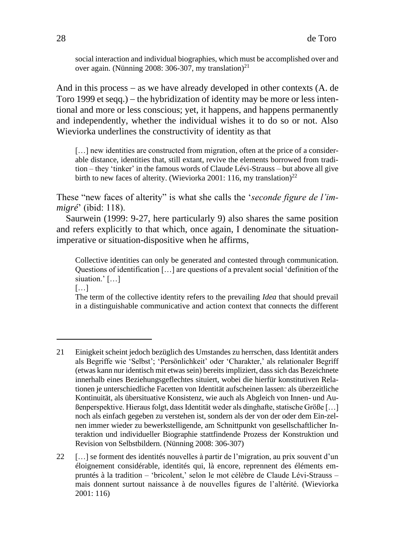social interaction and individual biographies, which must be accomplished over and over again. (Nünning 2008: 306-307, my translation)<sup>21</sup>

And in this process − as we have already developed in other contexts (A. de Toro 1999 et segg.) – the hybridization of identity may be more or less intentional and more or less conscious; yet, it happens, and happens permanently and independently, whether the individual wishes it to do so or not. Also Wieviorka underlines the constructivity of identity as that

[...] new identities are constructed from migration, often at the price of a considerable distance, identities that, still extant, revive the elements borrowed from tradition – they 'tinker' in the famous words of Claude Lévi-Strauss – but above all give birth to new faces of alterity. (Wieviorka 2001: 116, my translation)<sup>22</sup>

These "new faces of alterity" is what she calls the '*seconde figure de l'immigré*' (ibid: 118).

Saurwein (1999: 9-27, here particularly 9) also shares the same position and refers explicitly to that which, once again, I denominate the situationimperative or situation-dispositive when he affirms,

Collective identities can only be generated and contested through communication. Questions of identification […] are questions of a prevalent social 'definition of the siuation.' […]

 $[...]$ 

The term of the collective identity refers to the prevailing *Idea* that should prevail in a distinguishable communicative and action context that connects the different

<sup>21</sup> Einigkeit scheint jedoch bezüglich des Umstandes zu herrschen, dass Identität anders als Begriffe wie 'Selbst'; 'Persönlichkeit' oder 'Charakter,' als relationaler Begriff (etwas kann nur identisch mit etwas sein) bereits impliziert, dass sich das Bezeichnete innerhalb eines Beziehungsgeflechtes situiert, wobei die hierfür konstitutiven Relationen je unterschiedliche Facetten von Identität aufscheinen lassen: als überzeitliche Kontinuität, als übersituative Konsistenz, wie auch als Abgleich von Innen- und Außenperspektive. Hieraus folgt, dass Identität weder als dinghafte, statische Größe […] noch als einfach gegeben zu verstehen ist, sondern als der von der oder dem Ein-zelnen immer wieder zu bewerkstelligende, am Schnittpunkt von gesellschaftlicher Interaktion und individueller Biographie stattfindende Prozess der Konstruktion und Revision von Selbstbildern. (Nünning 2008: 306-307)

<sup>22</sup> […] se forment des identités nouvelles à partir de l'migration, au prix souvent d'un éloignement considérable, identités qui, là encore, reprennent des éléments empruntés à la tradition – 'bricolent,' selon le mot célèbre de Claude Lévi-Strauss – mais donnent surtout naissance à de nouvelles figures de l'altérité. (Wieviorka 2001: 116)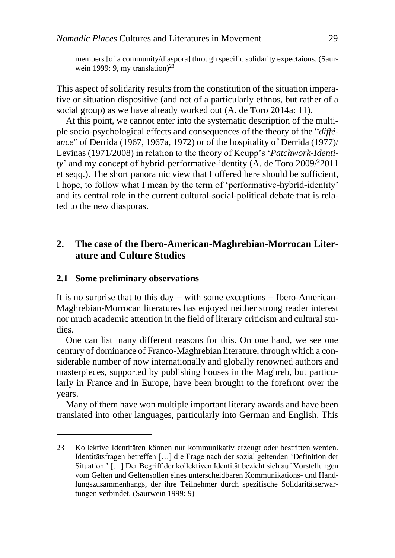members [of a community/diaspora] through specific solidarity expectaions. (Saurwein 1999: 9, my translation)<sup>23</sup>

This aspect of solidarity results from the constitution of the situation imperative or situation dispositive (and not of a particularly ethnos, but rather of a social group) as we have already worked out (A. de Toro 2014a: 11).

At this point, we cannot enter into the systematic description of the multiple socio-psychological effects and consequences of the theory of the "*diffé*a*nce*" of Derrida (1967, 1967a, 1972) or of the hospitality of Derrida (1977)/ Levinas (1971/2008) in relation to the theory of Keupp's '*Patchwork-Identity*' and my concept of hybrid-performative-identity (A. de Toro 2009/<sup>2</sup>2011 et seqq.). The short panoramic view that I offered here should be sufficient, I hope, to follow what I mean by the term of 'performative-hybrid-identity' and its central role in the current cultural-social-political debate that is related to the new diasporas.

# **2. The case of the Ibero-American-Maghrebian-Morrocan Literature and Culture Studies**

### **2.1 Some preliminary observations**

It is no surprise that to this day − with some exceptions − Ibero-American-Maghrebian-Morrocan literatures has enjoyed neither strong reader interest nor much academic attention in the field of literary criticism and cultural studies.

One can list many different reasons for this. On one hand, we see one century of dominance of Franco-Maghrebian literature, through which a considerable number of now internationally and globally renowned authors and masterpieces, supported by publishing houses in the Maghreb, but particularly in France and in Europe, have been brought to the forefront over the years.

Many of them have won multiple important literary awards and have been translated into other languages, particularly into German and English. This

<sup>23</sup> Kollektive Identitäten können nur kommunikativ erzeugt oder bestritten werden. Identitätsfragen betreffen […] die Frage nach der sozial geltenden 'Definition der Situation.' […] Der Begriff der kollektiven Identität bezieht sich auf Vorstellungen vom Gelten und Geltensollen eines unterscheidbaren Kommunikations- und Handlungszusammenhangs, der ihre Teilnehmer durch spezifische Solidaritätserwartungen verbindet. (Saurwein 1999: 9)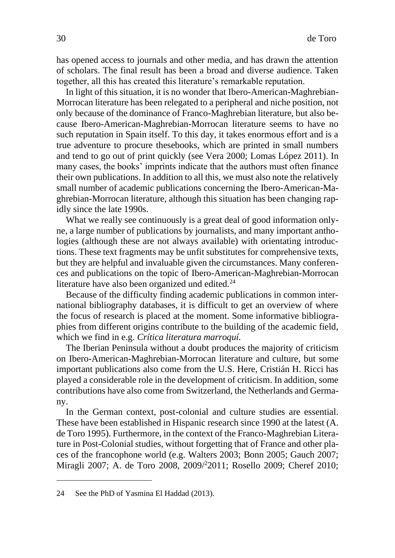has opened access to journals and other media, and has drawn the attention of scholars. The final result has been a broad and diverse audience. Taken together, all this has created this literature's remarkable reputation.

In light of this situation, it is no wonder that Ibero-American-Maghrebian-Morrocan literature has been relegated to a peripheral and niche position, not only because of the dominance of Franco-Maghrebian literature, but also because Ibero-American-Maghrebian-Morrocan literature seems to have no such reputation in Spain itself. To this day, it takes enormous effort and is a true adventure to procure thesebooks, which are printed in small numbers and tend to go out of print quickly (see Vera 2000; Lomas López 2011). In many cases, the books' imprints indicate that the authors must often finance their own publications. In addition to all this, we must also note the relatively small number of academic publications concerning the Ibero-American-Maghrebian-Morrocan literature, although this situation has been changing rapidly since the late 1990s.

What we really see continuously is a great deal of good information onlyne, a large number of publications by journalists, and many important anthologies (although these are not always available) with orientating introductions. These text fragments may be unfit substitutes for comprehensive texts, but they are helpful and invaluable given the circumstances. Many conferences and publications on the topic of Ibero-American-Maghrebian-Morrocan literature have also been organized und edited.<sup>24</sup>

Because of the difficulty finding academic publications in common international bibliography databases, it is difficult to get an overview of where the focus of research is placed at the moment. Some informative bibliographies from different origins contribute to the building of the academic field, which we find in e.g. *Crítica literatura marroquí.*

The Iberian Peninsula without a doubt produces the majority of criticism on Ibero-American-Maghrebian-Morrocan literature and culture, but some important publications also come from the U.S. Here, Cristián H. Ricci has played a considerable role in the development of criticism. In addition, some contributions have also come from Switzerland, the Netherlands and Germany.

In the German context, post-colonial and culture studies are essential. These have been established in Hispanic research since 1990 at the latest (A. de Toro 1995). Furthermore, in the context of the Franco-Maghrebian Literature in Post-Colonial studies, without forgetting that of France and other places of the francophone world (e.g. Walters 2003; Bonn 2005; Gauch 2007; Miragli 2007; A. de Toro 2008, 2009/<sup>2</sup>2011; Rosello 2009; Cheref 2010;

<sup>24</sup> See the PhD of Yasmina El Haddad (2013).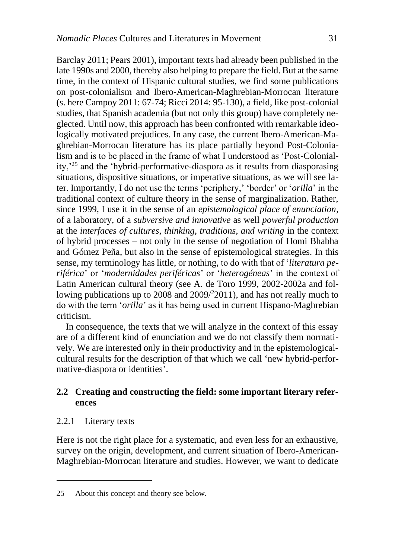Barclay 2011; Pears 2001), important texts had already been published in the late 1990s and 2000, thereby also helping to prepare the field. But at the same time, in the context of Hispanic cultural studies, we find some publications on post-colonialism and Ibero-American-Maghrebian-Morrocan literature (s. here Campoy 2011: 67-74; Ricci 2014: 95-130), a field, like post-colonial studies, that Spanish academia (but not only this group) have completely neglected. Until now, this approach has been confronted with remarkable ideologically motivated prejudices. In any case, the current Ibero-American-Maghrebian-Morrocan literature has its place partially beyond Post-Colonialism and is to be placed in the frame of what I understood as 'Post-Coloniality,'<sup>25</sup> and the 'hybrid-performative-diaspora as it results from diasporasing situations, dispositive situations, or imperative situations, as we will see later. Importantly, I do not use the terms 'periphery,' 'border' or '*orilla*' in the traditional context of culture theory in the sense of marginalization. Rather, since 1999, I use it in the sense of an *epistemological place of enunciation*, of a laboratory, of a *subversive and innovative* as well *powerful production* at the *interfaces of cultures, thinking, traditions, and writing* in the context of hybrid processes – not only in the sense of negotiation of Homi Bhabha and Gómez Peña, but also in the sense of epistemological strategies. In this sense, my terminology has little, or nothing, to do with that of '*literatura periférica*' or '*modernidades periféricas*' or '*heterogéneas*' in the context of Latin American cultural theory (see A. de Toro 1999, 2002-2002a and following publications up to 2008 and 2009/<sup>2</sup>2011), and has not really much to do with the term '*orilla*' as it has being used in current Hispano-Maghrebian criticism.

In consequence, the texts that we will analyze in the context of this essay are of a different kind of enunciation and we do not classify them normatively. We are interested only in their productivity and in the epistemologicalcultural results for the description of that which we call 'new hybrid-performative-diaspora or identities'.

## **2.2 Creating and constructing the field: some important literary references**

## 2.2.1 Literary texts

Here is not the right place for a systematic, and even less for an exhaustive, survey on the origin, development, and current situation of Ibero-American-Maghrebian-Morrocan literature and studies. However, we want to dedicate

<sup>25</sup> About this concept and theory see below.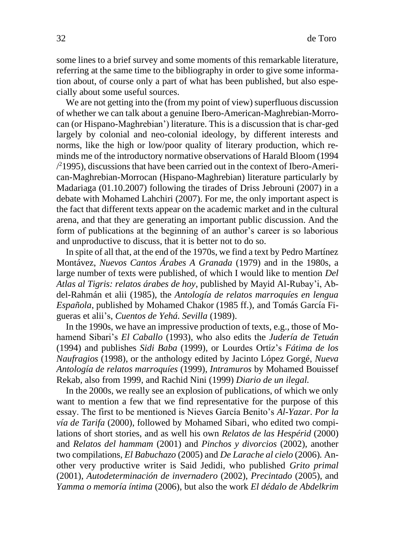some lines to a brief survey and some moments of this remarkable literature, referring at the same time to the bibliography in order to give some information about, of course only a part of what has been published, but also especially about some useful sources.

We are not getting into the (from my point of view) superfluous discussion of whether we can talk about a genuine Ibero-American-Maghrebian-Morrocan (or Hispano-Maghrebian') literature. This is a discussion that is char-ged largely by colonial and neo-colonial ideology, by different interests and norms, like the high or low/poor quality of literary production, which reminds me of the introductory normative observations of Harald Bloom (1994  $/2$ 1995), discussions that have been carried out in the context of Ibero-American-Maghrebian-Morrocan (Hispano-Maghrebian) literature particularly by Madariaga (01.10.2007) following the tirades of Driss Jebrouni (2007) in a debate with Mohamed Lahchiri (2007). For me, the only important aspect is the fact that different texts appear on the academic market and in the cultural arena, and that they are generating an important public discussion. And the form of publications at the beginning of an author's career is so laborious and unproductive to discuss, that it is better not to do so.

In spite of all that, at the end of the 1970s, we find a text by Pedro Martínez Montávez, *Nuevos Cantos Árabes A Granada* (1979) and in the 1980s, a large number of texts were published, of which I would like to mention *Del Atlas al Tigris: relatos árabes de hoy*, published by Mayid Al-Rubay'i, Abdel-Rahmán et alii (1985), the *Antología de relatos marroquíes en lengua Española*, published by Mohamed Chakor (1985 ff.), and Tomás García Figueras et alii's, *Cuentos de Yehá. Sevilla* (1989).

In the 1990s, we have an impressive production of texts, e.g., those of Mohamend Sibari's *El Caballo* (1993), who also edits the *Judería de Tetuán*  (1994) and publishes *Sidi Baba* (1999), or Lourdes Ortíz's *Fátima de los Naufragios* (1998), or the anthology edited by Jacinto López Gorgé, *Nueva Antología de relatos marroquíes* (1999), *Intramuros* by Mohamed Bouissef Rekab, also from 1999, and Rachid Nini (1999) *Diario de un ilegal.*

In the 2000s, we really see an explosion of publications, of which we only want to mention a few that we find representative for the purpose of this essay. The first to be mentioned is Nieves García Benito's *Al-Yazar*. *Por la vía de Tarifa* (2000), followed by Mohamed Sibari, who edited two compilations of short stories, and as well his own *Relatos de las Hespérid* (2000) and *Relatos del hammam* (2001) and *Pinchos y divorcios* (2002), another two compilations, *El Babuchazo* (2005) and *De Larache al cielo* (2006)*.* Another very productive writer is Said Jedidi, who published *Grito primal* (2001), *Autodeterminación de invernadero* (2002), *Precintado* (2005), and *Yamma o memoría íntima* (2006), but also the work *El dédalo de Abdelkrim*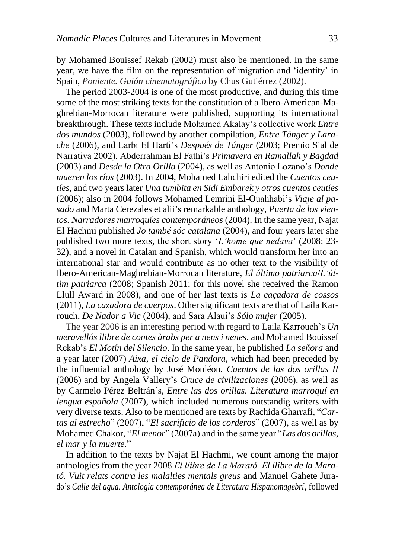by Mohamed Bouissef Rekab (2002) must also be mentioned. In the same year, we have the film on the representation of migration and 'identity' in Spain, *Poniente. Guión cinematográfico* by Chus Gutiérrez (2002).

The period 2003-2004 is one of the most productive, and during this time some of the most striking texts for the constitution of a Ibero-American-Maghrebian-Morrocan literature were published, supporting its international breakthrough. These texts include Mohamed Akalay's collective work *Entre dos mundos* (2003), followed by another compilation, *Entre Tánger y Larache* (2006), and Larbi El Harti's *Después de Tánger* (2003; Premio Sial de Narrativa 2002), Abderrahman El Fathi's *Primavera en Ramallah y Bagdad*  (2003) and *Desde la Otra Orilla* (2004), as well as Antonio Lozano's *Donde mueren los ríos* (2003). In 2004, Mohamed Lahchiri edited the *Cuentos ceutíes,* and two years later *Una tumbita en Sidi Embarek y otros cuentos ceutíes*  (2006); also in 2004 follows Mohamed Lemrini El-Ouahhabi's *Viaje al pasado* and Marta Cerezales et alii's remarkable anthology, *Puerta de los vientos. Narradores marroquíes contemporáneos* (2004). In the same year, Najat El Hachmi published *Jo també sóc catalana* (2004), and four years later she published two more texts, the short story '*L'home que nedava*' [\(2008:](http://ca.wikipedia.org/wiki/2008) 23- 32), and a novel in Catalan and Spanish, which would transform her into an international star and would contribute as no other text to the visibility of Ibero-American-Maghrebian-Morrocan literature, *El último patriarca*/*L'últim patriarca* (2008; Spanish 2011; for this novel she received the Ramon Llull Award in 2008), and one of her last texts is *La caçadora de cossos* (2011), *La cazadora de cuerpos*. Other significant texts are that of Laila Karrouch, *De Nador a Vic* (2004), and Sara Alaui's *Sólo mujer* (2005).

The year 2006 is an interesting period with regard to Laila Karrouch's *Un meravellós llibre de contes àrabs per a nens i nenes*, and Mohamed Bouissef Rekab's *El Motín del Silencio*. In the same year, he published *La señora* and a year later (2007) *Aixa, el cielo de Pandora*, which had been preceded by the influential anthology by José Monléon, *Cuentos de las dos orillas II*  (2006) and by Angela Vallery's *Cruce de civilizaciones* (2006), as well as by Carmelo Pérez Beltrán's, *Entre las dos orillas. Literatura marroquí en lengua española* (2007), which included numerous outstandig writers with very diverse texts. Also to be mentioned are texts by Rachida Gharrafi, "*Cartas al estrecho*" (2007), "*El sacrificio de los corderos*" (2007), as well as by Mohamed Chakor, "*El menor*" (2007a) and in the same year "*Las dos orillas, el mar y la muerte*."

In addition to the texts by Najat El Hachmi, we count among the major anthologies from the year 2008 *El llibre de La Marató. El llibre de la Marató. Vuit relats contra les malalties mentals greus* and Manuel Gahete Jurado's *Calle del agua. Antología contemporánea de Literatura Hispanomagebrí*, followed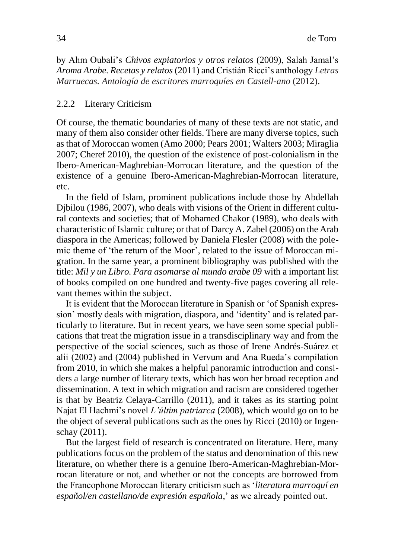by Ahm Oubali's *Chivos expiatorios y otros relatos* (2009), Salah Jamal's *Aroma Arabe. Recetas y relatos* (2011) and Cristián Ricci's anthology *Letras Marruecas. Antología de escritores marroquíes en Castell-ano* (2012).

### 2.2.2 Literary Criticism

Of course, the thematic boundaries of many of these texts are not static, and many of them also consider other fields. There are many diverse topics, such as that of Moroccan women (Amo 2000; Pears 2001; Walters 2003; Miraglia 2007; Cheref 2010), the question of the existence of post-colonialism in the Ibero-American-Maghrebian-Morrocan literature, and the question of the existence of a genuine Ibero-American-Maghrebian-Morrocan literature, etc.

In the field of Islam, prominent publications include those by Abdellah Dibilou (1986, 2007), who deals with visions of the Orient in different cultural contexts and societies; that of Mohamed Chakor (1989), who deals with characteristic of Islamic culture; or that of Darcy A. Zabel (2006) on the Arab diaspora in the Americas; followed by Daniela Flesler (2008) with the polemic theme of 'the return of the Moor', related to the issue of Moroccan migration. In the same year, a prominent bibliography was published with the title: *Mil y un Libro. Para asomarse al mundo arabe 09* with a important list of books compiled on one hundred and twenty-five pages covering all relevant themes within the subject.

It is evident that the Moroccan literature in Spanish or 'of Spanish expression' mostly deals with migration, diaspora, and 'identity' and is related particularly to literature. But in recent years, we have seen some special publications that treat the migration issue in a transdisciplinary way and from the perspective of the social sciences, such as those of Irene Andrés-Suárez et alii (2002) and (2004) published in Vervum and Ana Rueda's compilation from 2010, in which she makes a helpful panoramic introduction and considers a large number of literary texts, which has won her broad reception and dissemination. A text in which migration and racism are considered together is that by Beatriz Celaya-Carrillo (2011), and it takes as its starting point Najat El Hachmi's novel *L'últim patriarca* (2008), which would go on to be the object of several publications such as the ones by Ricci (2010) or Ingenschay (2011).

But the largest field of research is concentrated on literature. Here, many publications focus on the problem of the status and denomination of this new literature, on whether there is a genuine Ibero-American-Maghrebian-Morrocan literature or not, and whether or not the concepts are borrowed from the Francophone Moroccan literary criticism such as '*literatura marroquí en español/en castellano/de expresión española*,' as we already pointed out.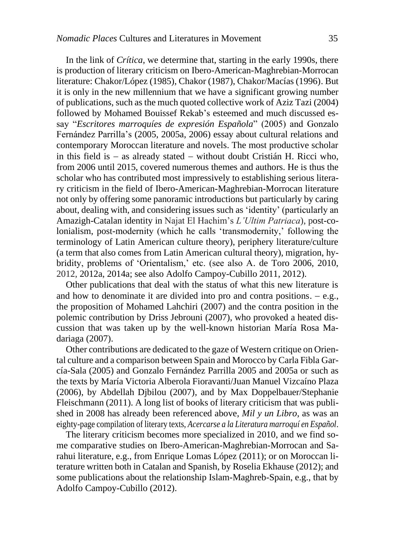In the link of *Crítica,* we determine that, starting in the early 1990s, there is production of literary criticism on Ibero-American-Maghrebian-Morrocan literature: Chakor/López (1985), Chakor (1987), Chakor/Macías (1996). But it is only in the new millennium that we have a significant growing number of publications, such as the much quoted collective work of Aziz Tazi (2004) followed by Mohamed Bouissef Rekab's esteemed and much discussed essay "*Escritores marroquíes de expresión Española*" (2005) and Gonzalo Fernández Parrilla's (2005, 2005a, 2006) essay about cultural relations and contemporary Moroccan literature and novels. The most productive scholar in this field is − as already stated − without doubt Cristián H. Ricci who, from 2006 until 2015, covered numerous themes and authors. He is thus the scholar who has contributed most impressively to establishing serious literary criticism in the field of Ibero-American-Maghrebian-Morrocan literature not only by offering some panoramic introductions but particularly by caring about, dealing with, and considering issues such as 'identity' (particularly an Amazigh-Catalan identity in Najat El Hachim's *L'Ultim Patriaca*), post-colonialism, post-modernity (which he calls 'transmodernity,' following the terminology of Latin American culture theory), periphery literature/culture (a term that also comes from Latin American cultural theory), migration, hybridity, problems of 'Orientalism,' etc. (see also A. de Toro 2006, 2010, 2012, 2012a, 2014a; see also Adolfo Campoy-Cubillo 2011, 2012).

Other publications that deal with the status of what this new literature is and how to denominate it are divided into pro and contra positions. − e.g., the proposition of Mohamed Lahchiri (2007) and the contra position in the polemic contribution by Driss Jebrouni (2007), who provoked a heated discussion that was taken up by the well-known historian María Rosa Madariaga (2007).

Other contributions are dedicated to the gaze of Western critique on Oriental culture and a comparison between Spain and Morocco by Carla Fibla García-Sala (2005) and Gonzalo Fernández Parrilla 2005 and 2005a or such as the texts by María Victoria Alberola Fioravanti/Juan Manuel Vizcaíno Plaza (2006), by Abdellah Djbilou (2007), and by Max Doppelbauer/Stephanie Fleischmann (2011). A long list of books of literary criticism that was published in 2008 has already been referenced above, *Mil y un Libro*, as was an eighty-page compilation of literary texts, *Acercarse a la Literatura marroquí en Español*.

The literary criticism becomes more specialized in 2010, and we find some comparative studies on Ibero-American-Maghrebian-Morrocan and Sarahui literature, e.g., from Enrique Lomas López (2011); or on Moroccan literature written both in Catalan and Spanish, by Roselia Ekhause (2012); and some publications about the relationship Islam-Maghreb-Spain, e.g., that by Adolfo Campoy-Cubillo (2012).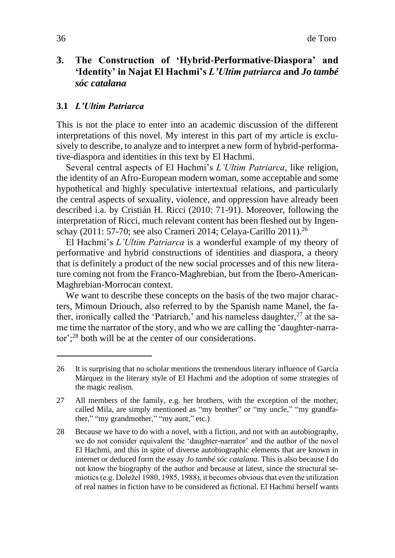# **3. The Construction of 'Hybrid-Performative-Diaspora' and 'Identity' in Najat El Hachmi's** *L'Ultim patriarca* **and** *Jo també sóc catalana*

### **3.1** *L'Ultim Patriarca*

This is not the place to enter into an academic discussion of the different interpretations of this novel. My interest in this part of my article is exclusively to describe, to analyze and to interpret a new form of hybrid-performative-diaspora and identities in this text by El Hachmi.

Several central aspects of El Hachmi's *L'Ultim Patriarca*, like religion, the identity of an Afro-European modern woman, some acceptable and some hypothetical and highly speculative intertextual relations, and particularly the central aspects of sexuality, violence, and oppression have already been described i.a. by Cristián H. Ricci (2010: 71-91). Moreover, following the interpretation of Ricci, much relevant content has been fleshed out by Ingenschay (2011: 57-70; see also Crameri 2014; Celaya-Carillo 2011).<sup>26</sup>

El Hachmi's *L'Ultim Patriarca* is a wonderful example of my theory of performative and hybrid constructions of identities and diaspora, a theory that is definitely a product of the new social processes and of this new literature coming not from the Franco-Maghrebian, but from the Ibero-American-Maghrebian-Morrocan context.

We want to describe these concepts on the basis of the two major characters, Mimoun Driouch, also referred to by the Spanish name Manel, the father, ironically called the 'Patriarch,' and his nameless daughter, $27$  at the same time the narrator of the story, and who we are calling the 'daughter-narrator'; <sup>28</sup> both will be at the center of our considerations.

<sup>26</sup> It is surprising that no scholar mentions the tremendous literary influence of García Márquez in the literary style of El Hachmi and the adoption of some strategies of the magic realism.

<sup>27</sup> All members of the family, e.g. her brothers, with the exception of the mother, called Mila, are simply mentioned as "my brother" or "my uncle," "my grandfather," "my grandmother," "my aunt," etc.)

<sup>28</sup> Because we have to do with a novel, with a fiction, and not with an autobiography, we do not consider equivalent the 'daughter-narrator' and the author of the novel El Hachmi, and this in spite of diverse autobiographic elements that are known in internet or deduced form the essay *Jo també sóc catalana*. This is also because I do not know the biography of the author and because at latest, since the structural semiotics (e.g. Doležel 1980, 1985, 1988), it becomes obvious that even the utilization of real names in fiction have to be considered as fictional. El Hachmi herself wants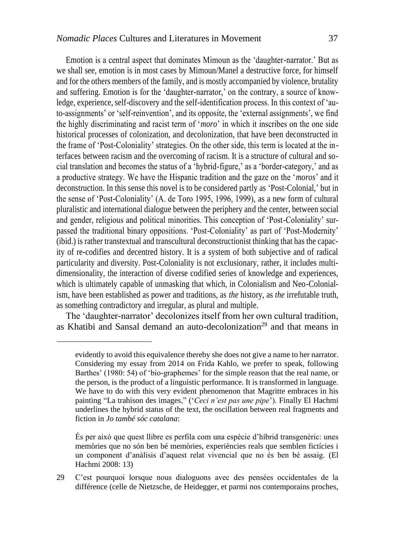#### *Nomadic Places* Cultures and Literatures in Movement 37

Emotion is a central aspect that dominates Mimoun as the 'daughter-narrator.' But as we shall see, emotion is in most cases by Mimoun/Manel a destructive force, for himself and for the others members of the family, and is mostly accompanied by violence, brutality and suffering. Emotion is for the 'daughter-narrator,' on the contrary, a source of knowledge, experience, self-discovery and the self-identification process. In this context of 'auto-assignments' or 'self-reinvention', and its opposite, the 'external assignments', we find the highly discriminating and racist term of '*moro*' in which it inscribes on the one side historical processes of colonization, and decolonization, that have been deconstructed in the frame of 'Post-Coloniality' strategies. On the other side, this term is located at the interfaces between racism and the overcoming of racism. It is a structure of cultural and social translation and becomes the status of a 'hybrid-figure,' as a 'border-category,' and as a productive strategy. We have the Hispanic tradition and the gaze on the '*moros*' and it deconstruction. In this sense this novel is to be considered partly as 'Post-Colonial,' but in the sense of 'Post-Coloniality' (A. de Toro 1995, 1996, 1999), as a new form of cultural pluralistic and international dialogue between the periphery and the center, between social and gender, religious and political minorities. This conception of 'Post-Coloniality' surpassed the traditional binary oppositions. 'Post-Coloniality' as part of 'Post-Modernity' (ibid.) is rather transtextual and transcultural deconstructionist thinking that has the capacity of re-codifies and decentred history. It is a system of both subjective and of radical particularity and diversity. Post-Coloniality is not exclusionary, rather, it includes multidimensionality, the interaction of diverse codified series of knowledge and experiences, which is ultimately capable of unmasking that which, in Colonialism and Neo-Colonialism, have been established as power and traditions, as *the* history, as *the* irrefutable truth, as something contradictory and irregular, as plural and multiple.

The 'daughter-narrator' decolonizes itself from her own cultural tradition, as Khatibi and Sansal demand an auto-decolonization<sup>29</sup> and that means in

evidently to avoid this equivalence thereby she does not give a name to her narrator. Considering my essay from 2014 on Frida Kahlo, we prefer to speak, following Barthes' (1980: 54) of 'bio-graphemes' for the simple reason that the real name, or the person, is the product of a linguistic performance. It is transformed in language. We have to do with this very evident phenomenon that Magritte embraces in his painting "La trahison des images," ('*Ceci n'est pas une pipe*'). Finally El Hachmi underlines the hybrid status of the text, the oscillation between real fragments and fiction in *Jo també sóc catalana*:

És per això que quest llibre es perfila com una espècie d'híbrid transgenèric: unes memòries que no són ben bé memòries, experiències reals que semblen fictícies i un component d'anàlisis d'aquest relat vivencial que no és ben bé assaig. (El Hachmi 2008: 13)

<sup>29</sup> C'est pourquoi lorsque nous dialoguons avec des pensées occidentales de la différence (celle de Nietzsche, de Heidegger, et parmi nos contemporains proches,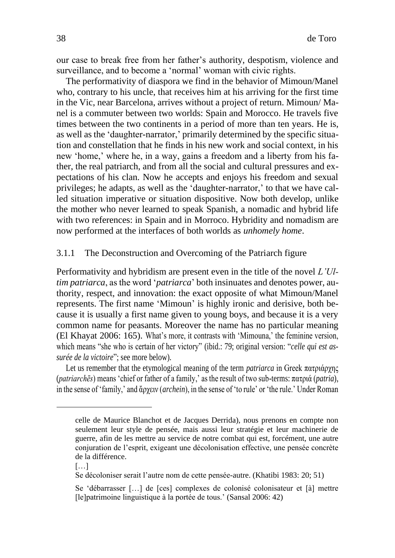our case to break free from her father's authority, despotism, violence and surveillance, and to become a 'normal' woman with civic rights.

The performativity of diaspora we find in the behavior of Mimoun/Manel who, contrary to his uncle, that receives him at his arriving for the first time in the Vic, near Barcelona, arrives without a project of return. Mimoun/ Manel is a commuter between two worlds: Spain and Morocco. He travels five times between the two continents in a period of more than ten years. He is, as well as the 'daughter-narrator,' primarily determined by the specific situation and constellation that he finds in his new work and social context, in his new 'home,' where he, in a way, gains a freedom and a liberty from his father, the real patriarch, and from all the social and cultural pressures and expectations of his clan. Now he accepts and enjoys his freedom and sexual privileges; he adapts, as well as the 'daughter-narrator,' to that we have called situation imperative or situation dispositive. Now both develop, unlike the mother who never learned to speak Spanish, a nomadic and hybrid life with two references: in Spain and in Morroco. Hybridity and nomadism are now performed at the interfaces of both worlds as *unhomely home*.

#### 3.1.1 The Deconstruction and Overcoming of the Patriarch figure

Performativity and hybridism are present even in the title of the novel *L'Ultim patriarca*, as the word '*patriarca*' both insinuates and denotes power, authority, respect, and innovation: the exact opposite of what Mimoun/Manel represents. The first name 'Mimoun' is highly ironic and derisive, both because it is usually a first name given to young boys, and because it is a very common name for peasants. Moreover the name has no particular meaning (El Khayat 2006: 165). What's more, it contrasts with 'Mimouna,' the feminine version, which means "she who is certain of her victory" (ibid.: 79; original version: "*celle qui est assurée de la victoire*"; see more below).

Let us remember that the etymological meaning of the term *patriarca* in Greek πατριάρχης (*patriarchēs*) means 'chief or father of a family,' as the result of two sub-terms: πατριά (*patria*), in the sense of 'family,' and ἄρχειν (*archein*), in the sense of 'to rule' or 'the rule.' Under Roman

[…]

celle de Maurice Blanchot et de Jacques Derrida), nous prenons en compte non seulement leur style de pensée, mais aussi leur stratégie et leur machinerie de guerre, afin de les mettre au service de notre combat qui est, forcément, une autre conjuration de l'esprit, exigeant une décolonisation effective, une pensée concrète de la différence.

Se décoloniser serait l'autre nom de cette pensée-autre. (Khatibi 1983: 20; 51)

Se 'débarrasser […] de [ces] complexes de colonisé colonisateur et [à] mettre [le]patrimoine linguistique à la portée de tous.' (Sansal 2006: 42)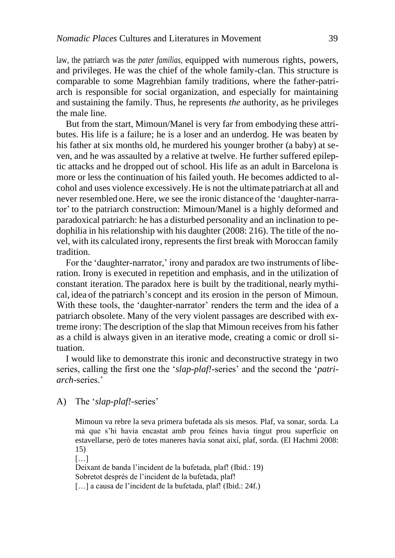law, the patriarch was the *pater familias*, equipped with numerous rights, powers, and privileges. He was the chief of the whole family-clan. This structure is comparable to some Magrehbian family traditions, where the father-patriarch is responsible for social organization, and especially for maintaining and sustaining the family. Thus, he represents *the* authority, as he privileges the male line.

But from the start, Mimoun/Manel is very far from embodying these attributes. His life is a failure; he is a loser and an underdog. He was beaten by his father at six months old, he murdered his younger brother (a baby) at seven, and he was assaulted by a relative at twelve. He further suffered epileptic attacks and he dropped out of school. His life as an adult in Barcelona is more or less the continuation of his failed youth. He becomes addicted to alcohol and uses violence excessively.He is not the ultimatepatriarchat all and never resembled one.Here, we see the ironic distance ofthe 'daughter-narrator' to the patriarch construction: Mimoun/Manel is a highly deformed and paradoxical patriarch: he has a disturbed personality and an inclination to pedophilia in his relationship with his daughter (2008: 216). The title of the novel, with its calculated irony, represents the first break with Moroccan family tradition.

For the 'daughter-narrator,' irony and paradox are two instruments of liberation. Irony is executed in repetition and emphasis, and in the utilization of constant iteration. The paradox here is built by the traditional, nearly mythical, idea of the patriarch's concept and its erosion in the person of Mimoun. With these tools, the 'daughter-narrator' renders the term and the idea of a patriarch obsolete. Many of the very violent passages are described with extreme irony: The description of the slap that Mimoun receives from his father as a child is always given in an iterative mode, creating a comic or droll situation.

I would like to demonstrate this ironic and deconstructive strategy in two series, calling the first one the '*slap-plaf!-*series' and the second the '*patriarch*-series.'

A) The '*slap-plaf!-*series'

Mimoun va rebre la seva primera bufetada als sis mesos. Plaf, va sonar, sorda. La mà que s'hi havia encastat amb prou feines havia tingut prou superficie on estavellarse, però de totes maneres havia sonat així, plaf, sorda. (El Hachmi 2008: 15)

[…]

Deixant de banda l'incident de la bufetada, plaf! (Ibid.: 19)

Sobretot després de l'incident de la bufetada, plaf!

[...] a causa de l'incident de la bufetada, plaf! (Ibid.: 24f.)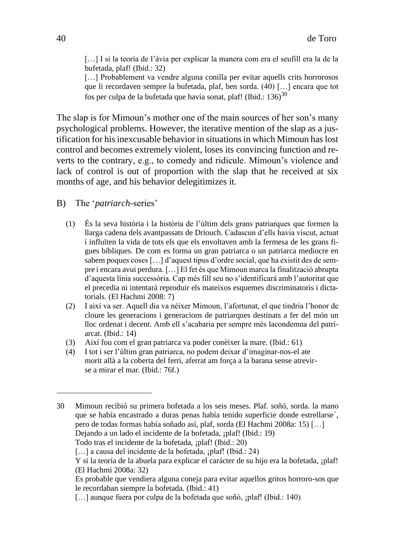[...] I si la teoría de l'àvia per explicar la manera com era el seufill era la de la bufetada, plaf! (Ibid.: 32)

[...] Probablement va vendre alguna conilla per evitar aquells crits horrorosos que li recordaven sempre la bufetada, plaf, ben sorda. (40) […] encara que tot fos per culpa de la bufetada que havia sonat, plaf! (Ibid.:  $136^{30}$ 

The slap is for Mimoun's mother one of the main sources of her son's many psychological problems. However, the iterative mention of the slap as a justification for his inexcusable behavior in situations in which Mimoun has lost control and becomes extremely violent, loses its convincing function and reverts to the contrary, e.g., to comedy and ridicule. Mimoun's violence and lack of control is out of proportion with the slap that he received at six months of age, and his behavior delegitimizes it.

- B) The '*patriarch*-series'
	- (1) És la seva història i la història de l'últim dels grans patriarques que formen la llarga cadena dels avantpassats de Driouch. Cadascun d'ells havia viscut, actuat i influïten la vida de tots els que els envoltaven amb la fermesa de les grans figues bíbliques. De com es forma un gran patriarca o un patriarca mediocre en sabem poques coses […] d'aquest tipus d'ordre social, que ha existit des de sempre i encara avui perdura. […] El fet és que Mimoun marca la finalització abrupta d'aquesta línia successòria. Cap més fill seu no s'identificarà amb l'autoritat que el precedia ni intentarà reproduir els mateixos esquemes discriminatoris i dictatorials. (El Hachmi 2008: 7)
	- (2) I així va ser. Aquell dia va néixer Mimoun, l'afortunat, el que tindria l'honor de cloure les generacions i generacions de patriarques destinats a fer del món un lloc ordenat i decent. Amb ell s'acabaria per sempre més lacondemna del patriarcat. (Ibid.: 14)
	- (3) Així fou com el gran patriarca va poder conèixer la mare. (Ibid.: 61)
	- (4) I tot i ser l'últim gran patriarca, no podem deixar d'imaginar-nos-el ate morit allà a la coberta del ferri, aferrat am força a la barana sense atrevir se a mirar el mar. (Ibid.: 76f.)

Todo tras el incidente de la bofetada, ¡plaf! (Ibid.: 20)

<sup>30</sup> Mimoun recibió su primera bofetada a los seis meses. Plaf. soñó, sorda. la mano que se había encastrado a duras penas había tenido superficie donde estrellarse´, pero de todas formas había soñado así, plaf, sorda (El Hachmi 2008a: 15) […] Dejando a un lado el incidente de la bofetada, ¡plaf! (Ibid.: 19)

<sup>[...]</sup> a causa del incidente de la bofetada, ¡plaf! (Ibid.: 24)

Y si la teoría de la abuela para explicar el carácter de su hijo era la bofetada, ¡plaf! (El Hachmi 2008a: 32)

Es probable que vendiera alguna coneja para evitar aquellos gritos horroro-sos que le recordaban siempre la bofetada. (Ibid.: 41)

<sup>[...]</sup> aunque fuera por culpa de la bofetada que soñó, ¡plaf! (Ibid.: 140)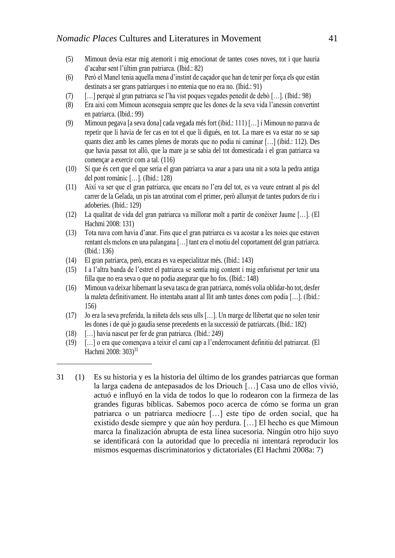### *Nomadic Places* Cultures and Literatures in Movement 41

- (5) Mimoun devia estar mig atemorit i mig emocionat de tantes coses noves, tot i que hauria d'acabar sent l'últim gran patriarca. (Ibid.: 82)
- (6) Però el Manel tenia aquella mena d'instint de caçador que han de tenir per força els que están destinats a ser grans patriarques i no entenia que no era no. (Ibid.: 91)
- (7) […] perquè al gran patriarca se l'ha vist poques vegades penedit de debò […]. (Ibid.: 98)
- (8) Era així com Mimoun aconseguia sempre que les dones de la seva vida l'anessin convertint en patriarca. (Ibid.: 99)
- (9) Mimoun pegava [a seva dona] cada vegada més fort (ibid.: 111) […] i Mimoun no parava de repetir que li havia de fer cas en tot el que li digués, en tot. La mare es va estar no se sap quants diez amb les cames plenes de morats que no podia ni caminar […] (ibid.: 112). Des que havia passat tot allò, que la mare ja se sabia del tot domesticada i el gran patriarca va començar a exercir com a tal. (116)
- (10) Sí que és cert que el que seria el gran patriarca va anar a para una nit a sota la pedra antiga del pont romànic […]. (Ibid.: 128)
- (11) Així va ser que el gran patriarca, que encara no l'era del tot, es va veure entrant al pis del carrer de la Gelada, un pis tan atrotinat com el primer, però allunyat de tantes pudors de riu i adoberies. (Ibid.: 129)
- (12) La qualitat de vida del gran patriarca va millorar molt a partir de conèixer Jaume […]. (El Hachmi 2008: 131)
- (13) Tota nava com havia d'anar. Fins que el gran patriarca es va acostar a les noies que estaven rentant els melons en una palangana […] tant era el motiu del coportament del gran patriarca. (Ibid.: 136)
- (14) El gran patriarca, però, encara es va especialitzar més. (Ibid.: 143)
- (15) I a l'altra banda de l'estret el patriarca se sentía mig content i mig enfurismat per tenir una filla que no era seva o que no podia asegurar que ho fos. (Ibid.: 148)
- (16) Mimoun va deixar hibernant la seva tasca de gran patriarca, només volia oblidar-ho tot, desfer la maleta definitivament. Ho intentaba anant al llit amb tantes dones com podia […]. (Ibid.: 156)
- (17) Jo era la seva preferida, la niñeta dels seus ulls […]. Un marge de llibertat que no solen tenir les dones i de què jo gaudia sense precedents en la successió de patriarcats. (Ibid.: 182)
- (18) […] havia nascut per fer de gran patriarca. (Ibid.: 249)
- (19) […] o era que començava a teixir el camí cap a l'enderrocament definitiu del patriarcat. (El Hachmi 2008: 303)<sup>31</sup>
- 31 (1) Es su historia y es la historia del último de los grandes patriarcas que forman la larga cadena de antepasados de los Driouch […] Casa uno de ellos vivió, actuó e influyó en la vida de todos lo que lo rodearon con la firmeza de las grandes figuras bíblicas. Sabemos poco acerca de cómo se forma un gran patriarca o un patriarca mediocre […] este tipo de orden social, que ha existido desde siempre y que aún hoy perdura. […] El hecho es que Mimoun marca la finalización abrupta de esta línea sucesoria. Ningún otro hijo suyo se identificará con la autoridad que lo precedía ni intentará reproducir los mismos esquemas discriminatorios y dictatoriales (El Hachmi 2008a: 7)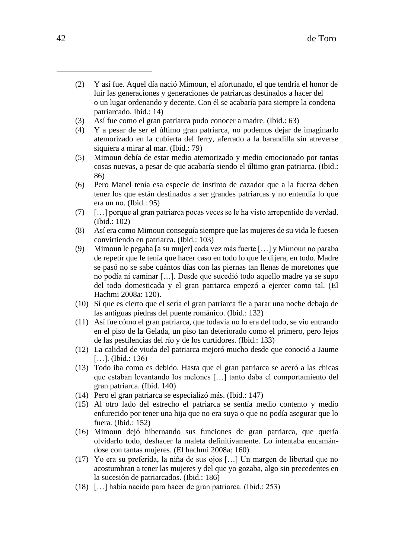- (2) Y así fue. Aquel día nació Mimoun, el afortunado, el que tendría el honor de luir las generaciones y generaciones de patriarcas destinados a hacer del o un lugar ordenando y decente. Con él se acabaría para siempre la condena patriarcado. Ibid.: 14)
- (3) Así fue como el gran patriarca pudo conocer a madre. (Ibid.: 63)
- (4) Y a pesar de ser el último gran patriarca, no podemos dejar de imaginarlo atemorizado en la cubierta del ferry, aferrado a la barandilla sin atreverse siquiera a mirar al mar. (Ibid.: 79)
- (5) Mimoun debía de estar medio atemorizado y medio emocionado por tantas cosas nuevas, a pesar de que acabaría siendo el último gran patriarca. (Ibid.: 86)
- (6) Pero Manel tenía esa especie de instinto de cazador que a la fuerza deben tener los que están destinados a ser grandes patriarcas y no entendía lo que era un no. (Ibid.: 95)
- (7) […] porque al gran patriarca pocas veces se le ha visto arrepentido de verdad. (Ibid.: 102)
- (8) Así era como Mimoun conseguía siempre que las mujeres de su vida le fuesen convirtiendo en patriarca. (Ibid.: 103)
- (9) Mimoun le pegaba [a su mujer] cada vez más fuerte […] y Mimoun no paraba de repetir que le tenía que hacer caso en todo lo que le dijera, en todo. Madre se pasó no se sabe cuántos días con las piernas tan llenas de moretones que no podía ni caminar […]. Desde que sucedió todo aquello madre ya se supo del todo domesticada y el gran patriarca empezó a ejercer como tal. (El Hachmi 2008a: 120).
- (10) Sí que es cierto que el sería el gran patriarca fie a parar una noche debajo de las antiguas piedras del puente románico. (Ibid.: 132)
- (11) Así fue cómo el gran patriarca, que todavía no lo era del todo, se vio entrando en el piso de la Gelada, un piso tan deteriorado como el primero, pero lejos de las pestilencias del río y de los curtidores. (Ibid.: 133)
- (12) La calidad de viuda del patriarca mejoró mucho desde que conoció a Jaume [...]. (Ibid.: 136)
- (13) Todo iba como es debido. Hasta que el gran patriarca se aceró a las chicas que estaban levantando los melones […] tanto daba el comportamiento del gran patriarca. (Ibid. 140)
- (14) Pero el gran patriarca se especializó más. (Ibid.: 147)
- (15) Al otro lado del estrecho el patriarca se sentía medio contento y medio enfurecido por tener una hija que no era suya o que no podía asegurar que lo fuera. (Ibid.: 152)
- (16) Mimoun dejó hibernando sus funciones de gran patriarca, que quería olvidarlo todo, deshacer la maleta definitivamente. Lo intentaba encamándose con tantas mujeres. (El hachmi 2008a: 160)
- (17) Yo era su preferida, la niña de sus ojos […] Un margen de libertad que no acostumbran a tener las mujeres y del que yo gozaba, algo sin precedentes en la sucesión de patriarcados. (Ibid.: 186)
- (18) […] había nacido para hacer de gran patriarca. (Ibid.: 253)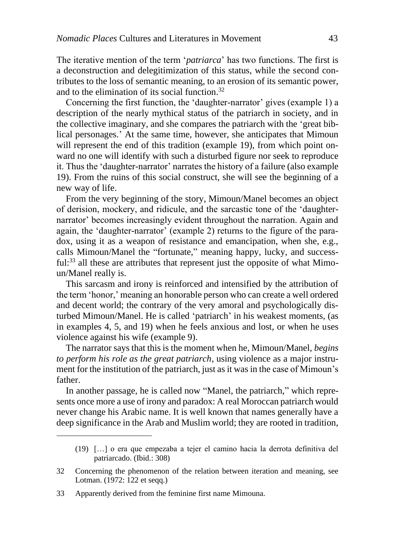The iterative mention of the term '*patriarca*' has two functions. The first is a deconstruction and delegitimization of this status, while the second contributes to the loss of semantic meaning, to an erosion of its semantic power, and to the elimination of its social function.<sup>32</sup>

Concerning the first function, the 'daughter-narrator' gives (example 1) a description of the nearly mythical status of the patriarch in society, and in the collective imaginary, and she compares the patriarch with the 'great biblical personages.' At the same time, however, she anticipates that Mimoun will represent the end of this tradition (example 19), from which point onward no one will identify with such a disturbed figure nor seek to reproduce it. Thus the 'daughter-narrator' narrates the history of a failure (also example 19). From the ruins of this social construct, she will see the beginning of a new way of life.

From the very beginning of the story, Mimoun/Manel becomes an object of derision, mockery, and ridicule, and the sarcastic tone of the 'daughternarrator' becomes increasingly evident throughout the narration. Again and again, the 'daughter-narrator' (example 2) returns to the figure of the paradox, using it as a weapon of resistance and emancipation, when she, e.g., calls Mimoun/Manel the "fortunate," meaning happy, lucky, and successful:<sup>33</sup> all these are attributes that represent just the opposite of what Mimoun/Manel really is.

This sarcasm and irony is reinforced and intensified by the attribution of the term 'honor,' meaning an honorable person who can create a well ordered and decent world; the contrary of the very amoral and psychologically disturbed Mimoun/Manel. He is called 'patriarch' in his weakest moments, (as in examples 4, 5, and 19) when he feels anxious and lost, or when he uses violence against his wife (example 9).

The narrator says that this is the moment when he, Mimoun/Manel, *begins to perform his role as the great patriarch*, using violence as a major instrument for the institution of the patriarch, just as it was in the case of Mimoun's father.

In another passage, he is called now "Manel, the patriarch," which represents once more a use of irony and paradox: A real Moroccan patriarch would never change his Arabic name. It is well known that names generally have a deep significance in the Arab and Muslim world; they are rooted in tradition,

<sup>(19) […]</sup> o era que empezaba a tejer el camino hacia la derrota definitiva del patriarcado. (Ibid.: 308)

<sup>32</sup> Concerning the phenomenon of the relation between iteration and meaning, see Lotman. (1972: 122 et seqq.)

<sup>33</sup> Apparently derived from the feminine first name Mimouna.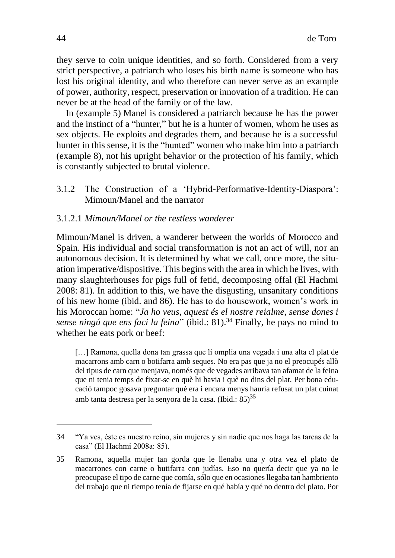they serve to coin unique identities, and so forth. Considered from a very strict perspective, a patriarch who loses his birth name is someone who has lost his original identity, and who therefore can never serve as an example of power, authority, respect, preservation or innovation of a tradition. He can never be at the head of the family or of the law.

In (example 5) Manel is considered a patriarch because he has the power and the instinct of a "hunter," but he is a hunter of women, whom he uses as sex objects. He exploits and degrades them, and because he is a successful hunter in this sense, it is the "hunted" women who make him into a patriarch (example 8), not his upright behavior or the protection of his family, which is constantly subjected to brutal violence.

3.1.2 The Construction of a 'Hybrid-Performative-Identity-Diaspora': Mimoun/Manel and the narrator

### 3.1.2.1 *Mimoun/Manel or the restless wanderer*

Mimoun/Manel is driven, a wanderer between the worlds of Morocco and Spain. His individual and social transformation is not an act of will, nor an autonomous decision. It is determined by what we call, once more, the situation imperative/dispositive. This begins with the area in which he lives, with many slaughterhouses for pigs full of fetid, decomposing offal (El Hachmi 2008: 81). In addition to this, we have the disgusting, unsanitary conditions of his new home (ibid. and 86). He has to do housework, women's work in his Moroccan home: "*Ja ho veus, aquest és el nostre reialme, sense dones i sense ningú que ens faci la feina*" (ibid.: 81).<sup>34</sup> Finally, he pays no mind to whether he eats pork or beef:

[...] Ramona, quella dona tan grassa que li omplia una vegada i una alta el plat de macarrons amb carn o botifarra amb seques. No era pas que ja no el preocupés allò del tipus de carn que menjava, només que de vegades arribava tan afamat de la feina que ni tenia temps de fixar-se en què hi havia i què no dins del plat. Per bona educació tampoc gosava preguntar què era i encara menys hauria refusat un plat cuinat amb tanta destresa per la senyora de la casa. (Ibid.:  $85^{35}$ 

<sup>34</sup> "Ya ves, éste es nuestro reino, sin mujeres y sin nadie que nos haga las tareas de la casa" (El Hachmi 2008a: 85).

<sup>35</sup> Ramona, aquella mujer tan gorda que le llenaba una y otra vez el plato de macarrones con carne o butifarra con judías. Eso no quería decir que ya no le preocupase el tipo de carne que comía, sólo que en ocasiones llegaba tan hambriento del trabajo que ni tiempo tenía de fijarse en qué había y qué no dentro del plato. Por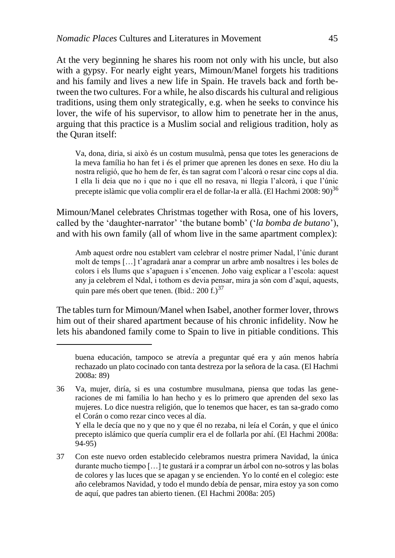At the very beginning he shares his room not only with his uncle, but also with a gypsy. For nearly eight years, Mimoun/Manel forgets his traditions and his family and lives a new life in Spain. He travels back and forth between the two cultures. For a while, he also discards his cultural and religious traditions, using them only strategically, e.g. when he seeks to convince his lover, the wife of his supervisor, to allow him to penetrate her in the anus, arguing that this practice is a Muslim social and religious tradition, holy as the Quran itself:

Va, dona, diria, si això és un costum musulmà, pensa que totes les generacions de la meva família ho han fet i és el primer que aprenen les dones en sexe. Ho diu la nostra religió, que ho hem de fer, és tan sagrat com l'alcorà o resar cinc cops al dia. I ella li deia que no i que no i que ell no resava, ni llegia l'alcorà, i que l'únic precepte islàmic que volia complir era el de follar-la er allà. (El Hachmi 2008: 90)<sup>36</sup>

Mimoun/Manel celebrates Christmas together with Rosa, one of his lovers, called by the 'daughter-narrator' 'the butane bomb' ('*la bomba de butano*'), and with his own family (all of whom live in the same apartment complex):

Amb aquest ordre nou establert vam celebrar el nostre primer Nadal, l'únic durant molt de temps […] t'agradarà anar a comprar un arbre amb nosaltres i les boles de colors i els llums que s'apaguen i s'encenen. Joho vaig explicar a l'escola: aquest any ja celebrem el Ndal, i tothom es devia pensar, mira ja són com d'aquí, aquests, quin pare més obert que tenen. (Ibid.:  $200 \text{ f.}$ )<sup>37</sup>

The tables turn for Mimoun/Manel when Isabel, another former lover, throws him out of their shared apartment because of his chronic infidelity. Now he lets his abandoned family come to Spain to live in pitiable conditions. This

buena educación, tampoco se atrevía a preguntar qué era y aún menos habría rechazado un plato cocinado con tanta destreza por la señora de la casa. (El Hachmi 2008a: 89)

<sup>36</sup> Va, mujer, diría, si es una costumbre musulmana, piensa que todas las generaciones de mi familia lo han hecho y es lo primero que aprenden del sexo las mujeres. Lo dice nuestra religión, que lo tenemos que hacer, es tan sa-grado como el Corán o como rezar cinco veces al día.

Y ella le decía que no y que no y que él no rezaba, ni leía el Corán, y que el único precepto islámico que quería cumplir era el de follarla por ahí. (El Hachmi 2008a: 94-95)

<sup>37</sup> Con este nuevo orden establecido celebramos nuestra primera Navidad, la única durante mucho tiempo […] te gustará ir a comprar un árbol con no-sotros y las bolas de colores y las luces que se apagan y se encienden. Yo lo conté en el colegio: este año celebramos Navidad, y todo el mundo debía de pensar, mira estoy ya son como de aquí, que padres tan abierto tienen. (El Hachmi 2008a: 205)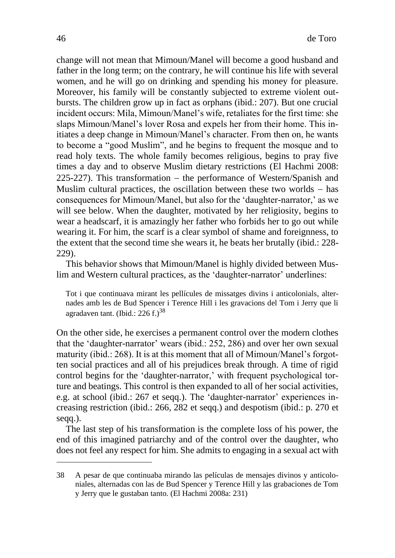change will not mean that Mimoun/Manel will become a good husband and father in the long term; on the contrary, he will continue his life with several women, and he will go on drinking and spending his money for pleasure. Moreover, his family will be constantly subjected to extreme violent outbursts. The children grow up in fact as orphans (ibid.: 207). But one crucial incident occurs: Mila, Mimoun/Manel's wife, retaliates for the first time: she slaps Mimoun/Manel's lover Rosa and expels her from their home. This initiates a deep change in Mimoun/Manel's character. From then on, he wants to become a "good Muslim", and he begins to frequent the mosque and to read holy texts. The whole family becomes religious, begins to pray five times a day and to observe Muslim dietary restrictions (El Hachmi 2008: 225-227). This transformation − the performance of Western/Spanish and Muslim cultural practices, the oscillation between these two worlds – has consequences for Mimoun/Manel, but also for the 'daughter-narrator,' as we will see below. When the daughter, motivated by her religiosity, begins to wear a headscarf, it is amazingly her father who forbids her to go out while wearing it. For him, the scarf is a clear symbol of shame and foreignness, to the extent that the second time she wears it, he beats her brutally (ibid.: 228- 229).

This behavior shows that Mimoun/Manel is highly divided between Muslim and Western cultural practices, as the 'daughter-narrator' underlines:

Tot i que continuava mirant les pellícules de missatges divins i anticolonials, alternades amb les de Bud Spencer i Terence Hill i les gravacions del Tom i Jerry que li agradaven tant. (Ibid.: 226 f.) $^{38}$ 

On the other side, he exercises a permanent control over the modern clothes that the 'daughter-narrator' wears (ibid.: 252, 286) and over her own sexual maturity (ibid.: 268). It is at this moment that all of Mimoun/Manel's forgotten social practices and all of his prejudices break through. A time of rigid control begins for the 'daughter-narrator,' with frequent psychological torture and beatings. This control is then expanded to all of her social activities, e.g. at school (ibid.: 267 et seqq.). The 'daughter-narrator' experiences increasing restriction (ibid.: 266, 282 et seqq.) and despotism (ibid.: p. 270 et seqq.).

The last step of his transformation is the complete loss of his power, the end of this imagined patriarchy and of the control over the daughter, who does not feel any respect for him. She admits to engaging in a sexual act with

<sup>38</sup> A pesar de que continuaba mirando las películas de mensajes divinos y anticoloniales, alternadas con las de Bud Spencer y Terence Hill y las grabaciones de Tom y Jerry que le gustaban tanto. (El Hachmi 2008a: 231)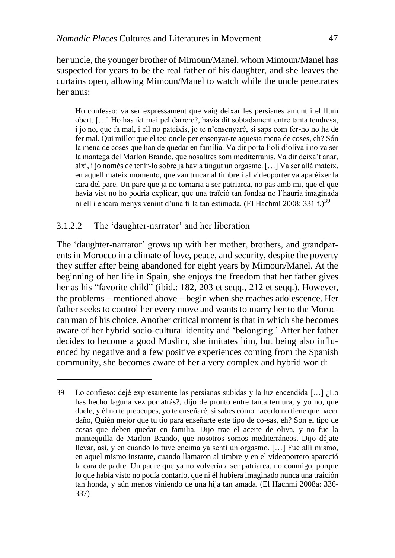her uncle, the younger brother of Mimoun/Manel, whom Mimoun/Manel has suspected for years to be the real father of his daughter, and she leaves the curtains open, allowing Mimoun/Manel to watch while the uncle penetrates her anus:

Ho confesso: va ser expressament que vaig deixar les persianes amunt i el llum obert. […] Ho has fet mai pel darrere?, havia dit sobtadament entre tanta tendresa, i jo no, que fa mal, i ell no pateixis, jo te n'ensenyaré, si saps com fer-ho no ha de fer mal. Qui millor que el teu oncle per ensenyar-te aquesta mena de coses, eh? Són la mena de coses que han de quedar en família. Va dir porta l'oli d'oliva i no va ser la mantega del Marlon Brando, que nosaltres som mediterranis. Va dir deixa't anar, així, i jo només de tenir-lo sobre ja havia tingut un orgasme. […] Va ser allà mateix, en aquell mateix momento, que van trucar al timbre i al videoporter va aparèixer la cara del pare. Un pare que ja no tornaria a ser patriarca, no pas amb mi, que el que havia vist no ho podria explicar, que una traïció tan fondaa no l'hauria imaginada ni ell i encara menys venint d'una filla tan estimada. (El Hachmi 2008: 331 f.)<sup>39</sup>

## 3.1.2.2 The 'daughter-narrator' and her liberation

The 'daughter-narrator' grows up with her mother, brothers, and grandparents in Morocco in a climate of love, peace, and security, despite the poverty they suffer after being abandoned for eight years by Mimoun/Manel. At the beginning of her life in Spain, she enjoys the freedom that her father gives her as his "favorite child" (ibid.: 182, 203 et seqq., 212 et seqq.). However, the problems − mentioned above − begin when she reaches adolescence. Her father seeks to control her every move and wants to marry her to the Moroccan man of his choice. Another critical moment is that in which she becomes aware of her hybrid socio-cultural identity and 'belonging.' After her father decides to become a good Muslim, she imitates him, but being also influenced by negative and a few positive experiences coming from the Spanish community, she becomes aware of her a very complex and hybrid world:

<sup>39</sup> Lo confieso: dejé expresamente las persianas subidas y la luz encendida […] ¿Lo has hecho laguna vez por atrás?, dijo de pronto entre tanta ternura, y yo no, que duele, y él no te preocupes, yo te enseñaré, si sabes cómo hacerlo no tiene que hacer daño, Quién mejor que tu tío para enseñarte este tipo de co-sas, eh? Son el tipo de cosas que deben quedar en familia. Dijo trae el aceite de oliva, y no fue la mantequilla de Marlon Brando, que nosotros somos mediterráneos. Dijo déjate llevar, así, y en cuando lo tuve encima ya sentí un orgasmo. […] Fue allí mismo, en aquel mismo instante, cuando llamaron al timbre y en el videoportero apareció la cara de padre. Un padre que ya no volvería a ser patriarca, no conmigo, porque lo que había visto no podía contarlo, que ni él hubiera imaginado nunca una traición tan honda, y aún menos viniendo de una hija tan amada. (El Hachmi 2008a: 336- 337)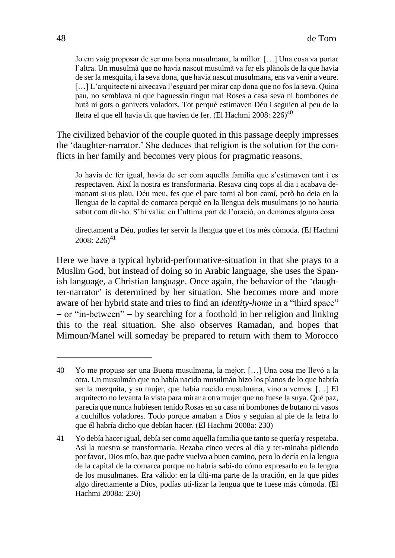Jo em vaig proposar de ser una bona musulmana, la millor. […] Una cosa va portar l'altra. Un musulmà que no havia nascut musulmà va fer els plànols de la que havia de ser la mesquita, i la seva dona, que havia nascut musulmana, ens va venir a veure. [...] L'arquitecte ni aixecava l'esguard per mirar cap dona que no fos la seva. Quina pau, no semblava ni que haguessin tingut mai Roses a casa seva ni bombones de butà ni gots o ganivets voladors. Tot perquè estimaven Déu i seguien al peu de la lletra el que ell havia dit que havien de fer. (El Hachmi 2008:  $226$ )<sup>40</sup>

The civilized behavior of the couple quoted in this passage deeply impresses the 'daughter-narrator.' She deduces that religion is the solution for the conflicts in her family and becomes very pious for pragmatic reasons.

Jo havia de fer igual, havia de ser com aquella família que s'estimaven tant i es respectaven. Així la nostra es transformaria. Resava cinq cops al dia i acabava demanant si us plau, Déu meu, fes que el pare torni al bon camí, però ho deia en la llengua de la capital de comarca perquè en la llengua dels musulmans jo no hauria sabut com dir-ho. S'hi valia: en l'ultima part de l'oració, on demanes alguna cosa

directament a Déu, podies fer servir la llengua que et fos més còmoda. (El Hachmi  $2008: 226$ <sup>41</sup>

Here we have a typical hybrid-performative-situation in that she prays to a Muslim God, but instead of doing so in Arabic language, she uses the Spanish language, a Christian language. Once again, the behavior of the 'daughter-narrator' is determined by her situation. She becomes more and more aware of her hybrid state and tries to find an *identity-home* in a "third space" − or "in-between" − by searching for a foothold in her religion and linking this to the real situation. She also observes Ramadan, and hopes that Mimoun/Manel will someday be prepared to return with them to Morocco

<sup>40</sup> Yo me propuse ser una Buena musulmana, la mejor. […] Una cosa me llevó a la otra. Un musulmán que no había nacido musulmán hizo los planos de lo que habría ser la mezquita, y su mujer, que había nacido musulmana, vino a vernos. […] El arquitecto no levanta la vista para mirar a otra mujer que no fuese la suya. Qué paz, parecía que nunca hubiesen tenido Rosas en su casa ni bombones de butano ni vasos a cuchillos voladores. Todo porque amaban a Dios y seguían al pie de la letra lo que él habría dicho que debían hacer. (El Hachmi 2008a: 230)

<sup>41</sup> Yo debía hacer igual, debía ser como aquella familia que tanto se quería y respetaba. Así la nuestra se transformaría. Rezaba cinco veces al día y ter-minaba pidiendo por favor, Dios mío, haz que padre vuelva a buen camino, pero lo decía en la lengua de la capital de la comarca porque no habría sabi-do cómo expresarlo en la lengua de los musulmanes. Era válido: en la últi-ma parte de la oración, en la que pides algo directamente a Dios, podías uti-lizar la lengua que te fuese más cómoda. (El Hachmi 2008a: 230)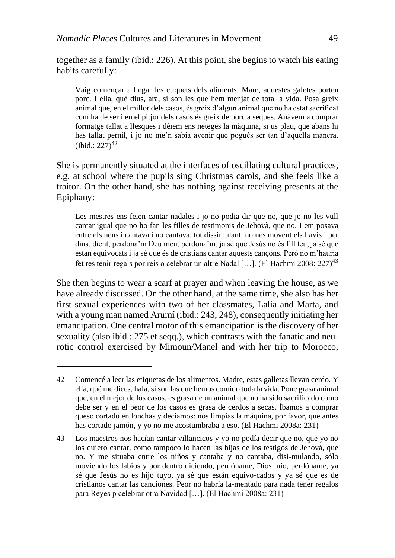together as a family (ibid.: 226). At this point, she begins to watch his eating habits carefully:

Vaig començar a llegar les etiquets dels aliments. Mare, aquestes galetes porten porc. I ella, què dius, ara, si són les que hem menjat de tota la vida. Posa greix animal que, en el millor dels casos, és greix d'algun animal que no ha estat sacrificat com ha de ser i en el pitjor dels casos és greix de porc a seques. Anàvem a comprar formatge tallat a llesques i dèiem ens neteges la màquina, si us plau, que abans hi has tallat pernil, i jo no me'n sabia avenir que pogués ser tan d'aquella manera. (Ibid.:  $227)^{42}$ 

She is permanently situated at the interfaces of oscillating cultural practices, e.g. at school where the pupils sing Christmas carols, and she feels like a traitor. On the other hand, she has nothing against receiving presents at the Epiphany:

Les mestres ens feien cantar nadales i jo no podia dir que no, que jo no les vull cantar igual que no ho fan les filles de testimonis de Jehovà, que no. I em posava entre els nens i cantava i no cantava, tot dissimulant, només movent els llavis i per dins, dient, perdona'm Déu meu, perdona'm, ja sé que Jesús no és fill teu, ja sé que estan equivocats i ja sé que és de cristians cantar aquests cançons. Però no m'hauria fet res tenir regals por reis o celebrar un altre Nadal [...]. (El Hachmi 2008: 227)<sup>43</sup>

She then begins to wear a scarf at prayer and when leaving the house, as we have already discussed. On the other hand, at the same time, she also has her first sexual experiences with two of her classmates, Lalia and Marta, and with a young man named Arumí (ibid.: 243, 248), consequently initiating her emancipation. One central motor of this emancipation is the discovery of her sexuality (also ibid.: 275 et seqq.), which contrasts with the fanatic and neurotic control exercised by Mimoun/Manel and with her trip to Morocco,

<sup>42</sup> Comencé a leer las etiquetas de los alimentos. Madre, estas galletas llevan cerdo. Y ella, qué me dices, hala, si son las que hemos comido toda la vida. Pone grasa animal que, en el mejor de los casos, es grasa de un animal que no ha sido sacrificado como debe ser y en el peor de los casos es grasa de cerdos a secas. Íbamos a comprar queso cortado en lonchas y decíamos: nos limpias la máquina, por favor, que antes has cortado jamón, y yo no me acostumbraba a eso. (El Hachmi 2008a: 231)

<sup>43</sup> Los maestros nos hacían cantar villancicos y yo no podía decir que no, que yo no los quiero cantar, como tampoco lo hacen las hijas de los testigos de Jehová, que no. Y me situaba entre los niños y cantaba y no cantaba, disi-mulando, sólo moviendo los labios y por dentro diciendo, perdóname, Dios mío, perdóname, ya sé que Jesús no es hijo tuyo, ya sé que están equivo-cados y ya sé que es de cristianos cantar las canciones. Peor no habría la-mentado para nada tener regalos para Reyes p celebrar otra Navidad […]. (El Hachmi 2008a: 231)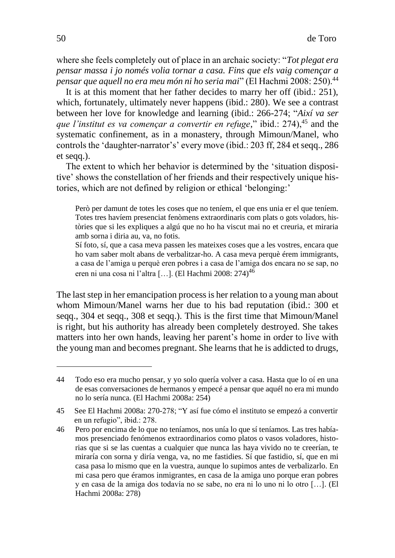where she feels completely out of place in an archaic society: "*Tot plegat era pensar massa i jo només volia tornar a casa. Fins que els vaig començar a pensar que aquell no era meu món ni ho seria mai*" (El Hachmi 2008: 250).<sup>44</sup>

It is at this moment that her father decides to marry her off (ibid.: 251), which, fortunately, ultimately never happens (ibid.: 280). We see a contrast between her love for knowledge and learning (ibid.: 266-274; "*Així va ser que l'institut es va començar a convertir en refuge*," ibid.: 274),<sup>45</sup> and the systematic confinement, as in a monastery, through Mimoun/Manel, who controls the 'daughter-narrator's' every move (ibid.: 203 ff, 284 et seqq., 286 et segg.).

The extent to which her behavior is determined by the 'situation dispositive' shows the constellation of her friends and their respectively unique histories, which are not defined by religion or ethical 'belonging:'

Però per damunt de totes les coses que no teníem, el que ens unia er el que teníem. Totes tres havíem presenciat fenòmens extraordinaris com plats o gots voladors, històries que si les expliques a algú que no ho ha viscut mai no et creuria, et miraria amb sorna i diria au, va, no fotis.

Sí foto, sí, que a casa meva passen les mateixes coses que a les vostres, encara que ho vam saber molt abans de verbalitzar-ho. A casa meva perquè érem immigrants, a casa de l'amiga u perquè eren pobres i a casa de l'amiga dos encara no se sap, no eren ni una cosa ni l'altra […]. (El Hachmi 2008: 274)<sup>46</sup>

The last step in her emancipation process is her relation to a young man about whom Mimoun/Manel warns her due to his bad reputation (ibid.: 300 et seqq., 304 et seqq., 308 et seqq.). This is the first time that Mimoun/Manel is right, but his authority has already been completely destroyed. She takes matters into her own hands, leaving her parent's home in order to live with the young man and becomes pregnant. She learns that he is addicted to drugs,

<sup>44</sup> Todo eso era mucho pensar, y yo solo quería volver a casa. Hasta que lo oí en una de esas conversaciones de hermanos y empecé a pensar que aquél no era mi mundo no lo sería nunca. (El Hachmi 2008a: 254)

<sup>45</sup> See El Hachmi 2008a: 270-278; "Y así fue cómo el instituto se empezó a convertir en un refugio", ibid.: 278.

<sup>46</sup> Pero por encima de lo que no teníamos, nos unía lo que sí teníamos. Las tres habíamos presenciado fenómenos extraordinarios como platos o vasos voladores, historias que si se las cuentas a cualquier que nunca las haya vivido no te creerían, te miraría con sorna y diría venga, va, no me fastidies. Sí que fastidio, sí, que en mi casa pasa lo mismo que en la vuestra, aunque lo supimos antes de verbalizarlo. En mi casa pero que éramos inmigrantes, en casa de la amiga uno porque eran pobres y en casa de la amiga dos todavía no se sabe, no era ni lo uno ni lo otro […]. (El Hachmi 2008a: 278)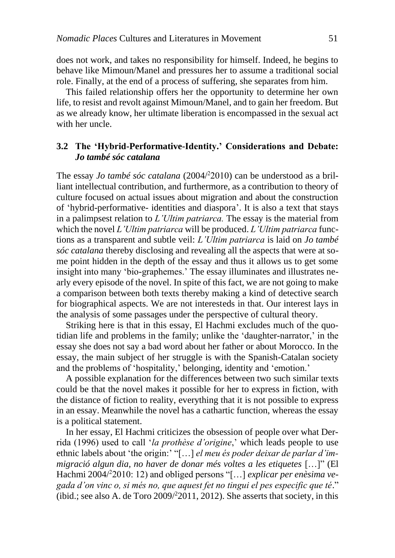does not work, and takes no responsibility for himself. Indeed, he begins to behave like Mimoun/Manel and pressures her to assume a traditional social role. Finally, at the end of a process of suffering, she separates from him.

This failed relationship offers her the opportunity to determine her own life, to resist and revolt against Mimoun/Manel, and to gain her freedom. But as we already know, her ultimate liberation is encompassed in the sexual act with her uncle.

### **3.2 The 'Hybrid-Performative-Identity.' Considerations and Debate:**  *Jo també sóc catalana*

The essay *Jo també sóc catalana* (2004/<sup>2</sup>2010) can be understood as a brilliant intellectual contribution, and furthermore, as a contribution to theory of culture focused on actual issues about migration and about the construction of 'hybrid-performative- identities and diaspora'. It is also a text that stays in a palimpsest relation to *L'Ultim patriarca.* The essay is the material from which the novel *L'Ultim patriarca* will be produced. *L'Ultim patriarca* functions as a transparent and subtle veil: *L'Ultim patriarca* is laid on *Jo també sóc catalana* thereby disclosing and revealing all the aspects that were at some point hidden in the depth of the essay and thus it allows us to get some insight into many 'bio-graphemes.' The essay illuminates and illustrates nearly every episode of the novel. In spite of this fact, we are not going to make a comparison between both texts thereby making a kind of detective search for biographical aspects. We are not interesteds in that. Our interest lays in the analysis of some passages under the perspective of cultural theory.

Striking here is that in this essay, El Hachmi excludes much of the quotidian life and problems in the family; unlike the 'daughter-narrator,' in the essay she does not say a bad word about her father or about Morocco. In the essay, the main subject of her struggle is with the Spanish-Catalan society and the problems of 'hospitality,' belonging, identity and 'emotion.'

A possible explanation for the differences between two such similar texts could be that the novel makes it possible for her to express in fiction, with the distance of fiction to reality, everything that it is not possible to express in an essay. Meanwhile the novel has a cathartic function, whereas the essay is a political statement.

In her essay, El Hachmi criticizes the obsession of people over what Derrida (1996) used to call '*la prothèse d'origine*,' which leads people to use ethnic labels about 'the origin:' "[…] *el meu és poder deixar de parlar d'immigració algun dia, no haver de donar més voltes a les etiquetes* […]" (El Hachmi 2004/22010: 12) and obliged persons "[…] *explicar per enèsima vegada d'on vinc o, si més no, que aquest fet no tingui el pes especific que té*." (ibid.; see also A. de Toro  $2009/2011$ ,  $2012$ ). She asserts that society, in this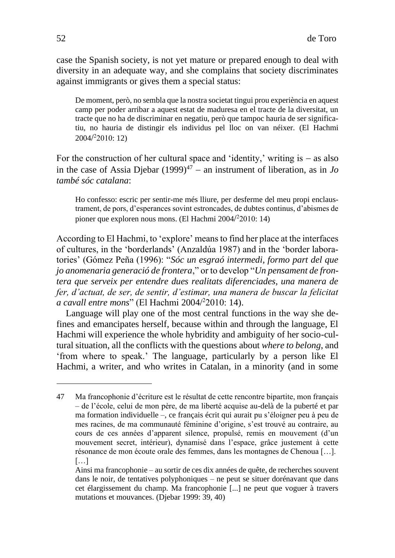case the Spanish society, is not yet mature or prepared enough to deal with diversity in an adequate way, and she complains that society discriminates against immigrants or gives them a special status:

De moment, però, no sembla que la nostra societat tingui prou experiència en aquest camp per poder arribar a aquest estat de maduresa en el tracte de la diversitat, un tracte que no ha de discriminar en negatiu, però que tampoc hauria de ser significatiu, no hauria de distingir els individus pel lloc on van néixer. (El Hachmi 2004/ 2 2010: 12)

For the construction of her cultural space and 'identity,' writing is − as also in the case of Assia Djebar  $(1999)^{47}$  – an instrument of liberation, as in *Jo també sóc catalana*:

Ho confesso: escric per sentir-me més lliure, per desferme del meu propi enclaustrament, de pors, d'esperances sovint estroncades, de dubtes continus, d'abismes de pioner que exploren nous mons. (El Hachmi 2004/ 2 2010: 14)

According to El Hachmi, to 'explore' means to find her place at the interfaces of cultures, in the 'borderlands' (Anzaldúa 1987) and in the 'border laboratories' (Gómez Peña (1996): "*Sóc un esgraó intermedi, formo part del que jo anomenaria generació de frontera*," or to develop "*Un pensament de frontera que serveix per entendre dues realitats diferenciades, una manera de fer, d'actuat, de ser, de sentir, d'estimar, una manera de buscar la felicitat a cavall entre mons*" (El Hachmi 2004/<sup>2</sup>2010: 14).

Language will play one of the most central functions in the way she defines and emancipates herself, because within and through the language, El Hachmi will experience the whole hybridity and ambiguity of her socio-cultural situation, all the conflicts with the questions about *where to belong*, and 'from where to speak.' The language, particularly by a person like El Hachmi, a writer, and who writes in Catalan, in a minority (and in some

<sup>47</sup> Ma francophonie d'écriture est le résultat de cette rencontre bipartite, mon français – de l'école, celui de mon père, de ma liberté acquise au-delà de la puberté et par ma formation individuelle –, ce français écrit qui aurait pu s'éloigner peu à peu de mes racines, de ma communauté féminine d'origine, s'est trouvé au contraire, au cours de ces années d'apparent silence, propulsé, remis en mouvement (d'un mouvement secret, intérieur), dynamisé dans l'espace, grâce justement à cette résonance de mon écoute orale des femmes, dans les montagnes de Chenoua […].  $[...]$ 

Ainsi ma francophonie – au sortir de ces dix années de quête, de recherches souvent dans le noir, de tentatives polyphoniques – ne peut se situer dorénavant que dans cet élargissement du champ. Ma francophonie [...] ne peut que voguer à travers mutations et mouvances. (Djebar 1999: 39, 40)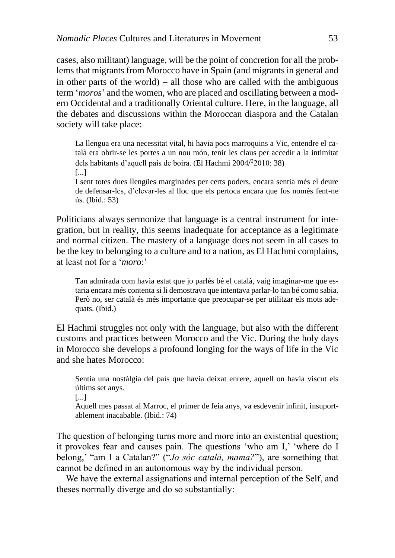cases, also militant) language, will be the point of concretion for all the problems that migrants from Morocco have in Spain (and migrants in general and in other parts of the world) − all those who are called with the ambiguous term '*moros*' and the women, who are placed and oscillating between a modern Occidental and a traditionally Oriental culture. Here, in the language, all the debates and discussions within the Moroccan diaspora and the Catalan society will take place:

La llengua era una necessitat vital, hi havia pocs marroquins a Vic, entendre el català era obrir-se les portes a un nou món, tenir les claus per accedir a la intimitat dels habitants d'aquell país de boira. (El Hachmi 2004/ 2 2010: 38)

[...]

I sent totes dues llengües marginades per certs poders, encara sentia més el deure de defensar-les, d'elevar-les al lloc que els pertoca encara que fos només fent-ne ús. (Ibid.: 53)

Politicians always sermonize that language is a central instrument for integration, but in reality, this seems inadequate for acceptance as a legitimate and normal citizen. The mastery of a language does not seem in all cases to be the key to belonging to a culture and to a nation, as El Hachmi complains, at least not for a '*moro*:'

Tan admirada com havia estat que jo parlés bé el català, vaig imaginar-me que estaria encara més contenta si li demostrava que intentava parlar-lo tan bé como sabia. Però no, ser català és més importante que preocupar-se per utilitzar els mots adequats. (Ibid.)

El Hachmi struggles not only with the language, but also with the different customs and practices between Morocco and the Vic. During the holy days in Morocco she develops a profound longing for the ways of life in the Vic and she hates Morocco:

Sentia una nostàlgia del país que havia deixat enrere, aquell on havia viscut els últims set anys.

[...]

Aquell mes passat al Marroc, el primer de feia anys, va esdevenir infinit, insuportablement inacabable. (Ibid.: 74)

The question of belonging turns more and more into an existential question; it provokes fear and causes pain. The questions 'who am I,' 'where do I belong,' "am I a Catalan?" ("*Jo sóc català, mama?*"), are something that cannot be defined in an autonomous way by the individual person.

We have the external assignations and internal perception of the Self, and theses normally diverge and do so substantially: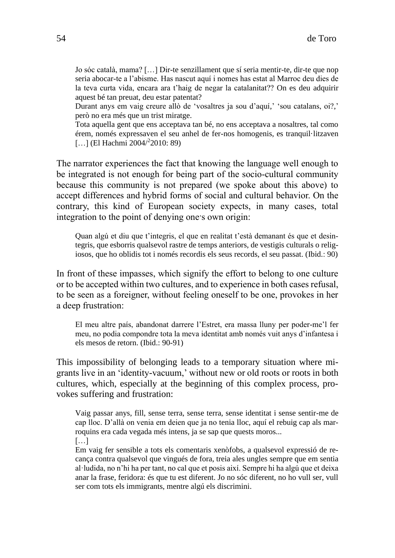Jo sóc català, mama? […] Dir-te senzillament que sí seria mentir-te, dir-te que nop seria abocar-te a l'abisme. Has nascut aquí i nomes has estat al Marroc deu dies de la teva curta vida, encara ara t'haig de negar la catalanitat?? On es deu adquirir aquest bé tan preuat, deu estar patentat?

Durant anys em vaig creure allò de 'vosaltres ja sou d'aquí,' 'sou catalans, oi?,' però no era més que un trist miratge.

Tota aquella gent que ens acceptava tan bé, no ens acceptava a nosaltres, tal como érem, només expressaven el seu anhel de fer-nos homogenis, es tranquil·litzaven [...] (El Hachmi 2004/<sup>2</sup>2010: 89)

The narrator experiences the fact that knowing the language well enough to be integrated is not enough for being part of the socio-cultural community because this community is not prepared (we spoke about this above) to accept differences and hybrid forms of social and cultural behavior. On the contrary, this kind of European society expects, in many cases, total integration to the point of denying one's own origin:

Quan algú et diu que t'integris, el que en realitat t'està demanant és que et desintegris, que esborris qualsevol rastre de temps anteriors, de vestigis culturals o religiosos, que ho oblidis tot i només recordis els seus records, el seu passat. (Ibid.: 90)

In front of these impasses, which signify the effort to belong to one culture or to be accepted within two cultures, and to experience in both cases refusal, to be seen as a foreigner, without feeling oneself to be one, provokes in her a deep frustration:

El meu altre país, abandonat darrere l'Estret, era massa lluny per poder-me'l fer meu, no podia compondre tota la meva identitat amb només vuit anys d'infantesa i els mesos de retorn. (Ibid.: 90-91)

This impossibility of belonging leads to a temporary situation where migrants live in an 'identity-vacuum,' without new or old roots or roots in both cultures, which, especially at the beginning of this complex process, provokes suffering and frustration:

Vaig passar anys, fill, sense terra, sense terra, sense identitat i sense sentir-me de cap lloc. D'allà on venia em deien que ja no tenia lloc, aquí el rebuig cap als marroquins era cada vegada més intens, ja se sap que quests moros... […]

Em vaig fer sensible a tots els comentaris xenòfobs, a qualsevol expressió de recança contra qualsevol que vingués de fora, treia ales ungles sempre que em sentia al·ludida, no n'hi ha per tant, no cal que et posis així. Sempre hi ha algú que et deixa anar la frase, feridora: és que tu est diferent. Jo no sóc diferent, no ho vull ser, vull ser com tots els immigrants, mentre algú els discrimini.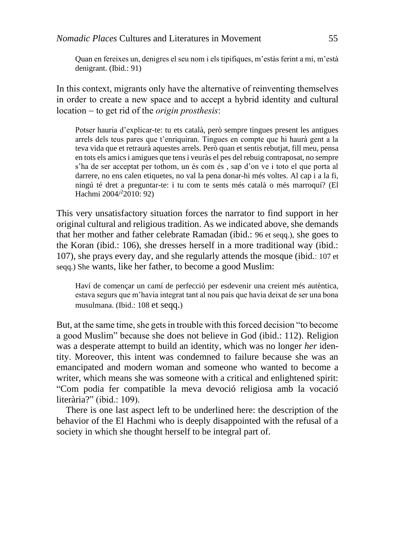Quan en fereixes un, denigres el seu nom i els tipifiques, m'estàs ferint a mi, m'està denigrant. (Ibid.: 91)

In this context, migrants only have the alternative of reinventing themselves in order to create a new space and to accept a hybrid identity and cultural location − to get rid of the *origin prosthesis*:

Potser hauria d'explicar-te: tu ets català, però sempre tingues present les antigues arrels dels teus pares que t'enriquiran. Tingues en compte que hi haurà gent a la teva vida que et retraurà aquestes arrels. Però quan et sentis rebutjat, fill meu, pensa en tots els amics i amigues que tens i veuràs el pes del rebuig contraposat, no sempre s'ha de ser acceptat per tothom, un és com és , sap d'on ve i toto el que porta al darrere, no ens calen etiquetes, no val la pena donar-hi més voltes. Al cap i a la fi, ningú té dret a preguntar-te: i tu com te sents més català o més marroquí? (El Hachmi 2004/<sup>2</sup> 2010: 92)

This very unsatisfactory situation forces the narrator to find support in her original cultural and religious tradition. As we indicated above, she demands that her mother and father celebrate Ramadan (ibid.: 96 et seqq.), she goes to the Koran (ibid.: 106), she dresses herself in a more traditional way (ibid.: 107), she prays every day, and she regularly attends the mosque (ibid.: 107 et seqq.) She wants, like her father, to become a good Muslim:

Haví de començar un camí de perfecció per esdevenir una creient més autèntica, estava segurs que m'havia integrat tant al nou país que havia deixat de ser una bona musulmana. (Ibid.: 108 et seqq.)

But, at the same time, she gets in trouble with this forced decision "to become a good Muslim" because she does not believe in God (ibid.: 112). Religion was a desperate attempt to build an identity, which was no longer *her* identity. Moreover, this intent was condemned to failure because she was an emancipated and modern woman and someone who wanted to become a writer, which means she was someone with a critical and enlightened spirit: "Com podia fer compatible la meva devoció religiosa amb la vocació literària?" (ibid.: 109).

There is one last aspect left to be underlined here: the description of the behavior of the El Hachmi who is deeply disappointed with the refusal of a society in which she thought herself to be integral part of.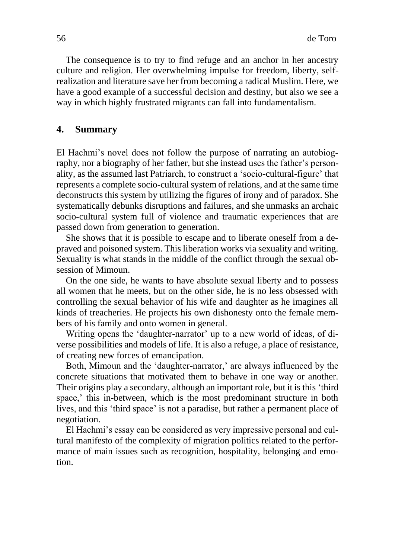The consequence is to try to find refuge and an anchor in her ancestry culture and religion. Her overwhelming impulse for freedom, liberty, selfrealization and literature save her from becoming a radical Muslim. Here, we have a good example of a successful decision and destiny, but also we see a way in which highly frustrated migrants can fall into fundamentalism.

## **4. Summary**

El Hachmi's novel does not follow the purpose of narrating an autobiography, nor a biography of her father, but she instead uses the father's personality, as the assumed last Patriarch, to construct a 'socio-cultural-figure' that represents a complete socio-cultural system of relations, and at the same time deconstructs this system by utilizing the figures of irony and of paradox. She systematically debunks disruptions and failures, and she unmasks an archaic socio-cultural system full of violence and traumatic experiences that are passed down from generation to generation.

She shows that it is possible to escape and to liberate oneself from a depraved and poisoned system. This liberation works via sexuality and writing. Sexuality is what stands in the middle of the conflict through the sexual obsession of Mimoun.

On the one side, he wants to have absolute sexual liberty and to possess all women that he meets, but on the other side, he is no less obsessed with controlling the sexual behavior of his wife and daughter as he imagines all kinds of treacheries. He projects his own dishonesty onto the female members of his family and onto women in general.

Writing opens the 'daughter-narrator' up to a new world of ideas, of diverse possibilities and models of life. It is also a refuge, a place of resistance, of creating new forces of emancipation.

Both, Mimoun and the 'daughter-narrator,' are always influenced by the concrete situations that motivated them to behave in one way or another. Their origins play a secondary, although an important role, but it is this 'third space,' this in-between, which is the most predominant structure in both lives, and this 'third space' is not a paradise, but rather a permanent place of negotiation.

El Hachmi's essay can be considered as very impressive personal and cultural manifesto of the complexity of migration politics related to the performance of main issues such as recognition, hospitality, belonging and emotion.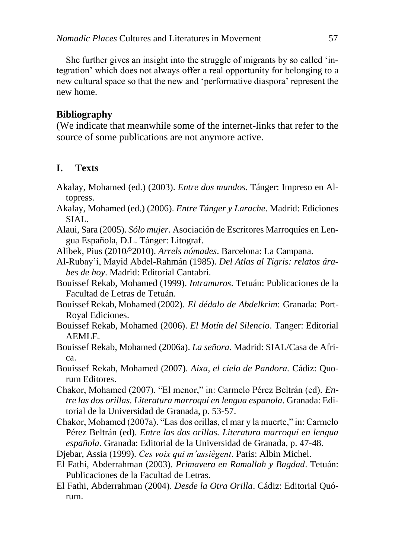She further gives an insight into the struggle of migrants by so called 'integration' which does not always offer a real opportunity for belonging to a new cultural space so that the new and 'performative diaspora' represent the new home.

# **Bibliography**

(We indicate that meanwhile some of the internet-links that refer to the source of some publications are not anymore active.

# **I. Texts**

- Akalay, Mohamed (ed.) (2003). *Entre dos mundos*. Tánger: Impreso en Altopress.
- Akalay, Mohamed (ed.) (2006). *Entre Tánger y Larache*. Madrid: Ediciones SIAL.
- Alaui, Sara (2005). *Sólo mujer.* Asociación de Escritores Marroquíes en Lengua Española, D.L. Tánger: Litograf.
- Alibek, Pius (2010/<sup>5</sup>2010). *Arrels nómades*. Barcelona: La Campana.
- Al-Rubay'i, Mayid Abdel-Rahmán (1985). *Del Atlas al Tigris: relatos árabes de hoy*. Madrid: Editorial Cantabri.
- Bouissef Rekab, Mohamed (1999). *Intramuros*. Tetuán: Publicaciones de la Facultad de Letras de Tetuán.
- Bouissef Rekab, Mohamed (2002). *El dédalo de Abdelkrim*: Granada: Port-Royal Ediciones.
- Bouissef Rekab, Mohamed (2006). *El Motín del Silencio*. Tanger: Editorial AEMLE.
- Bouissef Rekab, Mohamed (2006a). *La señora.* Madrid: SIAL/Casa de Africa.
- Bouissef Rekab, Mohamed (2007). *Aixa, el cielo de Pandora.* Cádiz: Quorum Editores.
- Chakor, Mohamed (2007). "El menor," in: Carmelo Pérez Beltrán (ed). *Entre las dos orillas. Literatura marroquí en lengua espanola*. Granada: Editorial de la Universidad de Granada, p. 53-57.
- Chakor, Mohamed (2007a). "Las dos orillas, el mar y la muerte," in: Carmelo Pérez Beltrán (ed). *Entre las dos orillas. Literatura marroquí en lengua española*. Granada: Editorial de la Universidad de Granada, p. 47-48.
- Djebar, Assia (1999). *Ces voix qui m'assiègent*. Paris: Albin Michel.
- El Fathi, Abderrahman (2003). *Primavera en Ramallah y Bagdad*. Tetuán: Publicaciones de la Facultad de Letras.
- El Fathi, Abderrahman (2004). *Desde la Otra Orilla*. Cádiz: Editorial Quórum.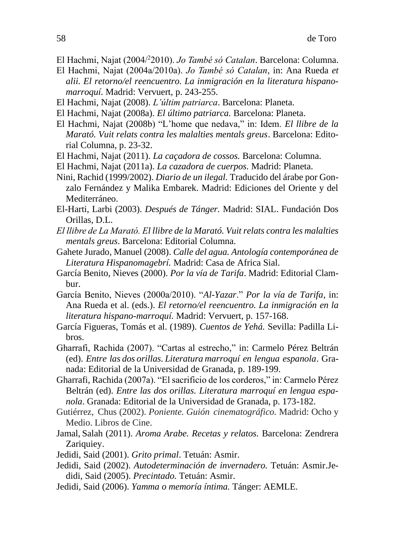- El Hachmi, Najat (2004/<sup>2</sup>2010). *Jo També só Catalan*. Barcelona: Columna.
- El Hachmi, Najat (2004a/2010a). *Jo També só Catalan*, in: Ana Rueda *et alii. El retorno/el reencuentro. La inmigración en la literatura hispanomarroquí.* Madrid: Vervuert, p. 243-255.
- El Hachmi, Najat (2008). *L'últim patriarca*. Barcelona: Planeta.
- El Hachmi, Najat (2008a). *El último patriarca.* Barcelona: Planeta.
- El Hachmi, Najat [\(2008b](http://ca.wikipedia.org/wiki/2008)) "L'home que nedava," in: Idem. *El llibre de la Marató. Vuit relats contra les malalties mentals greus*. Barcelona: Editorial Columna, p. 23-32.
- El Hachmi, Najat (2011). *La caçadora de cossos.* Barcelona: Columna.
- El Hachmi, Najat (2011a). *La cazadora de cuerpos.* Madrid: Planeta.
- Nini, Rachid (1999/2002). *Diario de un ilegal.* Traducido del árabe por Gonzalo Fernández y Malika Embarek. Madrid: Ediciones del Oriente y del Mediterráneo.
- El-Harti, Larbi (2003). *Después de Tánger.* Madrid: SIAL. Fundación Dos Orillas, D.L.
- *El llibre de La Marató. El llibre de la Marató. Vuit relats contra les malalties mentals greus*. Barcelona: Editorial Columna.
- Gahete Jurado, Manuel (2008). *Calle del agua. Antología contemporánea de Literatura Hispanomagebrí.* Madrid: Casa de Africa Sial.
- García Benito, Nieves (2000). *Por la vía de Tarifa*. Madrid: Editorial Clambur.
- García Benito, Nieves (2000a/2010). "*Al-Yazar*." *Por la vía de Tarifa*, in: Ana Rueda et al. (eds.). *El retorno/el reencuentro. La inmigración en la literatura hispano-marroquí.* Madrid: Vervuert, p. 157-168.
- García Figueras, Tomás et al. (1989). *Cuentos de Yehá.* Sevilla: Padilla Libros.
- Gharrafi, Rachida (2007). "Cartas al estrecho," in: Carmelo Pérez Beltrán (ed). *Entre las dos orillas. Literatura marroquí en lengua espanola*. Granada: Editorial de la Universidad de Granada, p. 189-199.
- Gharrafi, Rachida (2007a). "El sacrificio de los corderos," in: Carmelo Pérez Beltrán (ed). *Entre las dos orillas. Literatura marroquí en lengua espanola*. Granada: Editorial de la Universidad de Granada, p. 173-182.
- Gutiérrez, Chus (2002). *Poniente. Guión cinematográfico.* Madrid: Ocho y Medio. Libros de Cine.
- Jamal, Salah (2011). *Aroma Arabe. Recetas y relatos.* Barcelona: Zendrera Zariquiey.
- Jedidi, Said (2001). *Grito primal*. Tetuán: Asmir.
- Jedidi, Said (2002). *Autodeterminación de invernadero.* Tetuán: Asmir.Jedidi, Said (2005). *Precintado.* Tetuán: Asmir.
- Jedidi, Said (2006). *Yamma o memoría íntima.* Tánger: AEMLE.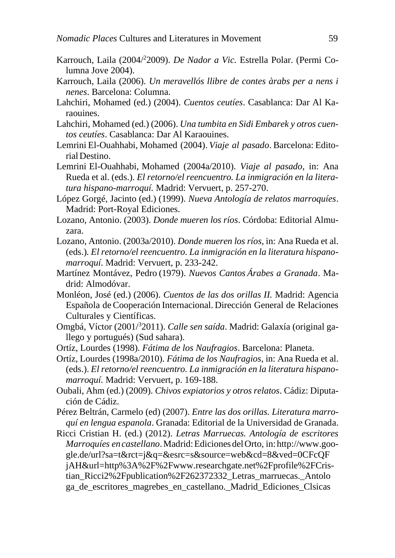- Karrouch, Laila (2004/<sup>2</sup>2009). *De Nador a Vic.* Estrella Polar. (Permi Columna Jove 2004).
- Karrouch, Laila (2006). *Un meravellós llibre de contes àrabs per a nens i nenes*. Barcelona: Columna.
- Lahchiri, Mohamed (ed.) (2004). *Cuentos ceutíes*. Casablanca: Dar Al Karaouines.
- Lahchiri, Mohamed (ed.) (2006). *Una tumbita en Sidi Embarek y otros cuentos ceutíes*. Casablanca: Dar Al Karaouines.
- Lemrini El-Ouahhabi, Mohamed (2004). *Viaje al pasado*. Barcelona: EditorialDestino.
- Lemrini El-Ouahhabi, Mohamed (2004a/2010). *Viaje al pasado*, in: Ana Rueda et al. (eds.)*. El retorno/el reencuentro. La inmigración en la literatura hispano-marroquí.* Madrid: Vervuert, p. 257-270.
- López Gorgé, Jacinto (ed.) (1999). *Nueva Antología de relatos marroquíes*. Madrid: Port-Royal Ediciones.
- Lozano, Antonio. (2003). *Donde mueren los ríos*. Córdoba: Editorial Almuzara.
- Lozano, Antonio. (2003a/2010). *Donde mueren los ríos*, in: Ana Rueda et al. (eds.)*. El retorno/el reencuentro. La inmigración en la literatura hispanomarroquí.* Madrid: Vervuert, p. 233-242.
- Martínez Montávez, Pedro (1979). *Nuevos Cantos Árabes a Granada*. Madrid: Almodóvar.
- Monléon, José (ed.) (2006). *Cuentos de las dos orillas II.* Madrid: Agencia Española de Cooperación Internacional. Dirección General de Relaciones Culturales y Científicas.
- Omgbá, Víctor (2001/32011). *Calle sen saída*. Madrid: Galaxía (original gallego y portugués) (Sud sahara).
- Ortíz, Lourdes (1998). *Fátima de los Naufragios*. Barcelona: Planeta.
- Ortíz, Lourdes (1998a/2010). *Fátima de los Naufragios*, in: Ana Rueda et al. (eds.). *El retorno/el reencuentro. La inmigración en la literatura hispanomarroquí.* Madrid: Vervuert, p. 169-188.
- Oubali, Ahm (ed.) (2009). *Chivos expiatorios y otros relatos*. Cádiz: Diputación de Cádiz.
- Pérez Beltrán, Carmelo (ed) (2007). *Entre las dos orillas. Literatura marroquí en lengua espanola*. Granada: Editorial de la Universidad de Granada.
- Ricci Cristian H. (ed.) (2012). *Letras Marruecas. Antología de escritores Marroquíes en castellano*.Madrid:Ediciones delOrto, in: http://www.google.de/url?sa=t&rct=j&q=&esrc=s&source=web&cd=8&ved=0CFcQF jAH&url=http%3A%2F%2Fwww.researchgate.net%2Fprofile%2FCristian\_Ricci2%2Fpublication%2F262372332\_Letras\_marruecas.\_Antolo ga\_de\_escritores\_magrebes\_en\_castellano.\_Madrid\_Ediciones\_Clsicas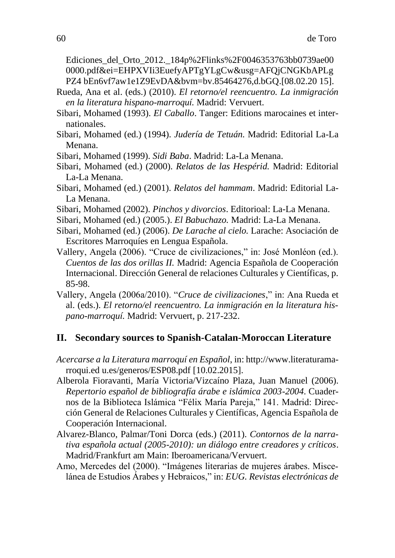Ediciones\_del\_Orto\_2012.\_184p%2Flinks%2F0046353763bb0739ae00 0000.pdf&ei=EHPXVIi3EuefyAPTgYLgCw&usg=AFQjCNGKbAPLg PZ4 bEn6vf7aw1e1Z9EvDA&bvm=bv.85464276,d.bGQ.[08.02.20 15].

- Rueda, Ana et al. (eds.) (2010). *El retorno/el reencuentro. La inmigración en la literatura hispano-marroquí.* Madrid: Vervuert.
- Sibari, Mohamed (1993). *El Caballo*. Tanger: Editions marocaines et internationales.
- Sibari, Mohamed (ed.) (1994). *Judería de Tetuán.* Madrid: Editorial La-La Menana.
- Sibari, Mohamed (1999). *Sidi Baba*. Madrid: La-La Menana.
- Sibari, Mohamed (ed.) (2000). *Relatos de las Hespérid.* Madrid: Editorial La-La Menana.
- Sibari, Mohamed (ed.) (2001). *Relatos del hammam*. Madrid: Editorial La-La Menana.
- Sibari, Mohamed (2002). *Pinchos y divorcios*. Editorioal: La-La Menana.
- Sibari, Mohamed (ed.) (2005.). *El Babuchazo.* Madrid: La-La Menana.
- Sibari, Mohamed (ed.) (2006). *De Larache al cielo.* Larache: Asociación de Escritores Marroquíes en Lengua Española.
- Vallery, Angela (2006). "Cruce de civilizaciones," in: José Monléon (ed.). *Cuentos de las dos orillas II.* Madrid: Agencia Española de Cooperación Internacional. Dirección General de relaciones Culturales y Científicas, p. 85-98.
- Vallery, Angela (2006a/2010). "*Cruce de civilizaciones*," in: Ana Rueda et al. (eds.). *El retorno/el reencuentro. La inmigración en la literatura hispano-marroquí.* Madrid: Vervuert, p. 217-232.

# **II. Secondary sources to Spanish-Catalan-Moroccan Literature**

- *Acercarse a la Literatura marroquí en Español*, in: http://www.literaturamarroqui.ed u.es/generos/ESP08.pdf [10.02.2015].
- Alberola Fioravanti, María Victoria/Vizcaíno Plaza, Juan Manuel (2006). *Repertorio español de bibliografía árabe e islámica 2003-2004*. Cuadernos de la Biblioteca Islámica "Félix María Pareja," 141. Madrid: Dirección General de Relaciones Culturales y Científicas, Agencia Española de Cooperación Internacional.
- Alvarez-Blanco, Palmar/Toni Dorca (eds.) (2011). *Contornos de la narrativa española actual (2005-2010): un diálogo entre creadores y críticos*. Madrid/Frankfurt am Main: Iberoamericana/Vervuert.
- Amo, Mercedes del (2000). "Imágenes literarias de mujeres árabes. Miscelánea de Estudios Árabes y Hebraicos," in: *EUG. Revistas electrónicas de*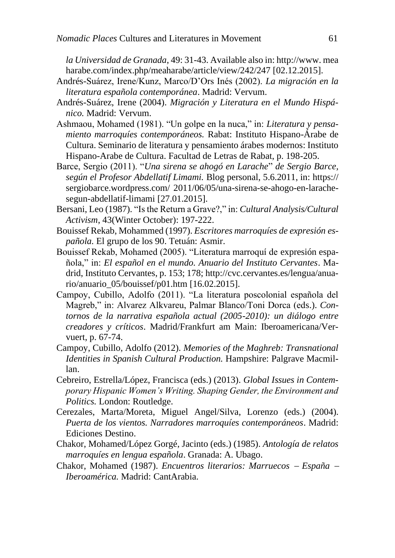*la Universidad de Granada*, 49: 31-43. Available also in: http://www. mea harabe.com/index.php/meaharabe/article/view/242/247 [02.12.2015].

- Andrés-Suárez, Irene/Kunz, Marco/D'Ors Inés (2002). *La migración en la literatura española contemporánea*. Madrid: Vervum.
- Andrés-Suárez, Irene (2004). *Migración y Literatura en el Mundo Hispánico.* Madrid: Vervum.
- Ashmaou, Mohamed (1981). "Un golpe en la nuca," in: *Literatura y pensamiento marroquíes contemporáneos.* Rabat: Instituto Hispano-Árabe de Cultura. Seminario de literatura y pensamiento árabes modernos: Instituto Hispano-Arabe de Cultura. Facultad de Letras de Rabat, p. 198-205.
- Barce, Sergio (2011). "*Una sirena se ahogó en Larache*" *de Sergio Barce, según el Profesor Abdellatif Limami.* Blog personal, 5.6.2011, in: https:// sergiobarce.wordpress.com/ 2011/06/05/una-sirena-se-ahogo-en-larachesegun-abdellatif-limami [27.01.2015].
- Bersani, Leo (1987). "Is the Return a Grave?," in: *Cultural Analysis/Cultural Activism*, 43(Winter October): 197-222.
- Bouissef Rekab, Mohammed (1997). *Escritores marroquíes de expresión española.* El grupo de los 90. Tetuán: Asmir.
- Bouissef Rekab, Mohamed (2005). "Literatura marroquí de expresión española," in: *El español en el mundo. Anuario del Instituto Cervantes*. Madrid, Instituto Cervantes, p. 153; 178; http://cvc.cervantes.es/lengua/anuario/anuario\_05/bouissef/p01.htm [16.02.2015].
- Campoy, Cubillo, Adolfo (2011). "La literatura poscolonial española del Magreb," in: Alvarez Alkvareu, Palmar Blanco/Toni Dorca (eds.). *Contornos de la narrativa española actual (2005-2010): un diálogo entre creadores y críticos*. Madrid/Frankfurt am Main: Iberoamericana/Vervuert, p. 67-74.
- Campoy, Cubillo, Adolfo (2012). *Memories of the Maghreb: Transnational Identities in Spanish Cultural Production.* Hampshire: Palgrave Macmillan.
- Cebreiro, Estrella/López, Francisca (eds.) (2013). *Global Issues in Contemporary Hispanic Women's Writing. Shaping Gender, the Environment and Politics.* London: Routledge.
- Cerezales, Marta/Moreta, Miguel Angel/Silva, Lorenzo (eds.) (2004). *Puerta de los vientos. Narradores marroquíes contemporáneos*. Madrid: Ediciones Destino.
- Chakor, Mohamed/López Gorgé, Jacinto (eds.) (1985). *Antología de relatos marroquíes en lengua española*. Granada: A. Ubago.
- Chakor, Mohamed (1987). *Encuentros literarios: Marruecos* <sup>−</sup> *España* <sup>−</sup> *Iberoamérica.* Madrid: CantArabia.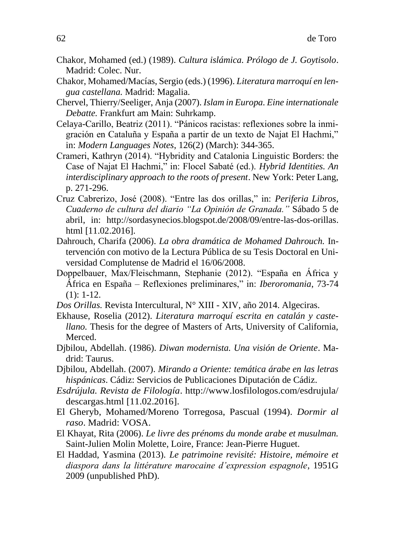- Chakor, Mohamed (ed.) (1989). *Cultura islámica. Prólogo de J. Goytisolo*. Madrid: Colec. Nur.
- Chakor, Mohamed/Macías, Sergio (eds.) (1996). *Literatura marroquí en lengua castellana.* Madrid: Magalia.
- Chervel, Thierry/Seeliger, Anja (2007). *Islam in Europa. Eine internationale Debatte.* Frankfurt am Main: Suhrkamp.
- Celaya-Carillo, Beatriz (2011). "Pánicos racistas: reflexiones sobre la inmigración en Cataluña y España a partir de un texto de Najat El Hachmi," in: *Modern Languages Notes*, 126(2) (March): 344-365.
- Crameri, Kathryn (2014). "Hybridity and Catalonia Linguistic Borders: the Case of Najat El Hachmi," in: Flocel Sabaté (ed.). *Hybrid Identities. An interdisciplinary approach to the roots of present*. New York: Peter Lang, p. 271-296.
- Cruz Cabrerizo, José (2008). "Entre las dos orillas," in: *Periferia Libros, Cuaderno de cultura del diario "La Opinión de Granada."* Sábado 5 de abril, in: http://sordasynecios.blogspot.de/2008/09/entre-las-dos-orillas. html [11.02.2016].
- Dahrouch, Charifa (2006). *La obra dramática de Mohamed Dahrouch.* Intervención con motivo de la Lectura Pública de su Tesis Doctoral en Universidad Complutense de Madrid el 16/06/2008.
- Doppelbauer, Max/Fleischmann, Stephanie (2012). "España en África y África en España – Reflexiones preliminares," in: *Iberoromania*, 73-74  $(1): 1-12.$
- *Dos Orillas.* Revista Intercultural, N° XIII XIV, año 2014. Algeciras.
- Ekhause, Roselia (2012). *Literatura marroquí escrita en catalán y castellano.* Thesis for the degree of Masters of Arts, University of California, Merced.
- Djbilou, Abdellah. (1986). *Diwan modernista. Una visión de Oriente*. Madrid: Taurus.
- Djbilou, Abdellah. (2007). *Mirando a Oriente: temática árabe en las letras hispánicas*. Cádiz: Servicios de Publicaciones Diputación de Cádiz.
- *Esdrújula. Revista de Filología*. http://www.losfilologos.com/esdrujula/ descargas.html [11.02.2016].
- El Gheryb, Mohamed/Moreno Torregosa, Pascual (1994). *Dormir al raso*. Madrid: VOSA.
- El Khayat, Rita (2006). *Le livre des prénoms du monde arabe et musulman.*  Saint-Julien Molin Molette, Loire, France: Jean-Pierre Huguet.
- El Haddad, Yasmina (2013)*. Le patrimoine revisité: Histoire, mémoire et diaspora dans la littérature marocaine d'expression espagnole*, 1951G 2009 (unpublished PhD).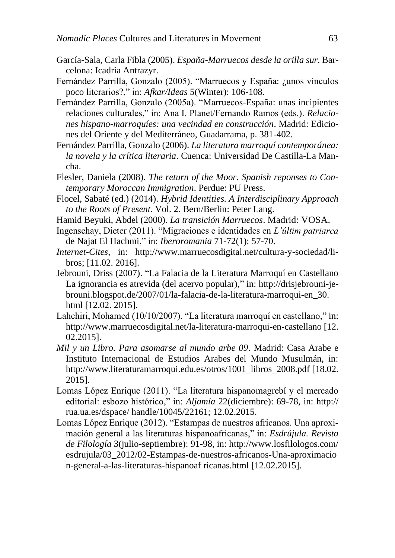- García-Sala, Carla Fibla (2005). *España-Marruecos desde la orilla sur.* Barcelona: Icadria Antrazyr.
- Fernández Parrilla, Gonzalo (2005). "Marruecos y España: ¿unos vínculos poco literarios?," in: *Afkar/Ideas* 5(Winter): 106-108.
- Fernández Parrilla, Gonzalo (2005a). "Marruecos-España: unas incipientes relaciones culturales," in: Ana I. Planet/Fernando Ramos (eds.). *Relaciones hispano-marroquíes: una vecindad en construcción*. Madrid: Ediciones del Oriente y del Mediterráneo, Guadarrama, p. 381-402.
- Fernández Parrilla, Gonzalo (2006). *La literatura marroquí contemporánea: la novela y la crítica literaria*. Cuenca: Universidad De Castilla-La Mancha.
- Flesler, Daniela (2008). *The return of the Moor. Spanish reponses to Contemporary Moroccan Immigration*. Perdue: PU Press.
- Flocel, Sabaté (ed.) (2014). *Hybrid Identities. A Interdisciplinary Approach to the Roots of Present*. Vol. 2. Bern/Berlin: Peter Lang.
- Hamid Beyuki, Abdel (2000). *La transición Marruecos*. Madrid: VOSA.
- Ingenschay, Dieter (2011). "Migraciones e identidades en *L'últim patriarca*  de Najat El Hachmi," in: *Iberoromania* 71-72(1): 57-70.
- *Internet-Cites*, in: http://www.marruecosdigital.net/cultura-y-sociedad/libros; [11.02. 2016].
- Jebrouni, Driss (2007). "La Falacia de la Literatura Marroquí en Castellano La ignorancia es atrevida (del acervo popular)," in: http://drisjebrouni-jebrouni.blogspot.de/2007/01/la-falacia-de-la-literatura-marroqui-en\_30. html [12.02. 2015].
- Lahchiri, Mohamed (10/10/2007). "La literatura marroquí en castellano," in: http://www.marruecosdigital.net/la-literatura-marroqui-en-castellano [12. 02.2015].
- *Mil y un Libro. Para asomarse al mundo arbe 09*. Madrid: Casa Arabe e Instituto Internacional de Estudios Arabes del Mundo Musulmán, in: http://www.literaturamarroqui.edu.es/otros/1001\_libros\_2008.pdf [18.02. 2015].
- Lomas López Enrique (2011). "La literatura hispanomagrebí y el mercado editorial: esbozo histórico," in: *Aljamía* 22(diciembre): 69-78, in: http:// rua.ua.es/dspace/ handle/10045/22161; 12.02.2015.
- Lomas López Enrique (2012). "Estampas de nuestros africanos. Una aproximación general a las literaturas hispanoafricanas," in: *Esdrújula. Revista de Filología* 3(julio-septiembre): 91-98, in: http://www.losfilologos.com/ esdrujula/03\_2012/02-Estampas-de-nuestros-africanos-Una-aproximacio n-general-a-las-literaturas-hispanoaf ricanas.html [12.02.2015].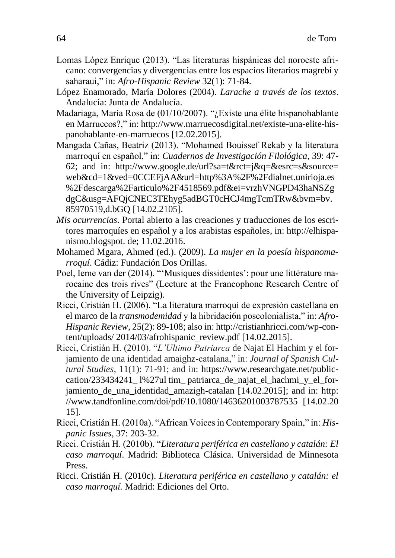- Lomas López Enrique (2013). "Las literaturas hispánicas del noroeste africano: convergencias y divergencias entre los espacios literarios magrebí y saharaui," in: *Afro-Hispanic Review* 32(1): 71-84.
- López Enamorado, María Dolores (2004). *Larache a través de los textos*. Andalucía: Junta de Andalucía.
- Madariaga, María Rosa de (01/10/2007). "¿Existe una élite hispanohablante en Marruecos?," in: http://www.marruecosdigital.net/existe-una-elite-hispanohablante-en-marruecos [12.02.2015].
- Mangada Cañas, Beatriz (2013). "Mohamed Bouissef Rekab y la literatura marroquí en español," in: *Cuadernos de Investigación Filológica*, 39: 47- 62; and in: http://www.google.de/url?sa=t&rct=j&q=&esrc=s&source= web&cd=1&ved=0CCEFjAA&url=http%3A%2F%2Fdialnet.unirioja.es %2Fdescarga%2Farticulo%2F4518569.pdf&ei=vrzhVNGPD43haNSZg dgC&usg=AFQjCNEC3TEhyg5adBGT0cHCJ4mgTcmTRw&bvm=bv. 85970519,d.bGQ [14.02.2105].
- *Mis ocurrencias*. Portal abierto a las creaciones y traducciones de los escritores marroquíes en español y a los arabistas españoles, in: http://elhispanismo.blogspot. de; 11.02.2016.
- Mohamed Mgara, Ahmed (ed.). (2009). *La mujer en la poesía hispanomarroquí*. Cádiz: Fundación Dos Orillas.
- Poel, Ieme van der (2014). "'Musiques dissidentes': pour une littérature marocaine des trois rives" (Lecture at the Francophone Research Centre of the University of Leipzig).
- Ricci, Cristián H. (2006). "La literatura marroquí de expresión castellana en el marco de la *transmodemidad* y la hibridaci6n poscolonialista," in: *Afro-Hispanic Review*, 25(2): 89-108; also in: [http://cristianhricci.com/wp-con](http://cristianhricci.com/wp-content/uploads/)[tent/uploads/](http://cristianhricci.com/wp-content/uploads/) 2014/03/afrohispanic\_review.pdf [14.02.2015].
- Ricci, Cristián H. (2010). "*L'Ultimo Patriarca* de Najat El Hachim y el forjamiento de una identidad amaighz-catalana," in: *Journal of Spanish Cultural Studies*, 11(1): 71-91; and in: [https://www.researchgate.net/public](https://www.researchgate.net/publiccation/233434241_)[cation/233434241\\_](https://www.researchgate.net/publiccation/233434241_) 1%27ul tim\_patriarca\_de\_najat\_el\_hachmi\_y\_el\_forjamiento de una identidad amazigh-catalan [14.02.2015]; and in: http: //www.tandfonline.com/doi/pdf/10.1080/14636201003787535 [14.02.20 15].
- Ricci, Cristián H. (2010a). "African Voices in Contemporary Spain," in: *Hispanic Issues*, 37: 203-32.
- Ricci. Cristián H. (2010b). "*Literatura periférica en castellano y catalán: El caso marroquí*. Madrid: Biblioteca Clásica. Universidad de Minnesota Press.
- Ricci. Cristián H. (2010c). *Literatura periférica en castellano y catalán: el caso marroquí.* Madrid: Ediciones del Orto.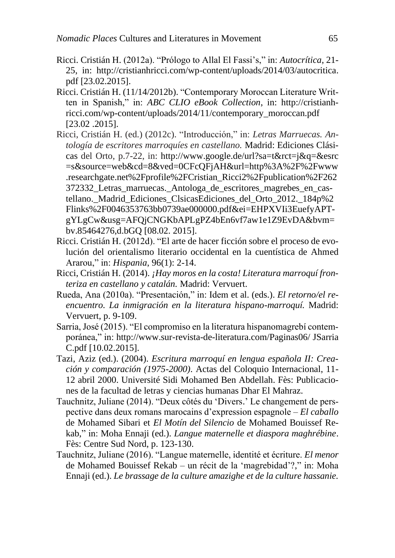- Ricci. Cristián H. (2012a). "Prólogo to Allal El Fassi's," in: *Autocrítica*, 21- 25, in: http://cristianhricci.com/wp-content/uploads/2014/03/autocritica. pdf [23.02.2015].
- Ricci. Cristián H. (11/14/2012b). "Contemporary Moroccan Literature Written in Spanish," in: *ABC CLIO eBook Collection*, in: http://cristianhricci.com/wp-content/uploads/2014/11/contemporary\_moroccan.pdf [23.02 .2015].
- Ricci, Cristián H. (ed.) (2012c). "Introducción," in: *Letras Marruecas. Antología de escritores marroquíes en castellano.* Madrid: Ediciones Clásicas del Orto, p.7-22, in: http://www.google.de/url?sa=t&rct=j&q=&esrc =s&source=web&cd=8&ved=0CFcQFjAH&url=http%3A%2F%2Fwww .researchgate.net%2Fprofile%2FCristian\_Ricci2%2Fpublication%2F262 372332\_Letras\_marruecas.\_Antologa\_de\_escritores\_magrebes\_en\_castellano. Madrid Ediciones ClsicasEdiciones del Orto 2012. 184p%2 Flinks%2F0046353763bb0739ae000000.pdf&ei=EHPXVIi3EuefyAPTgYLgCw&usg=AFQjCNGKbAPLgPZ4bEn6vf7aw1e1Z9EvDA&bvm= bv.85464276,d.bGQ [08.02. 2015].
- Ricci. Cristián H. (2012d). "El arte de hacer ficción sobre el proceso de evolución del orientalismo literario occidental en la cuentística de Ahmed Ararou," in: *Hispania*, 96(1): 2-14.
- Ricci, Cristián H. (2014). *¡Hay moros en la costa! Literatura marroquí fronteriza en castellano y catalán.* Madrid: Vervuert.
- Rueda, Ana (2010a). "Presentación," in: Idem et al. (eds.). *El retorno/el reencuentro. La inmigración en la literatura hispano-marroquí.* Madrid: Vervuert, p. 9-109.
- Sarria, José (2015). "El compromiso en la literatura hispanomagrebí contemporánea," in: http://www.sur-revista-de-literatura.com/Paginas06/ JSarria C.pdf [10.02.2015].
- Tazi, Aziz (ed.). (2004). *Escritura marroquí en lengua española II: Creación y comparación (1975-2000)*. Actas del Coloquio Internacional, 11- 12 abril 2000. Université Sidi Mohamed Ben Abdellah. Fès: Publicaciones de la facultad de letras y ciencias humanas Dhar El Mahraz.
- Tauchnitz, Juliane (2014). "Deux côtés du 'Divers.' Le changement de perspective dans deux romans marocains d'expression espagnole – *El caballo* de Mohamed Sibari et *El Motín del Silencio* de Mohamed Bouissef Rekab," in: Moha Ennaji (ed.). *Langue maternelle et diaspora maghrébine*. Fès: Centre Sud Nord, p. 123-130.
- Tauchnitz, Juliane (2016). "Langue maternelle, identité et écriture. *El menor* de Mohamed Bouissef Rekab – un récit de la 'magrebidad'?," in: Moha Ennaji (ed.). *Le brassage de la culture amazighe et de la culture hassanie.*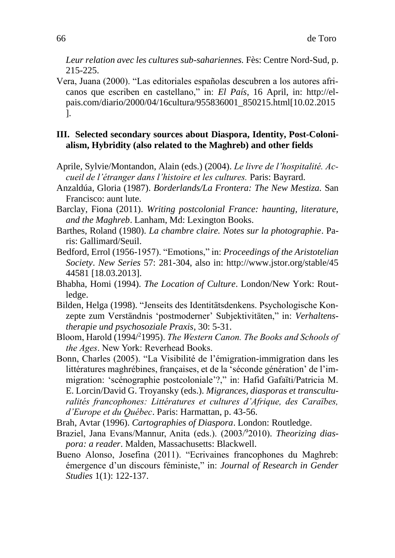*Leur relation avec les cultures sub-sahariennes.* Fès: Centre Nord-Sud, p. 215-225.

Vera, Juana (2000). "Las editoriales españolas descubren a los autores africanos que escriben en castellano," in: *El País*, 16 April, in: http://elpais.com/diario/2000/04/16cultura/955836001\_850215.html[10.02.2015 ].

## **III. Selected secondary sources about Diaspora, Identity, Post-Colonialism, Hybridity (also related to the Maghreb) and other fields**

- [Aprile,](http://www.amazon.fr/s/ref=ntt_athr_dp_sr_2?_encoding=UTF8&search-alias=books-fr&field-author=Sylvie%20Aprile) Sylvie[/Montandon,](http://www.amazon.fr/Alain-Montandon/e/B001IC8I3A/ref=ntt_athr_dp_pel_3) Alain (eds.) (2004). *Le livre de l'hospitalité. Accueil de l'étranger dans l'histoire et les cultures.* Paris: Bayrard.
- Anzaldúa, Gloria (1987). *Borderlands/La Frontera: The New Mestiza.* San Francisco: aunt lute.
- Barclay, Fiona (2011). *Writing postcolonial France: haunting, literature, and the Maghreb*. Lanham, Md: Lexington Books.
- Barthes, Roland (1980). *La chambre claire. Notes sur la photographie*. Paris: Gallimard/Seuil.
- Bedford, Errol (1956-1957). "Emotions," in: *Proceedings of the Aristotelian Society*. *New Series* 57: 281-304, also in: http://www.jstor.org/stable/45 44581 [18.03.2013].
- Bhabha, Homi (1994). *The Location of Culture*. London/New York: Routledge.
- Bilden, Helga (1998). "Jenseits des Identitätsdenkens. Psychologische Konzepte zum Verständnis 'postmoderner' Subjektivitäten," in: *Verhaltenstherapie und psychosoziale Praxis*, 30: 5-31.
- Bloom, Harold (1994/<sup>2</sup>1995). *The Western Canon. The Books and Schools of the Ages*. New York: Reverhead Books.
- Bonn, Charles (2005). "La Visibilité de l'émigration-immigration dans les littératures maghrébines, françaises, et de la 'séconde génération' de l'immigration: 'scénographie postcoloniale'?," in: Hafid Gafaïti/Patricia M. E. Lorcin/David G. Troyansky (eds.). *Migrances, diasporas et transculturalités francophones: Littératures et cultures d'Afrique, des Caraïbes, d'Europe et du Québec*. Paris: Harmattan, p. 43-56.
- Brah, Avtar (1996). *Cartographies of Diaspora*. London: Routledge.
- Braziel, Jana Evans/Mannur, Anita (eds.). (2003/<sup>9</sup>2010). *Theorizing diaspora: a reader*. Malden, Massachusetts: Blackwell.
- Bueno Alonso, Josefina (2011). "Ecrivaines francophones du Maghreb: émergence d'un discours féministe," in: *Journal of Research in Gender Studies* 1(1): 122-137.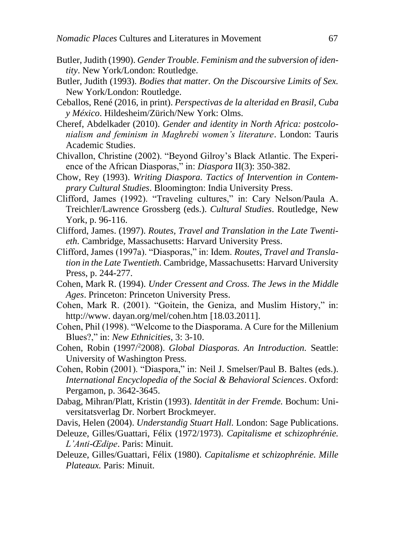- Butler, Judith (1990). *Gender Trouble*. *Feminism and the subversion of identity*. New York/London: Routledge.
- Butler, Judith (1993). *Bodies that matter. On the Discoursive Limits of Sex.* New York/London: Routledge.
- Ceballos, René (2016, in print). *Perspectivas de la alteridad en Brasil, Cuba y México*. Hildesheim/Zürich/New York: Olms.
- Cheref, Abdelkader (2010). *Gender and identity in North Africa: postcolonialism and feminism in Maghrebi women's literature*. London: Tauris Academic Studies.
- Chivallon, Christine (2002). "Beyond Gilroy's Black Atlantic. The Experience of the African Diasporas," in: *Diaspora* II(3): 350-382.
- Chow, Rey (1993). *Writing Diaspora. Tactics of Intervention in Contemprary Cultural Studies*. Bloomington: India University Press.
- Clifford, James (1992). "Traveling cultures," in: Cary Nelson/Paula A. Treichler/Lawrence Grossberg (eds.). *Cultural Studies*. Routledge, New York, p. 96-116.
- Clifford, James. (1997). *Routes, Travel and Translation in the Late Twentieth.* Cambridge, Massachusetts: Harvard University Press.
- Clifford, James (1997a). "Diasporas," in: Idem. *Routes, Travel and Translation in the Late Twentieth.* Cambridge, Massachusetts: Harvard University Press, p. 244-277.
- Cohen, Mark R. (1994). *Under Cressent and Cross. The Jews in the Middle Ages*. Princeton: Princeton University Press.
- Cohen, Mark R. (2001). "Goitein, the Geniza, and Muslim History," in: http://www. dayan.org/mel/cohen.htm [18.03.2011].
- Cohen, Phil (1998). "Welcome to the Diasporama. A Cure for the Millenium Blues?," in: *New Ethnicities*, 3: 3-10.
- Cohen, Robin (1997/<sup>2</sup>2008). *Global Diasporas. An Introduction.* Seattle: University of Washington Press.
- Cohen, Robin (2001). "Diaspora," in: Neil J. Smelser/Paul B. Baltes (eds.). *International Encyclopedia of the Social & Behavioral Sciences*. Oxford: Pergamon, p. 3642-3645.
- Dabag, Mihran/Platt, Kristin (1993). *Identität in der Fremde.* Bochum: Universitatsverlag Dr. Norbert Brockmeyer.
- Davis, Helen (2004). *Understandig Stuart Hall.* London: Sage Publications.
- Deleuze, Gilles/Guattari, Félix (1972/1973). *Capitalisme et schizophrénie. L'Anti-Œdipe*. Paris: Minuit.
- Deleuze, Gilles/Guattari, Félix (1980). *Capitalisme et schizophrénie. Mille Plateaux.* Paris: Minuit.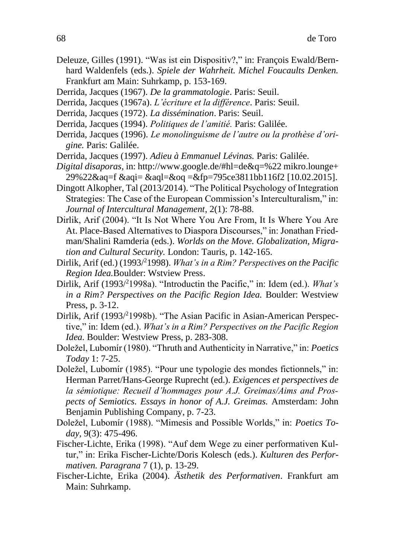- Deleuze, Gilles (1991). "Was ist ein Dispositiv?," in: François Ewald/Bernhard Waldenfels (eds.). *Spiele der Wahrheit. Michel Foucaults Denken.*  Frankfurt am Main: Suhrkamp, p. 153-169.
- Derrida, Jacques (1967). *De la grammatologie*. Paris: Seuil.
- Derrida, Jacques (1967a). *L'écriture et la différence*. Paris: Seuil.
- Derrida, Jacques (1972). *La dissémination*. Paris: Seuil.
- Derrida, Jacques (1994). *Politiques de l'amitié.* Paris: Galilée.
- Derrida, Jacques (1996). *Le monolinguisme de l'autre ou la prothèse d'origine.* Paris: Galilée.
- Derrida, Jacques (1997). *Adieu à Emmanuel Lévinas.* Paris: Galilée.
- *Digital disaporas*, in: http://www.google.de/#hl=de&q=%22 mikro.lounge+ 29%22&aq=f &aqi= &aql=&oq =&fp=795ce3811bb116f2 [10.02.2015].
- Dingott Alkopher, Tal (2013/2014). "The Political Psychology of Integration Strategies: The Case of the European Commission's Interculturalism," in: *Journal of Intercultural Management*, 2(1): 78-88.
- Dirlik, Arif (2004). "It Is Not Where You Are From, It Is Where You Are At. Place-Based Alternatives to Diaspora Discourses," in: Jonathan Friedman/Shalini Ramderia (eds.). *Worlds on the Move. Globalization, Migration and Cultural Security.* London: Tauris, p. 142-165.
- Dirlik, Arif (ed.) (1993/<sup>2</sup>1998). *What's in a Rim? Perspectives on the Pacific Region Idea.*Boulder: Wstview Press.
- Dirlik, Arif (1993/<sup>2</sup>1998a). "Introductin the Pacific," in: Idem (ed.). *What's in a Rim? Perspectives on the Pacific Region Idea.* Boulder: Westview Press, p. 3-12.
- Dirlik, Arif (1993/<sup>2</sup>1998b). "The Asian Pacific in Asian-American Perspective," in: Idem (ed.). *What's in a Rim? Perspectives on the Pacific Region Idea.* Boulder: Westview Press, p. 283-308.
- Doležel, Lubomír (1980). "Thruth and Authenticity in Narrative," in: *Poetics Today* 1: 7-25.
- Doležel, Lubomír (1985). "Pour une typologie des mondes fictionnels," in: Herman Parret/Hans-George Ruprecht (ed.). *Exigences et perspectives de la sémiotique: Recueil d'hommages pour A.J. Greimas/Aims and Prospects of Semiotics. Essays in honor of A.J. Greimas.* Amsterdam: John Benjamin Publishing Company, p. 7-23.
- Doležel, Lubomír (1988). "Mimesis and Possible Worlds," in: *Poetics Today*, 9(3): 475-496.
- Fischer-Lichte, Erika (1998). "Auf dem Wege zu einer performativen Kultur," in: Erika Fischer-Lichte/Doris Kolesch (eds.). *Kulturen des Performativen. Paragrana* 7 (1), p. 13-29.
- Fischer-Lichte, Erika (2004). *Ästhetik des Performativen*. Frankfurt am Main: Suhrkamp.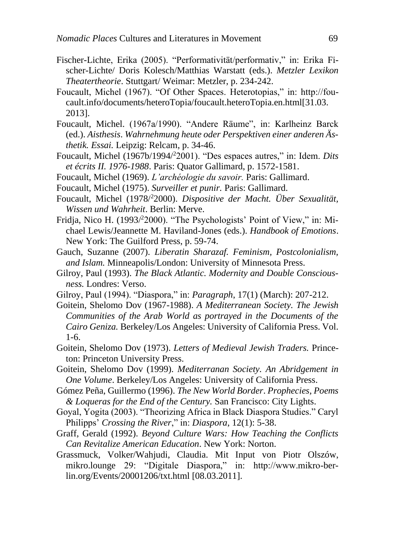- Fischer-Lichte, Erika (2005). "Performativität/performativ," in: Erika Fischer-Lichte/ Doris Kolesch/Matthias Warstatt (eds.). *Metzler Lexikon Theatertheorie*. Stuttgart/ Weimar: Metzler, p. 234-242.
- Foucault, Michel (1967). "Of Other Spaces. Heterotopias," in: http://foucault.info/documents/heteroTopia/foucault.heteroTopia.en.html[31.03. 2013].
- Foucault, Michel. (1967a/1990). "Andere Räume", in: Karlheinz Barck (ed.). *Aisthesis*. *Wahrnehmung heute oder Perspektiven einer anderen Ästhetik. Essai.* Leipzig: Relcam, p. 34-46.
- Foucault, Michel (1967b/1994/<sup>2</sup>2001). "Des espaces autres," in: Idem. *Dits et écrits II. 1976-1988*. Paris: Quator Gallimard, p. 1572-1581.
- Foucault, Michel (1969). *L'archéologie du savoir.* Paris: Gallimard.
- Foucault, Michel (1975). *Surveiller et punir.* Paris: Gallimard.
- Foucault, Michel (1978/<sup>2</sup>2000). *Dispositive der Macht. Über Sexualität, Wissen und Wahrheit*. Berlin: Merve.
- Fridja, Nico H. (1993/22000). "The Psychologists' Point of View," in: Michael Lewis/Jeannette M. Haviland-Jones (eds.). *Handbook of Emotions*. New York: The Guilford Press, p. 59-74.
- Gauch, Suzanne (2007). *Liberatin Sharazaf. Feminism, Postcolonialism, and Islam.* Minneapolis/London: University of Minnesota Press.
- Gilroy, Paul (1993). *The Black Atlantic. Modernity and Double Consciousness.* Londres: Verso.
- Gilroy, Paul (1994). "Diaspora," in: *Paragraph*, 17(1) (March): 207-212.
- Goitein, Shelomo Dov (1967-1988). *A Mediterranean Society. The Jewish Communities of the Arab World as portrayed in the Documents of the Cairo Geniza.* Berkeley/Los Angeles: University of California Press. Vol. 1-6.
- Goitein, Shelomo Dov (1973). *Letters of Medieval Jewish Traders.* Princeton: Princeton University Press.
- Goitein, Shelomo Dov (1999). *Mediterranan Society. An Abridgement in One Volume*. Berkeley/Los Angeles: University of California Press.
- Gómez Peña, Guillermo (1996). *The New World Border*. *Prophecies, Poems & Loqueras for the End of the Century.* San Francisco: City Lights.
- Goyal, Yogita (2003). "Theorizing Africa in Black Diaspora Studies." Caryl Philipps' *Crossing the River*," in: *Diaspora*, 12(1): 5-38.
- Graff, Gerald (1992). *Beyond Culture Wars: How Teaching the Conflicts Can Revitalize American Education*. New York: Norton.
- Grassmuck, Volker/Wahjudi, Claudia. Mit Input von Piotr Olszów, mikro.lounge 29: "Digitale Diaspora," in: http://www.mikro-berlin.org/Events/20001206/txt.html [08.03.2011].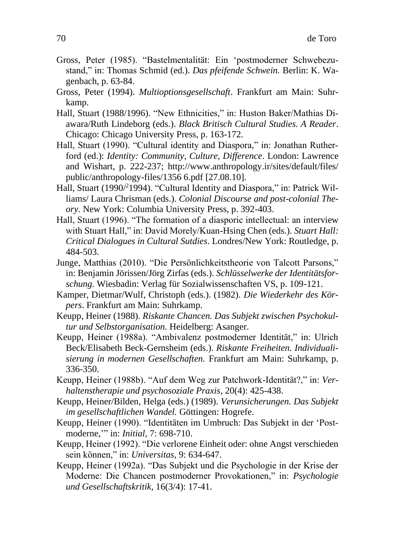- Gross, Peter (1985). "Bastelmentalität: Ein 'postmoderner Schwebezustand," in: Thomas Schmid (ed.). *Das pfeifende Schwein.* Berlin: K. Wagenbach, p. 63-84.
- Gross, Peter (1994). *Multioptionsgesellschaft*. Frankfurt am Main: Suhrkamp.
- Hall, Stuart (1988/1996). "New Ethnicities," in: Huston Baker/Mathias Diawara/Ruth Lindeborg (eds.). *Black Britisch Cultural Studies. A Reader*. Chicago: Chicago University Press, p. 163-172.
- Hall, Stuart (1990). "Cultural identity and Diaspora," in: Jonathan Rutherford (ed.): *Identity: Community, Culture, Difference*. London: Lawrence and Wishart, p. 222-237; http://www.anthropology.ir/sites/default/files/ public/anthropology-files/1356 6.pdf [27.08.10].
- Hall, Stuart (1990/<sup>2</sup>1994). "Cultural Identity and Diaspora," in: Patrick Williams/ Laura Chrisman (eds.). *Colonial Discourse and post-colonial Theory.* New York: Columbia University Press, p. 392-403.
- Hall, Stuart (1996). "The formation of a diasporic intellectual: an interview with Stuart Hall," in: David Morely/Kuan-Hsing Chen (eds.). *Stuart Hall: Critical Dialogues in Cultural Sutdies*. Londres/New York: Routledge, p. 484-503.
- Junge, Matthias (2010). "Die Persönlichkeitstheorie von Talcott Parsons," in: Benjamin Jörissen/Jörg Zirfas (eds.). *Schlüsselwerke der Identitätsforschung.* Wiesbadin: Verlag für Sozialwissenschaften VS, p. 109-121.
- Kamper, Dietmar/Wulf, Christoph (eds.). (1982). *Die Wiederkehr des Körpers*. Frankfurt am Main: Suhrkamp.
- Keupp, Heiner (1988). *Riskante Chancen. Das Subjekt zwischen Psychokultur und Selbstorganisation.* Heidelberg: Asanger.
- Keupp, Heiner (1988a). "Ambivalenz postmoderner Identität," in: Ulrich Beck/Elisabeth Beck-Gernsheim (eds.). *Riskante Freiheiten. Individualisierung in modernen Gesellschaften.* Frankfurt am Main: Suhrkamp, p. 336-350.
- Keupp, Heiner (1988b). "Auf dem Weg zur Patchwork-Identität?," in: *Verhaltenstherapie und psychosoziale Praxis*, 20(4): 425-438.
- Keupp, Heiner/Bilden, Helga (eds.) (1989). *Verunsicherungen. Das Subjekt im gesellschaftlichen Wandel.* Göttingen: Hogrefe.
- Keupp, Heiner (1990). "Identitäten im Umbruch: Das Subjekt in der 'Postmoderne,'" in: *Initial*, 7: 698-710.
- Keupp, Heiner (1992). "Die verlorene Einheit oder: ohne Angst verschieden sein können," in: *Universitas*, 9: 634-647.
- Keupp, Heiner (1992a). "Das Subjekt und die Psychologie in der Krise der Moderne: Die Chancen postmoderner Provokationen," in: *Psychologie und Gesellschaftskritik*, 16(3/4): 17-41.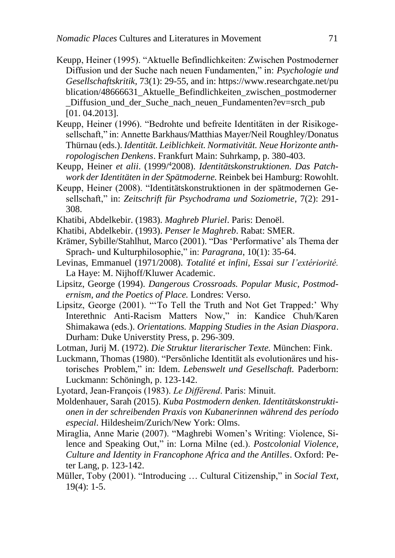- Keupp, Heiner (1995). "Aktuelle Befindlichkeiten: Zwischen Postmoderner Diffusion und der Suche nach neuen Fundamenten," in: *Psychologie und Gesellschaftskritik*, 73(1): 29-55, and in: https://www.researchgate.net/pu blication/48666631\_Aktuelle\_Befindlichkeiten\_zwischen\_postmoderner Diffusion und der Suche nach neuen Fundamenten?ev=srch\_pub [01. 04.2013].
- Keupp, Heiner (1996). "Bedrohte und befreite Identitäten in der Risikogesellschaft," in: Annette Barkhaus/Matthias Mayer/Neil Roughley/Donatus Thürnau (eds.). *Identität. Leiblichkeit. Normativität. Neue Horizonte anthropologischen Denkens*. Frankfurt Main: Suhrkamp, p. 380-403.
- Keupp, Heiner *et alii*. (1999/42008). *Identitätskonstruktionen. Das Patchwork der Identitäten in der Spätmoderne.* Reinbek bei Hamburg: Rowohlt.
- Keupp, Heiner (2008). "Identitätskonstruktionen in der spätmodernen Gesellschaft," in: *Zeitschrift für Psychodrama und Soziometrie*, 7(2): 291- 308.
- Khatibi, Abdelkebir. (1983). *Maghreb Pluriel*. Paris: Denoël.
- Khatibi, Abdelkebir. (1993). *Penser le Maghreb*. Rabat: SMER.
- Krämer, Sybille/Stahlhut, Marco (2001). "Das 'Performative' als Thema der Sprach- und Kulturphilosophie," in: *Paragrana*, 10(1): 35-64.
- Levinas, Emmanuel (1971/2008). *Totalité et infini, Essai sur l'extériorité.* La Haye: M. Nijhoff/Kluwer Academic.
- Lipsitz, George (1994). *Dangerous Crossroads. Popular Music, Postmodernism, and the Poetics of Place.* Londres: Verso.
- Lipsitz, George (2001). "'To Tell the Truth and Not Get Trapped:' Why Interethnic Anti-Racism Matters Now," in: Kandice Chuh/Karen Shimakawa (eds.). *Orientations. Mapping Studies in the Asian Diaspora*. Durham: Duke Universtity Press, p. 296-309.
- Lotman, Jurij M. (1972). *Die Struktur literarischer Texte.* München: Fink.
- Luckmann, Thomas (1980). "Persönliche Identität als evolutionäres und historisches Problem," in: Idem. *Lebenswelt und Gesellschaft.* Paderborn: Luckmann: Schöningh, p. 123-142.
- Lyotard, Jean-François (1983). *Le Différend*. Paris: Minuit.
- Moldenhauer, Sarah (2015). *Kuba Postmodern denken. Identitätskonstruktionen in der schreibenden Praxis von Kubanerinnen während des período especial*. Hildesheim/Zurich/New York: Olms.
- Miraglia, Anne Marie (2007). ["Maghrebi Women's Writing: Violence, Si](http://web.ebscohost.com/ehost/viewarticle?data=dGJyMPPp44rp2%2fdV0%2bnjisfk5Ie46%2byB9OLjge6k63nn5Kx95uXxjL6orU%2btqK5JsZayUq6suE22lr9lpOrweezp33vy3%2b2G59q7RbOrsUyzqrRPtZzqeezdu33snOJ6u%2bP4gKTq33%2b7t8w%2b3%2bS7Sq6mtku3q7BPr5zkh%2fDj34y73POE6urjkPIA&hid=19)[lence and Speaking Out,](http://web.ebscohost.com/ehost/viewarticle?data=dGJyMPPp44rp2%2fdV0%2bnjisfk5Ie46%2byB9OLjge6k63nn5Kx95uXxjL6orU%2btqK5JsZayUq6suE22lr9lpOrweezp33vy3%2b2G59q7RbOrsUyzqrRPtZzqeezdu33snOJ6u%2bP4gKTq33%2b7t8w%2b3%2bS7Sq6mtku3q7BPr5zkh%2fDj34y73POE6urjkPIA&hid=19)" in: Lorna Milne (ed.). *Postcolonial Violence, Culture and Identity in Francophone Africa and the Antilles*. Oxford: Peter Lang, p. 123-142.
- Müller, Toby (2001). "Introducing … Cultural Citizenship," in *Social Text*, 19(4): 1-5.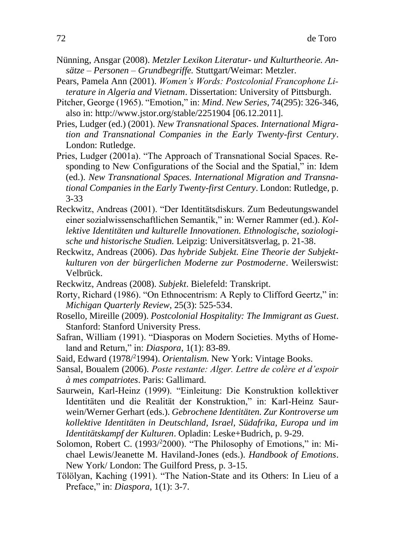- Nünning, Ansgar (2008). *Metzler Lexikon Literatur- und Kulturtheorie. Ansätze – Personen – Grundbegriffe.* Stuttgart/Weimar: Metzler.
- Pears, Pamela Ann (2001). *Women's Words: Postcolonial Francophone Literature in Algeria and Vietnam*. Dissertation: University of Pittsburgh.
- Pitcher, George (1965). "Emotion," in: *Mind*. *New Series*, 74(295): 326-346, also in: http://www.jstor.org/stable/2251904 [06.12.2011].
- Pries, Ludger (ed.) (2001). *New Transnational Spaces. International Migration and Transnational Companies in the Early Twenty-first Century*. London: Rutledge.
- Pries, Ludger (2001a). "The Approach of Transnational Social Spaces. Responding to New Configurations of the Social and the Spatial," in: Idem (ed.). *New Transnational Spaces. International Migration and Transnational Companies in the Early Twenty-first Century*. London: Rutledge, p. 3-33
- Reckwitz, Andreas (2001). "Der Identitätsdiskurs. Zum Bedeutungswandel einer sozialwissenschaftlichen Semantik," in: Werner Rammer (ed.). *Kollektive Identitäten und kulturelle Innovationen. Ethnologische, soziologische und historische Studien.* Leipzig: Universitätsverlag, p. 21-38.
- Reckwitz, Andreas (2006). *Das hybride Subjekt. Eine Theorie der Subjektkulturen von der bürgerlichen Moderne zur Postmoderne*. Weilerswist: Velbrück.
- Reckwitz, Andreas (2008). *Subjekt*. Bielefeld: Transkript.
- Rorty, Richard (1986). "On Ethnocentrism: A Reply to Clifford Geertz," in: *Michigan Quarterly Review*, 25(3): 525-534.
- Rosello, Mireille (2009). *Postcolonial Hospitality: The Immigrant as Guest*. Stanford: Stanford University Press.
- Safran, William (1991). "Diasporas on Modern Societies. Myths of Homeland and Return," in: *Diaspora*, 1(1): 83-89.
- Said, Edward (1978/<sup>2</sup>1994). *Orientalism.* New York: Vintage Books.
- Sansal, Boualem (2006). *Poste restante: Alger. Lettre de colère et d'espoir à mes compatriotes*. Paris: Gallimard.
- Saurwein, Karl-Heinz (1999). "Einleitung: Die Konstruktion kollektiver Identitäten und die Realität der Konstruktion," in: Karl-Heinz Saurwein/Werner Gerhart (eds.). *Gebrochene Identitäten. Zur Kontroverse um kollektive Identitäten in Deutschland, Israel, Südafrika, Europa und im Identitätskampf der Kulturen*. Opladin: Leske+Budrich, p. 9-29.
- Solomon, Robert C. (1993/22000). "The Philosophy of Emotions," in: Michael Lewis/Jeanette M. Haviland-Jones (eds.). *Handbook of Emotions*. New York/ London: The Guilford Press, p. 3-15.
- Tölölyan, Kaching (1991). "The Nation-State and its Others: In Lieu of a Preface," in: *Diaspora*, 1(1): 3-7.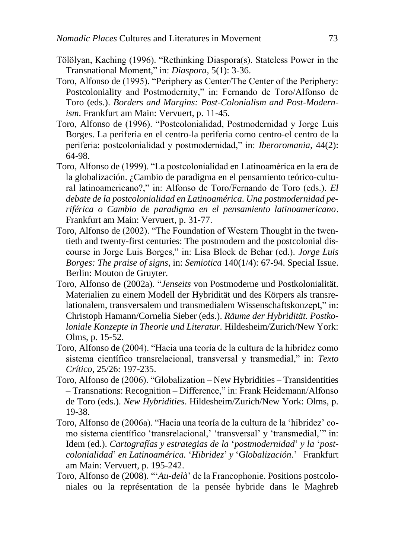- Tölölyan, Kaching (1996). "Rethinking Diaspora(s). Stateless Power in the Transnational Moment," in: *Diaspora*, 5(1): 3-36.
- Toro, Alfonso de (1995). "Periphery as Center/The Center of the Periphery: Postcoloniality and Postmodernity," in: Fernando de Toro/Alfonso de Toro (eds.). *Borders and Margins: Post-Colonialism and Post-Modernism*. Frankfurt am Main: Vervuert, p. 11-45.
- Toro, Alfonso de (1996). "Postcolonialidad, Postmodernidad y Jorge Luis Borges. La periferia en el centro-la periferia como centro-el centro de la periferia: postcolonialidad y postmodernidad," in: *Iberoromania*, 44(2): 64-98.
- Toro, Alfonso de (1999). "La postcolonialidad en Latinoamérica en la era de la globalización. ¿Cambio de paradigma en el pensamiento teórico-cultural latinoamericano?," in: Alfonso de Toro/Fernando de Toro (eds.). *El debate de la postcolonialidad en Latinoamérica. Una postmodernidad periférica o Cambio de paradigma en el pensamiento latinoamericano*. Frankfurt am Main: Vervuert, p. 31-77.
- Toro, Alfonso de (2002). "The Foundation of Western Thought in the twentieth and twenty-first centuries: The postmodern and the postcolonial discourse in Jorge Luis Borges," in: Lisa Block de Behar (ed.). *Jorge Luis Borges: The praise of signs*, in: *Semiotica* 140(1/4): 67-94. Special Issue. Berlin: Mouton de Gruyter.
- Toro, Alfonso de (2002a). "*Jenseits* von Postmoderne und Postkolonialität. Materialien zu einem Modell der Hybridität und des Körpers als transrelationalem, transversalem und transmedialem Wissenschaftskonzept," in: Christoph Hamann/Cornelia Sieber (eds.). *Räume der Hybridität. Postkoloniale Konzepte in Theorie und Literatur.* Hildesheim/Zurich/New York: Olms, p. 15-52.
- Toro, Alfonso de (2004). "Hacia una teoría de la cultura de la hibridez como sistema científico transrelacional, transversal y transmedial," in: *Texto Crítico*, 25/26: 197-235.
- Toro, Alfonso de (2006). "Globalization New Hybridities Transidentities – Transnations: Recognition – Difference," in: Frank Heidemann/Alfonso de Toro (eds.). *New Hybridities*. Hildesheim/Zurich/New York: Olms, p. 19-38.
- Toro, Alfonso de (2006a). "Hacia una teoría de la cultura de la 'hibridez' como sistema científico 'transrelacional,' 'transversal' y 'transmedial,'" in: Idem (ed.). *Cartografías y estrategias de la* '*postmodernidad*' *y la* '*postcolonialidad*' *en Latinoamérica.* '*Hibridez*' *y* 'G*lobalización*.' Frankfurt am Main: Vervuert, p. 195-242.
- Toro, Alfonso de (2008). "'*Au-delà*' de la Francophonie. Positions postcoloniales ou la représentation de la pensée hybride dans le Maghreb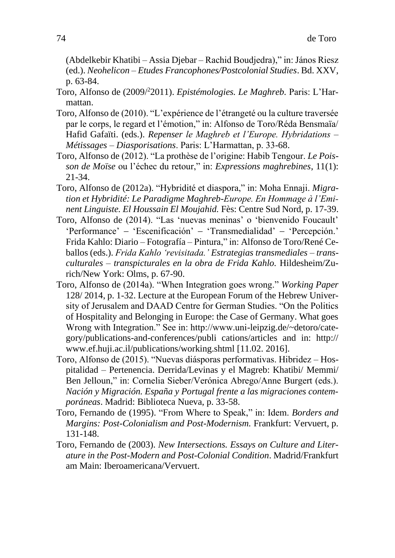(Abdelkebir Khatibi – Assia Djebar – Rachid Boudjedra)," in: János Riesz (ed.). *Neohelicon* – *Etudes Francophones/Postcolonial Studies*. Bd. XXV, p. 63-84.

- Toro, Alfonso de (2009/ <sup>2</sup>2011). *Epistémologies. Le Maghreb.* Paris: L'Harmattan.
- Toro, Alfonso de (2010). "L'expérience de l'étrangeté ou la culture traversée par le corps, le regard et l'émotion," in: Alfonso de Toro/Réda Bensmaïa/ Hafid Gafaïti. (eds.). *Repenser le Maghreb et l'Europe. Hybridations – Métissages – Diasporisations*. Paris: L'Harmattan, p. 33-68.
- Toro, Alfonso de (2012). "La prothèse de l'origine: Habib Tengour. *Le Poisson de Moïse* ou l'échec du retour," in: *Expressions maghrebines*, 11(1): 21-34.
- Toro, Alfonso de (2012a). "Hybridité et diaspora," in: Moha Ennaji. *Migration et Hybridité: Le Paradigme Maghreb-Europe. En Hommage à l'Eminent Linguiste. El Houssain El Moujahid.* Fès: Centre Sud Nord, p. 17-39.
- Toro, Alfonso de (2014). "Las 'nuevas meninas' o 'bienvenido Foucault' 'Performance' − 'Escenificación' − 'Transmedialidad' − 'Percepción.' Frida Kahlo: Diario – Fotografía – Pintura," in: Alfonso de Toro/René Ceballos (eds.). *Frida Kahlo 'revisitada.' Estrategias transmediales – transculturales – transpicturales en la obra de Frida Kahlo.* Hildesheim/Zurich/New York: Olms, p. 67-90.
- Toro, Alfonso de (2014a). "When Integration goes wrong." *Working Paper* 128/ 2014, p. 1-32. Lecture at the European Forum of the Hebrew University of Jerusalem and DAAD Centre for German Studies. "On the Politics of Hospitality and Belonging in Europe: the Case of Germany. What goes Wrong with Integration." See in: http://www.uni-leipzig.de/~detoro/category/publications-and-conferences/publi cations/articles and in: http:// www.ef.huji.ac.il/publications/working.shtml [11.02. 2016].
- Toro, Alfonso de (2015). "Nuevas diásporas performativas. Hibridez Hospitalidad – Pertenencia. Derrida/Levinas y el Magreb: Khatibi/ Memmi/ Ben Jelloun," in: Cornelia Sieber/Verónica Abrego/Anne Burgert (eds.). *Nación y Migración. España y Portugal frente a las migraciones contemporáneas*. Madrid: Biblioteca Nueva, p. 33-58.
- Toro, Fernando de (1995). "From Where to Speak," in: Idem. *Borders and Margins: Post-Colonialism and Post-Modernism.* Frankfurt: Vervuert, p. 131-148.
- Toro, Fernando de (2003). *New Intersections. Essays on Culture and Literature in the Post-Modern and Post-Colonial Condition*. Madrid/Frankfurt am Main: Iberoamericana/Vervuert.